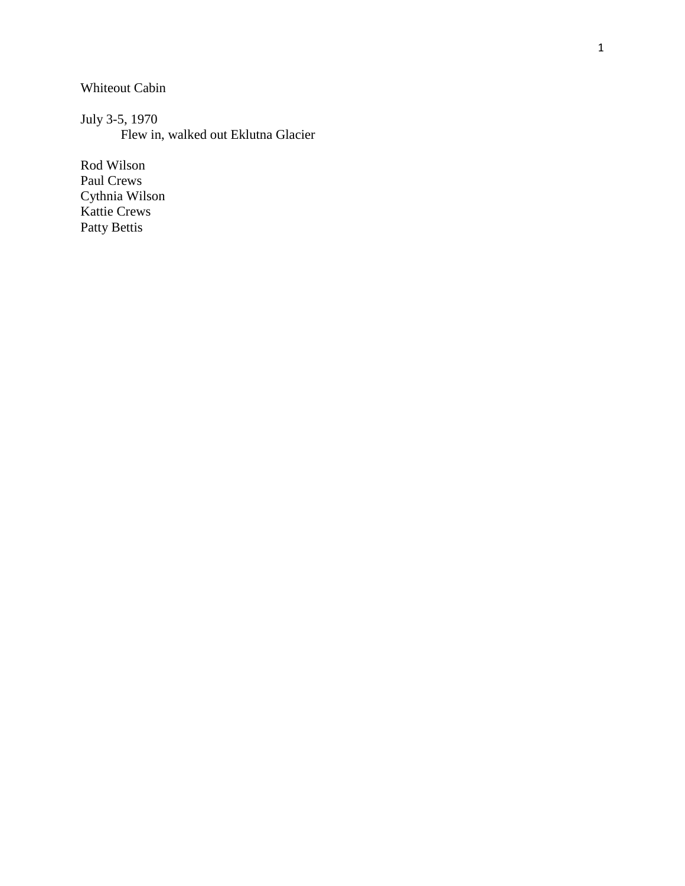Whiteout Cabin

July 3 -5, 1970 Flew in, walked out Eklutna Glacier

Rod Wilson Paul Crews Cythnia Wilson Kattie Crews Patty Bettis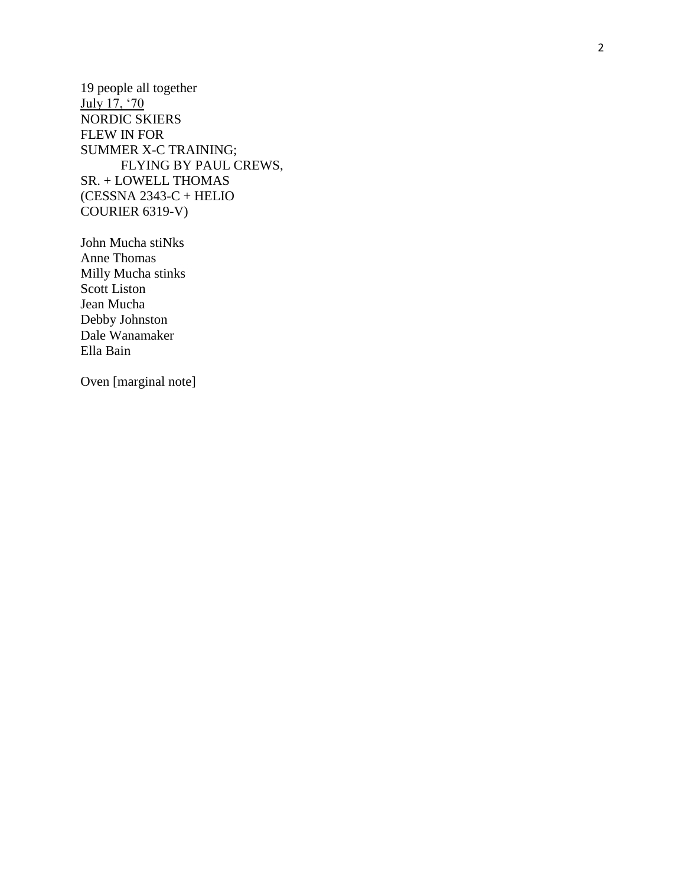19 people all together July 17, '70 NORDIC SKIERS FLEW IN FOR SUMMER X -C TRAINING; FLYING BY PAUL CREWS, SR. + LOWELL THOMAS (CESSNA 2343 -C + HELIO COURIER 6319 -V)

John Mucha stiNks Anne Thomas Milly Mucha stinks Scott Liston Jean Mucha Debby Johnston Dale Wanamaker Ella Bain

Oven [marginal note]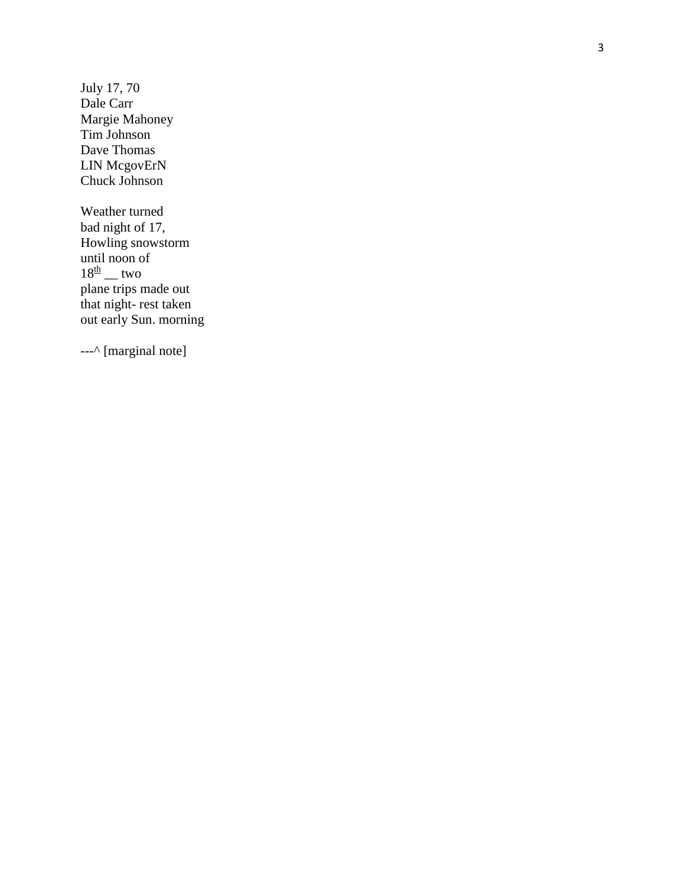Ju ly 17, 70 Dale Carr Margie Mahoney Tim Johnson Dave Thomas LIN McgovErN Chuck Johnson

Weather turned bad night of 17, Howling snowstorm until noon of  $18^{\underline{th}}$  \_ two plane trips made out that night-rest taken out early Sun. morning

---^ [marginal note]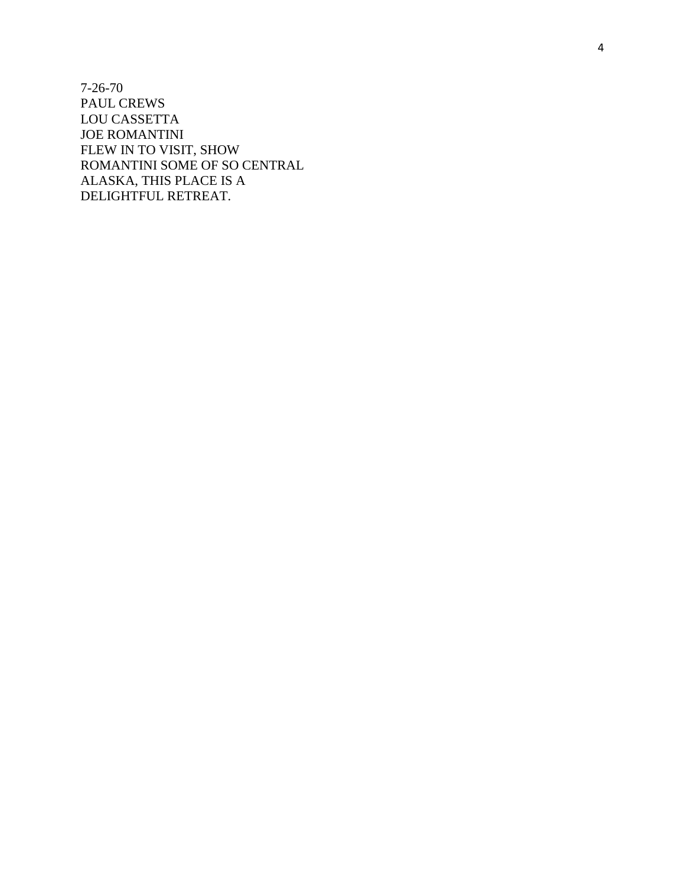7 -26 -70 PAUL CREWS LOU CASSETTA JOE ROMANTINI FLEW IN TO VISIT, SHOW ROMANTINI SOME OF SO CENTRAL ALASKA, THIS PLACE IS A DELIGHTFUL RETREAT.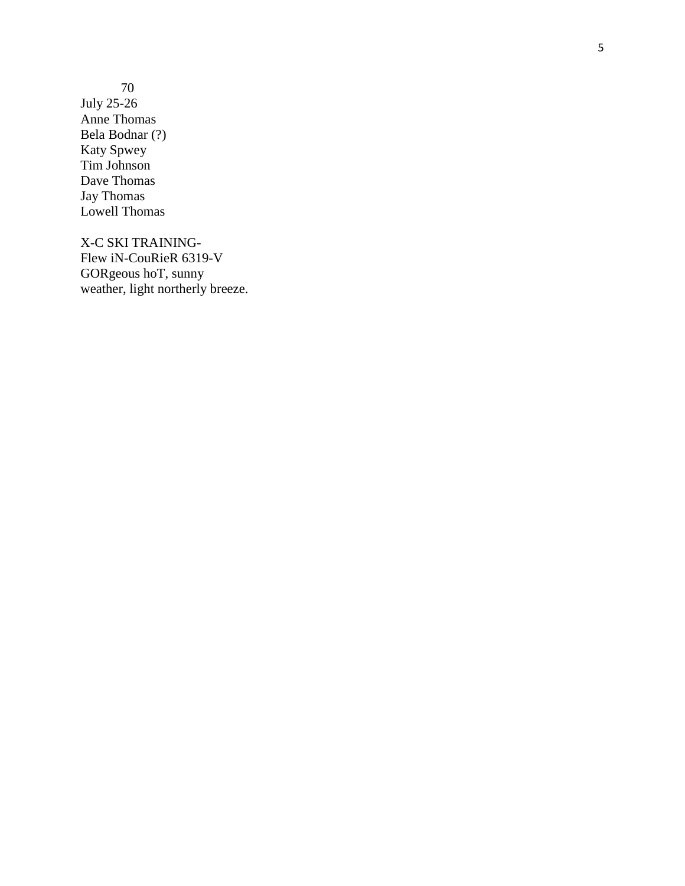70 July 25 -26 Anne Thomas Bela Bodnar (?) Katy Spwey Tim Johnson Dave Thomas Jay Thomas Lowell Thomas

X-C SKI TRAINING - Flew iN-CouRieR 6319-V GORgeous hoT, sunny weather, light northerly breeze.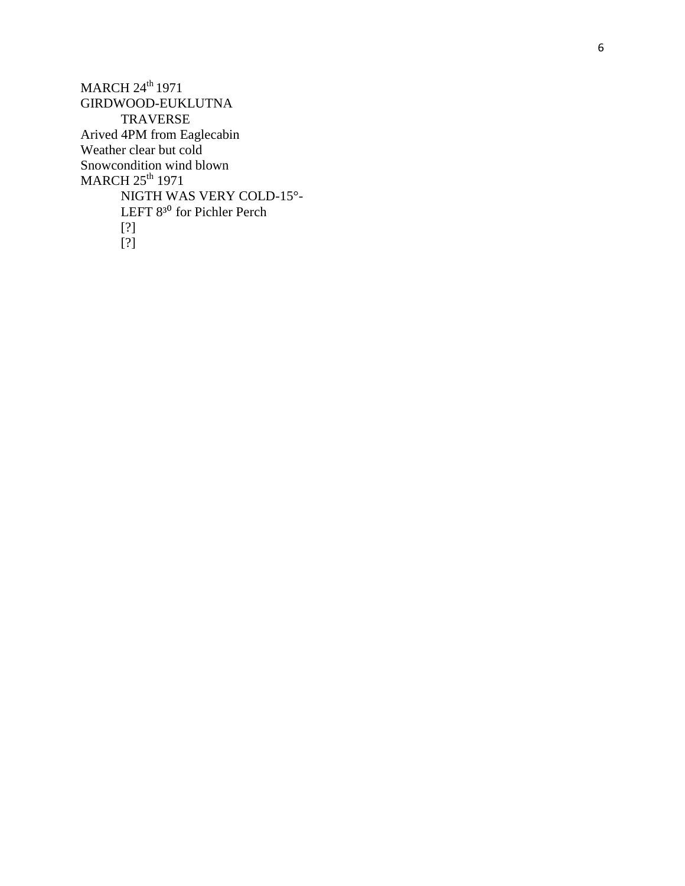MARCH 24<sup>th</sup> 1971 GIRDWOOD -EUKLUTNA TRAVERSE Arived 4PM from Eaglecabin Weather clear but cold Snowcondition wind blown  $MARCH$   $25^{\text{th}}$   $1971$ NIGTH WAS VERY COLD -15° - LEFT 8<sup>30</sup> for Pichler Perch [?] [?]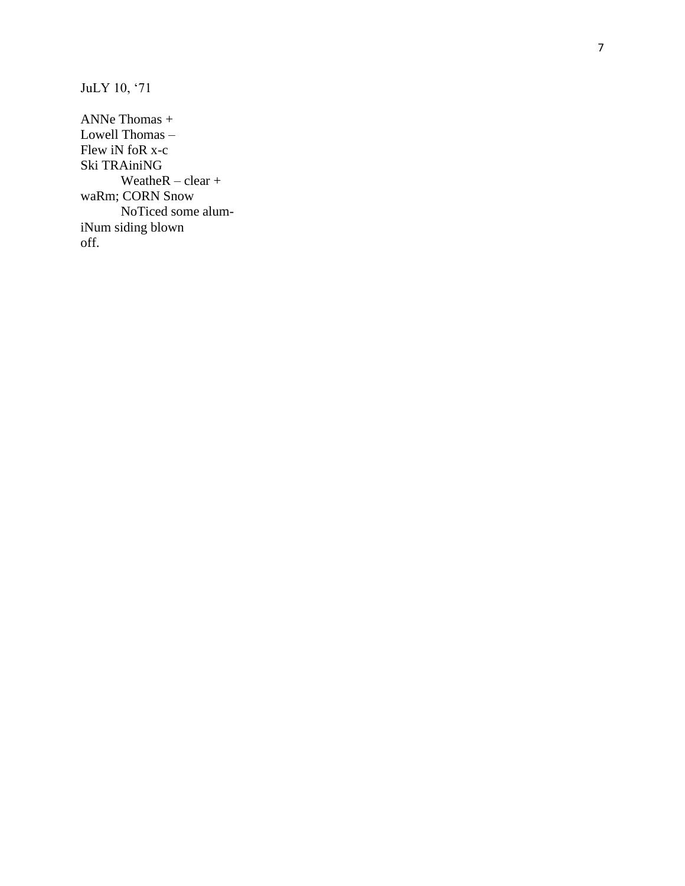JuLY 10, '71

ANNe Thomas + Lowell Thomas -Flew iN foR x-c Ski TRAiniNG WeatheR  $-$  clear  $+$ waRm; CORN Snow NoTiced some alumiNum siding blown off.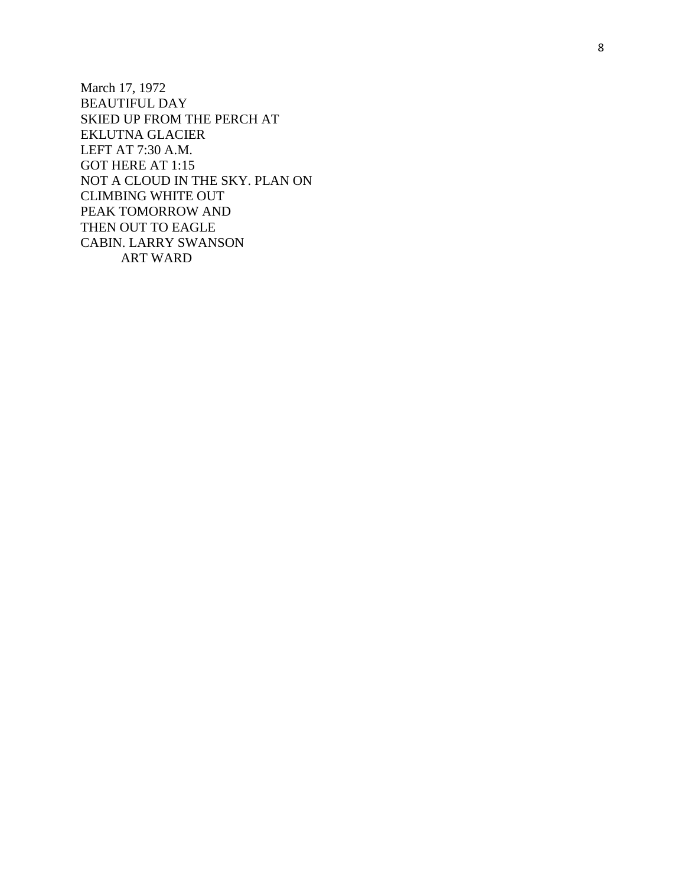March 17, 1972 BEAUTIFUL DAY SKIED UP FROM THE PERCH AT EKLUTNA GLACIER LEFT AT 7:30 A.M. GOT HERE AT 1:15 NOT A CLOUD IN THE SKY. PLAN ON CLIMBING WHITE OUT PEAK TOMORROW AND THEN OUT TO EAGLE CABIN. LARRY SWANSON ART WARD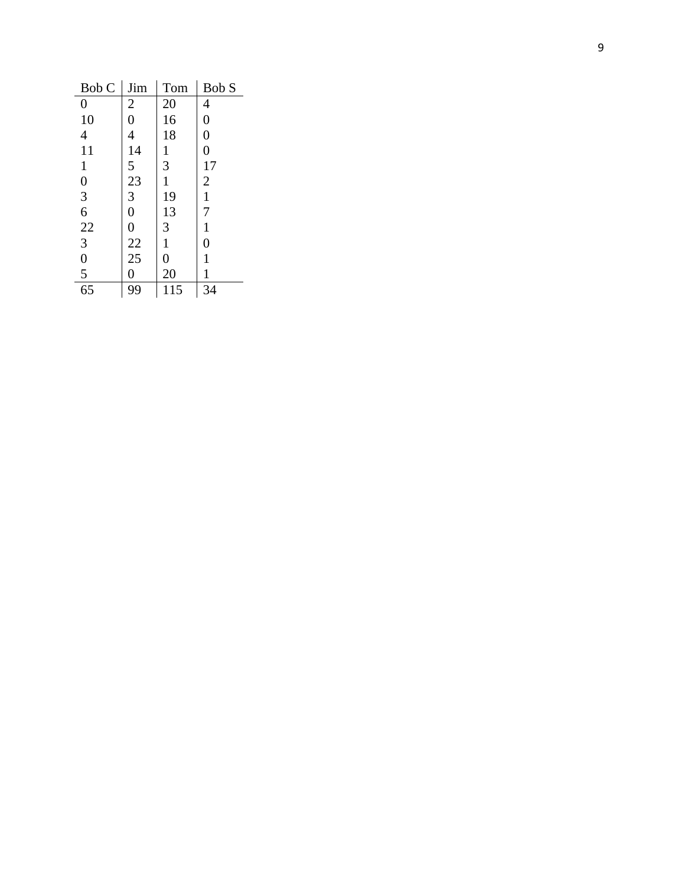| Bob C                             | Jim                                          | Tom              | Bob S                                            |
|-----------------------------------|----------------------------------------------|------------------|--------------------------------------------------|
| $\boldsymbol{0}$                  | $\overline{\mathbf{c}}$                      | 20               | $\overline{\mathcal{A}}$                         |
| 10                                | $\overline{0}$                               | 16               | $\boldsymbol{0}$                                 |
| $\overline{\mathcal{L}}$          | 4                                            | 18               | $\boldsymbol{0}$                                 |
| $\frac{11}{1}$                    | $\frac{14}{5}$                               |                  | $\overline{0}$                                   |
| $\mathbf{1}$                      |                                              | $\frac{1}{3}$    |                                                  |
|                                   | $\frac{23}{3}$                               | $\mathbf{1}$     | $\begin{array}{c} 17 \\ 2 \\ 1 \\ 7 \end{array}$ |
|                                   |                                              | 19               |                                                  |
|                                   | $\overline{0}$                               | $\frac{13}{3}$   |                                                  |
|                                   | $\boldsymbol{0}$                             |                  | $\mathbf{1}$                                     |
|                                   |                                              | $\,1$            | $\boldsymbol{0}$                                 |
|                                   |                                              | $\boldsymbol{0}$ | $\mathbf{1}$                                     |
| $0$<br>3 6<br>22<br>3 0<br>5<br>5 | $\begin{array}{c} 22 \\ 25 \\ 0 \end{array}$ | 20               | $\mathbf{1}$                                     |
| $\overline{65}$                   | 99                                           | 115              | 34                                               |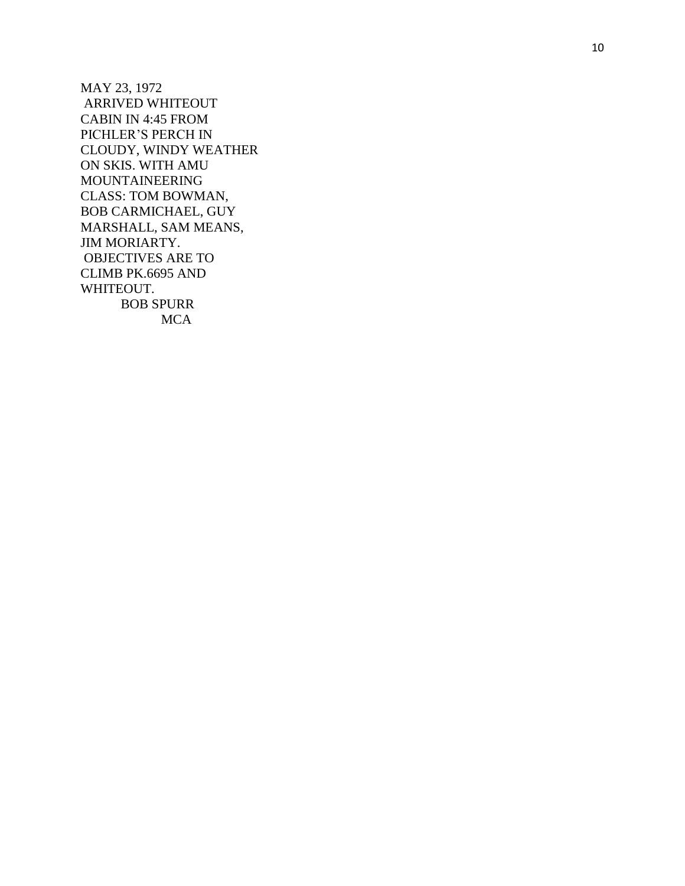MAY 23, 1972 ARRIVED WHITEOUT CABIN IN 4:45 FROM PICHLER'S PERCH IN CLOUDY, WINDY WEATHER ON SKIS. WITH AMU MOUNTAINEERING CLASS: TOM BOWMAN, BOB CARMICHAEL, GUY MARSHALL, SAM MEANS, JIM MORIARTY. OBJECTIVES ARE TO CLIMB PK.6695 AND WHITEOUT. BOB SPURR **MCA**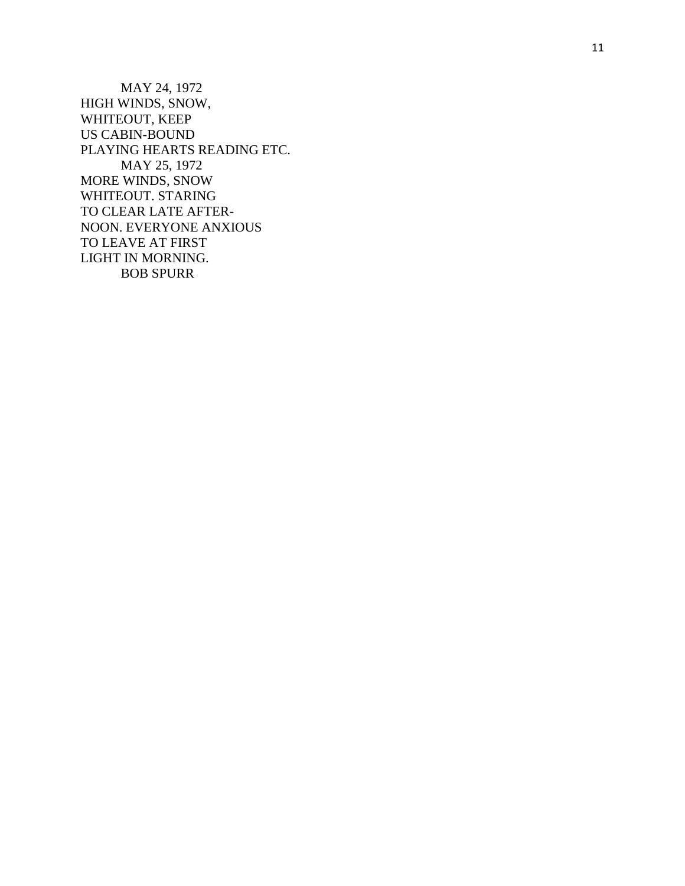MAY 24, 1972 HIGH WINDS, SNOW, WHITEOUT, KEEP US CABIN -BOUND PLAYING HEARTS READING ETC. MAY 25, 1972 MORE WINDS, SNOW WHITEOUT. STARING TO CLEAR LATE AFTER - NOON. EVERYONE ANXIOUS TO LEAVE AT FIRST LIGHT IN MORNING. BOB SPURR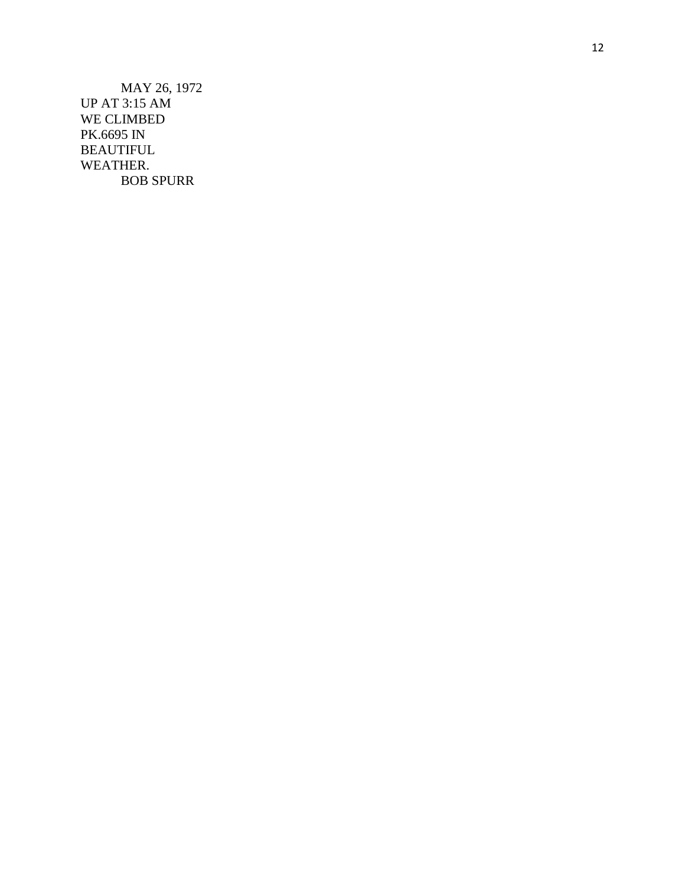MAY 26, 1972 UP AT 3:15 AM WE CLIMBED PK.6695 IN BEAUTIFUL WEATHER. BOB SPURR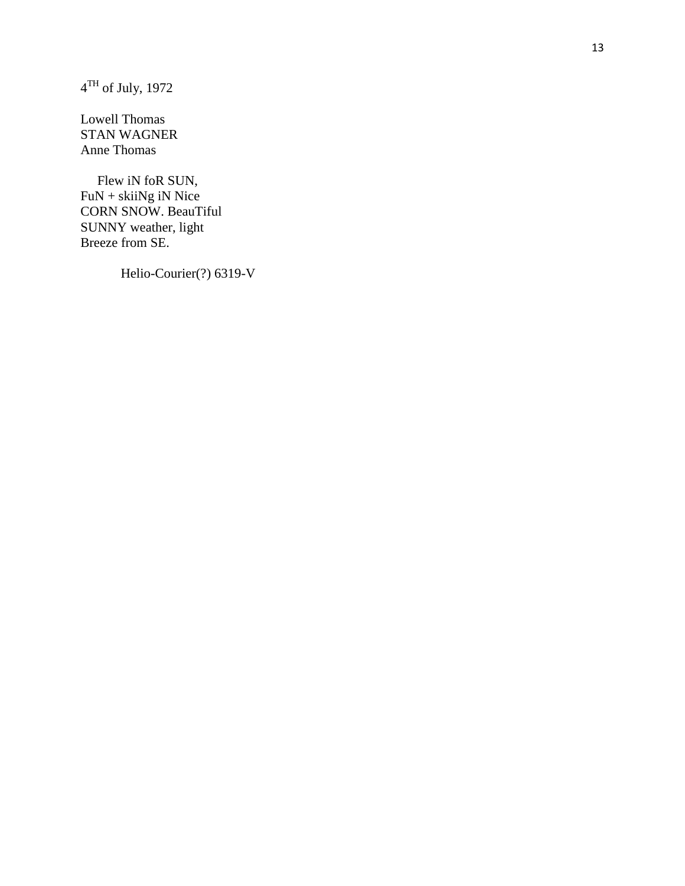$4^{\text{TH}}$  of July, 1972

Lowell Thomas STAN WAGNER Anne Thomas

 Flew iN foR SUN, FuN + skiiNg iN Nice CORN SNOW. BeauTiful SUNNY weather, light Breeze from SE.

Helio-Courier(?) 6319-V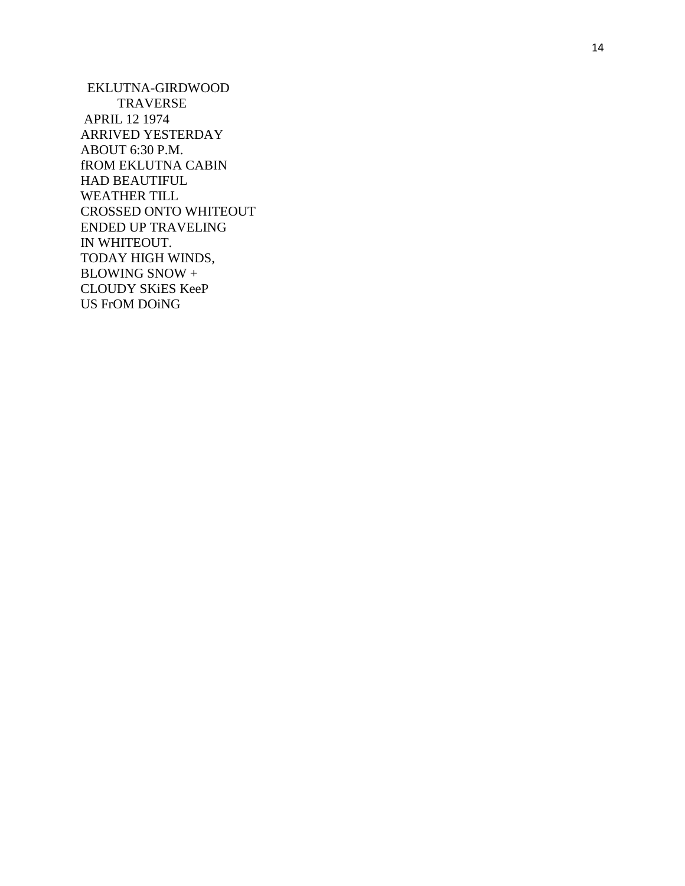EKLUTNA -GIRDWOOD TRAVERSE APRIL 12 1974 ARRIVED YESTERDAY ABOUT 6:30 P.M. fROM EKLUTNA CABIN HAD BEAUTIFUL WEATHER TILL CROSSED ONTO WHITEOUT ENDED UP TRAVELING IN WHITEOUT. TODAY HIGH WINDS, BLOWING SNOW + CLOUDY SKiES KeeP US FrOM DOiNG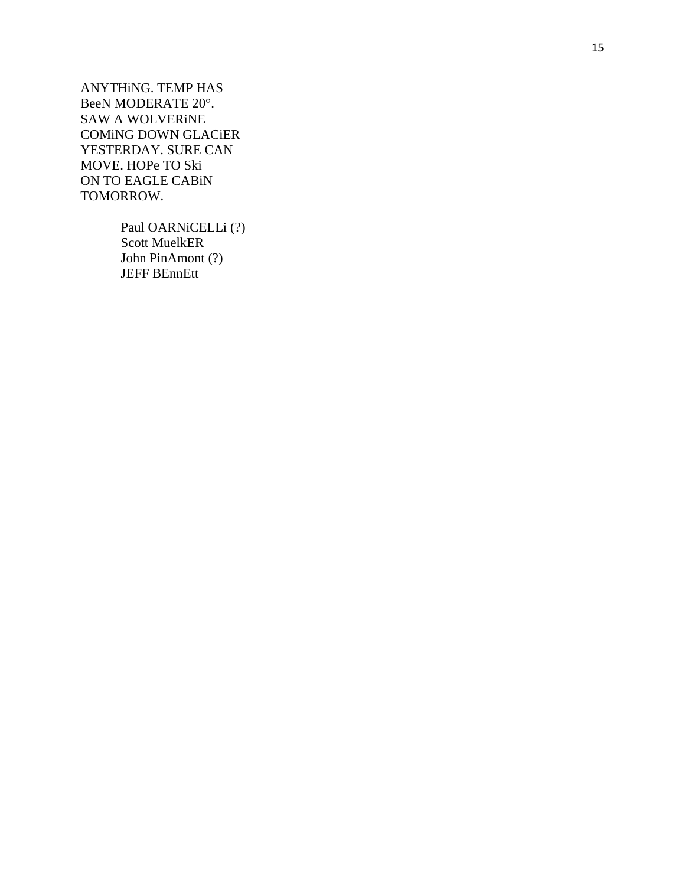ANYTHiNG. TEMP HAS BeeN MODERATE 20 ° . SAW A WOLVERiNE COMiNG DOWN GLACiER YESTERDAY. SURE CAN MOVE. HOPe TO Ski ON TO EAGLE CABiN TOMORROW.

> Paul OARNiCELLi (?) Scott MuelkER John PinAmont (?) JEFF BEnnEtt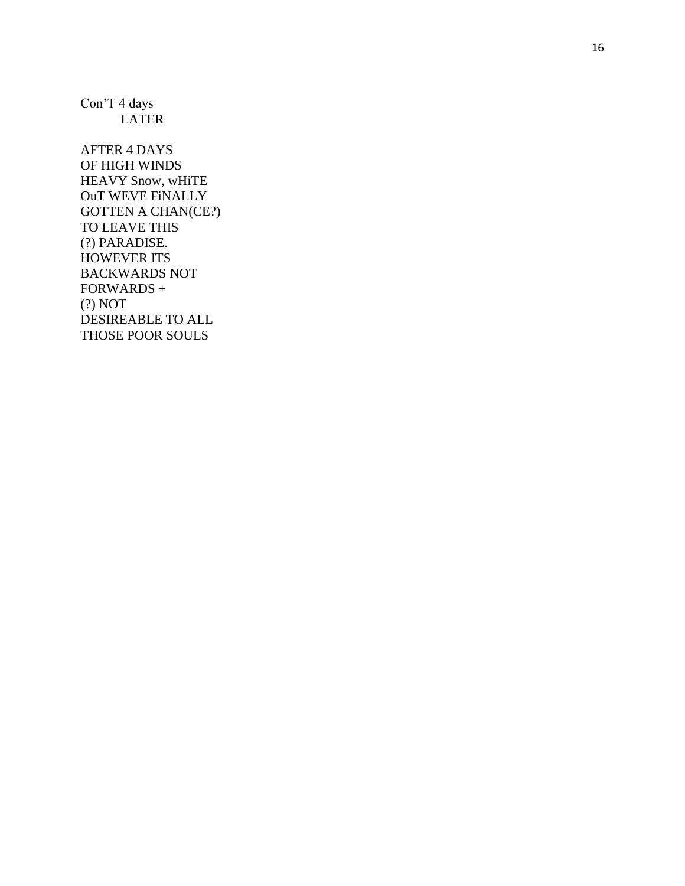Con'T 4 days **LATER** 

**AFTER 4 DAYS** OF HIGH WINDS HEAVY Snow, wHiTE OuT WEVE FINALLY **GOTTEN A CHAN(CE?)** TO LEAVE THIS (?) PARADISE. **HOWEVER ITS BACKWARDS NOT**  $FORWARDS +$  $(?) NOT$ DESIREABLE TO ALL THOSE POOR SOULS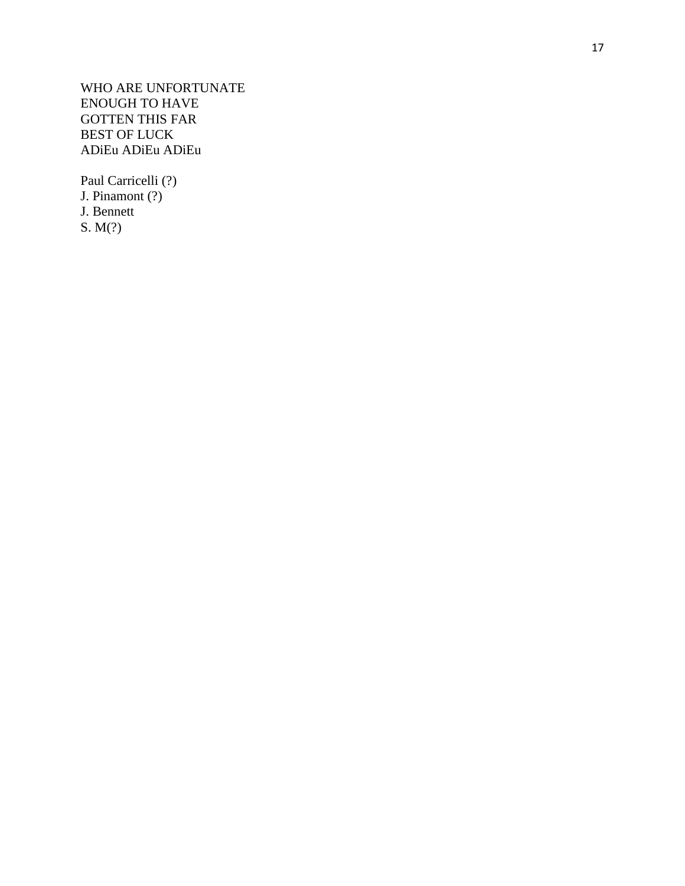WHO ARE UNFORTUNATE ENOUGH TO HAVE GOTTEN THIS FAR BEST OF LUCK ADiEu ADiEu ADiEu

Paul Carricelli (?) J. Pinamont (?) J. Bennett S. M(?)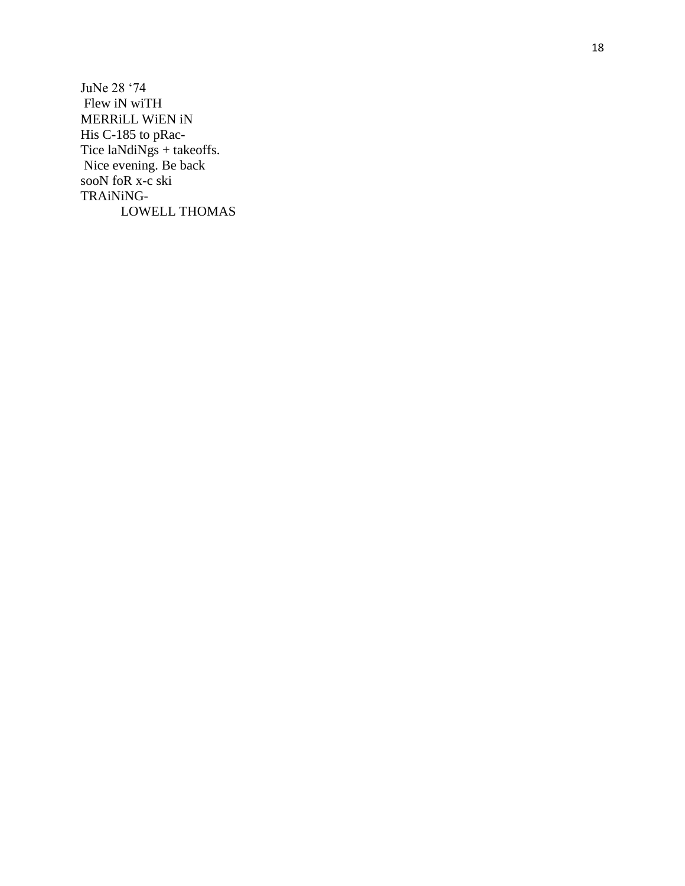JuNe 28 '74 Flew iN wiTH MERRILL WIEN IN His C-185 to pRac-Tice laNdiNgs + takeoffs.<br>Nice evening. Be back sooN foR  $x-c$  ski TRAiNiNG-LOWELL THOMAS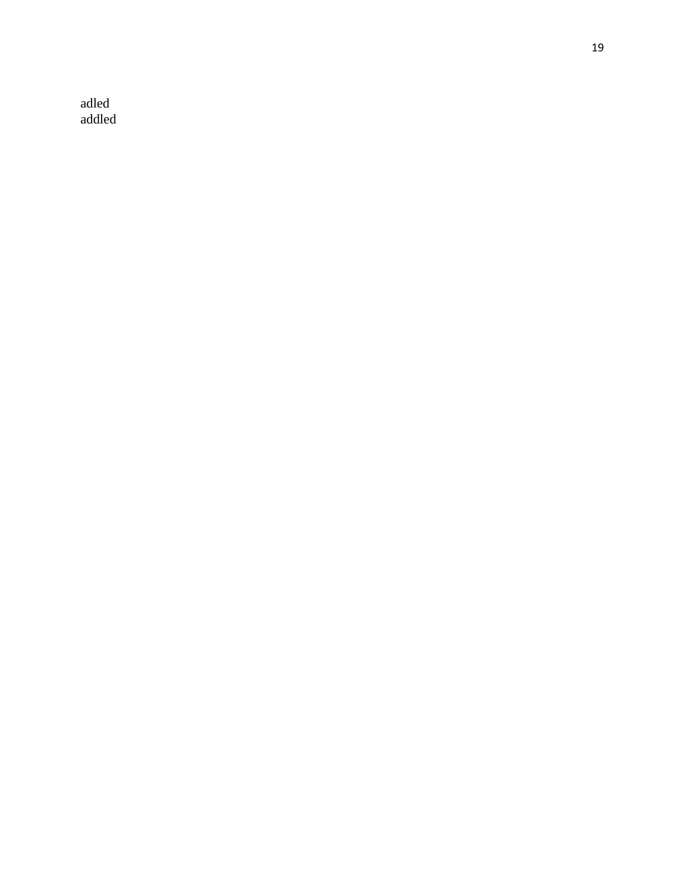adled addled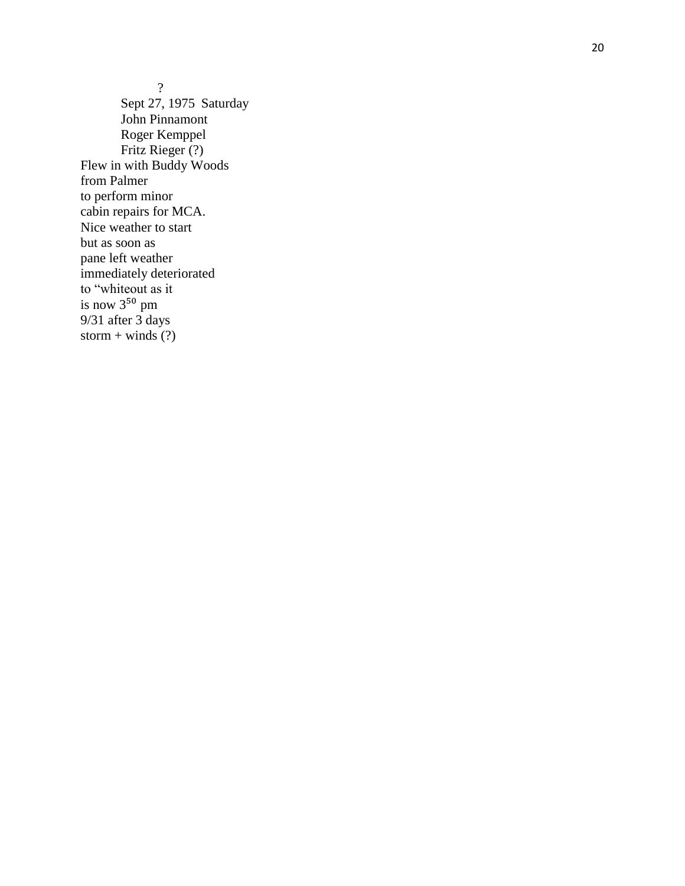? Sept 27, 1975 Saturday John Pinnamont Roger Kemppel Fritz Rieger (?) Flew in with Buddy Woods from Palmer to perform minor cabin repairs for MCA. Nice weather to start but as soon as pane left weather immediately deteriorated to "whiteout as it is now 3<sup>50</sup> pm 9/31 after 3 days storm + winds  $(?)$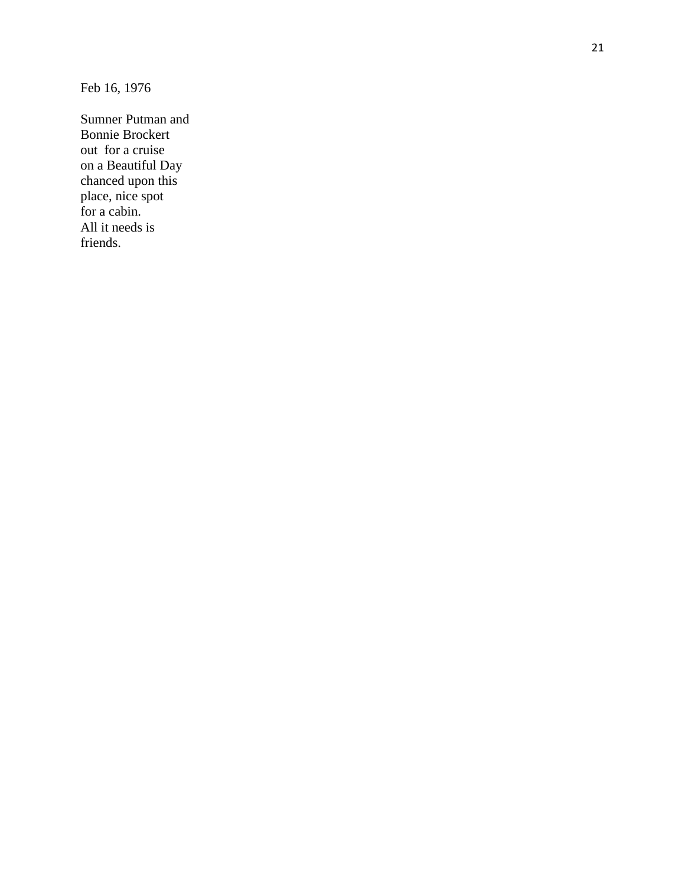Feb 16, 1976

Sumner Putman and Bonnie Brockert out for a cruise on a Beautiful Day chanced upon this place, nice spot for a cabin. All it needs is friends.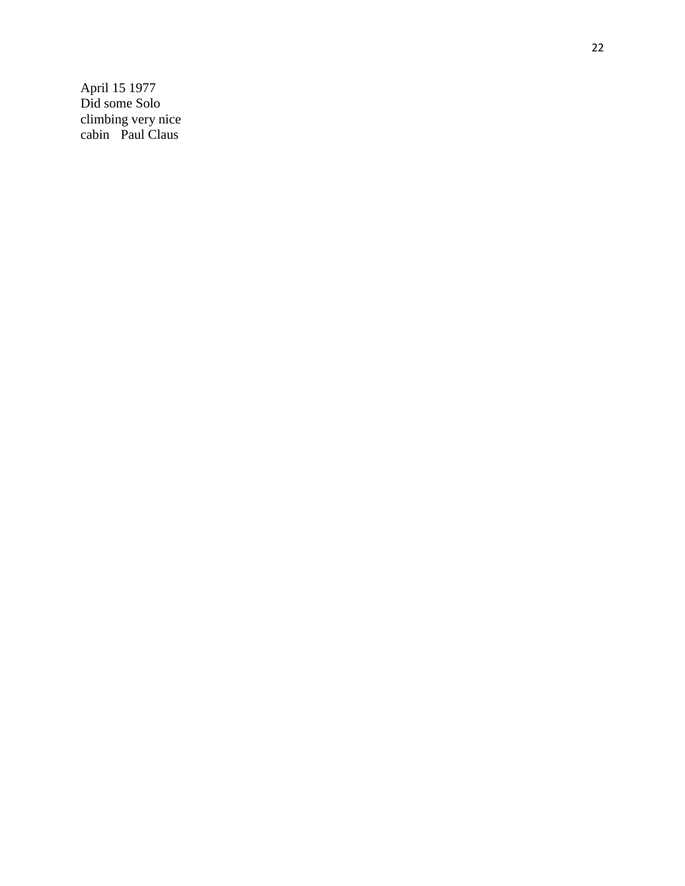April 15 1977 Did some Solo climbing very nice cabi n Paul Claus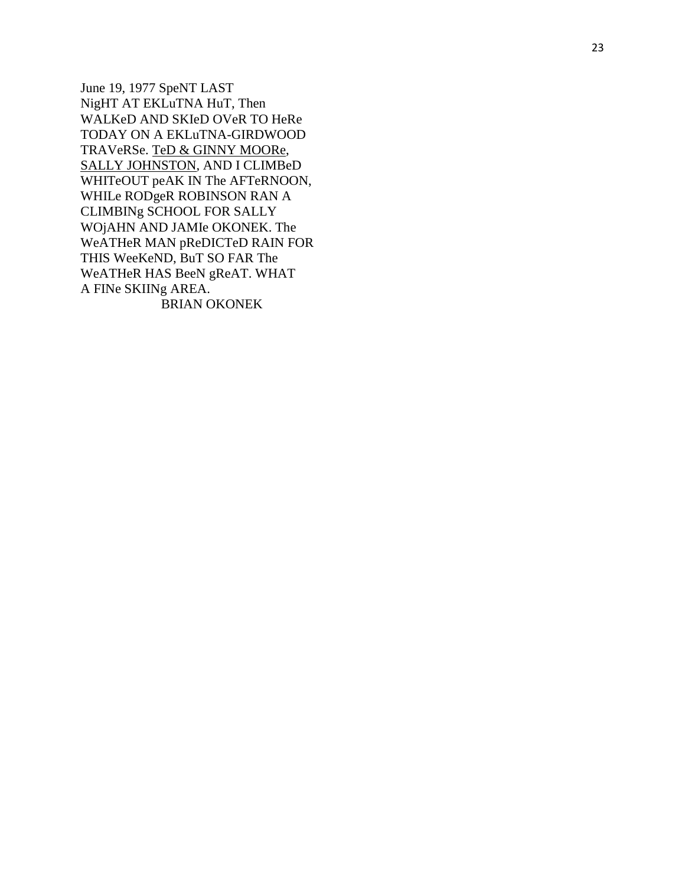June 19, 1977 SpeNT LAST NigHT AT EKLuTNA HuT, Then WALKeD AND SKIeD OVeR TO HeRe TODAY ON A EKLUTNA-GIRDWOOD TRAVeRSe. TeD & GINNY MOORe, SALLY JOHNSTON, AND I CLIMBeD WHITeOUT peAK IN The AFTeRNOON, WHILe RODgeR ROBINSON RAN A **CLIMBINg SCHOOL FOR SALLY** WOjAHN AND JAMIe OKONEK. The WeATHeR MAN pReDICTeD RAIN FOR THIS WeeKeND, BuT SO FAR The WeATHeR HAS BeeN gReAT. WHAT A FINe SKIINg AREA. **BRIAN OKONEK**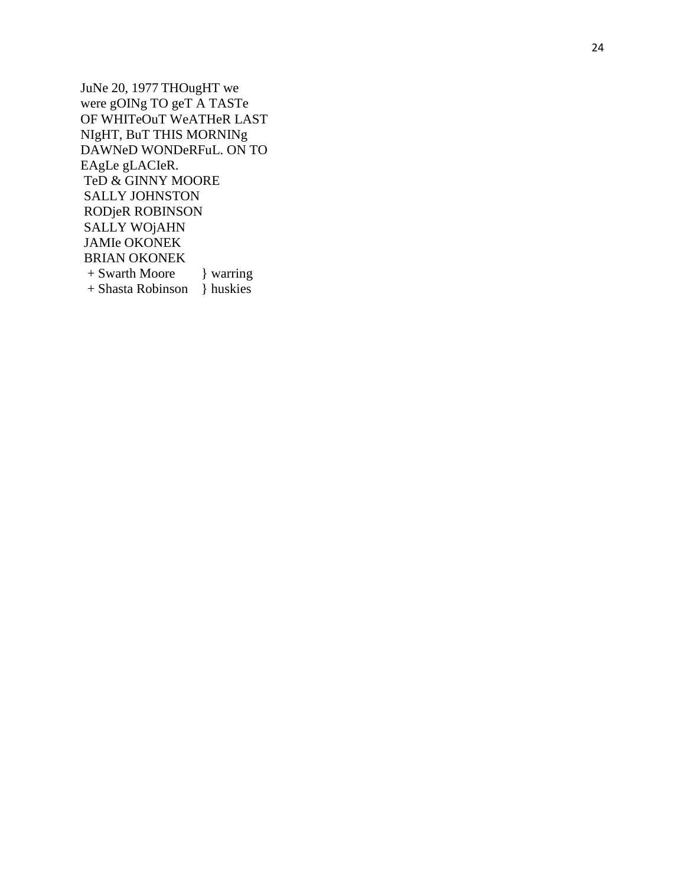JuNe 20, 1977 THOugHT we were gOINg TO geT A TASTe OF WHITeOuT WeATHeR LAST NIgHT, BuT THIS MORNINg DAWNeD WONDeRFuL. ON TO EAgLe gLACIeR. TeD & GINNY MOORE **SALLY JOHNSTON** RODjeR ROBINSON **SALLY WOJAHN JAMIe OKONEK BRIAN OKONEK** } warring + Swarth Moore + Shasta Robinson } huskies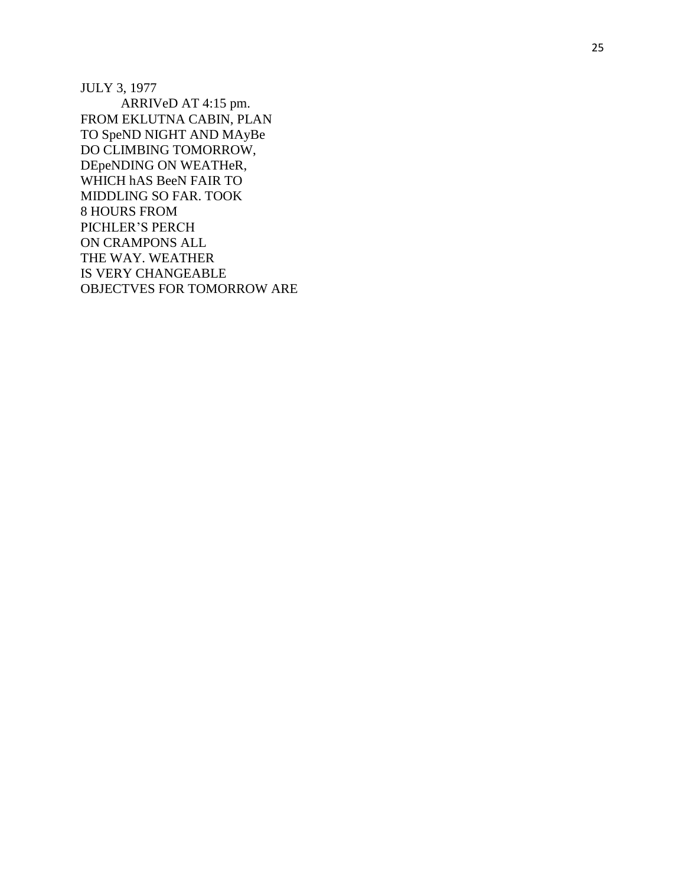JULY 3, 1977 ARRIVeD AT 4:15 pm. FROM EKLUTNA CABIN, PLAN TO SpeND NIGHT AND MAyBe DO CLIMBING TOMORROW, DEpeNDING ON WEATHeR, WHICH hAS BeeN FAIR TO MIDDLING SO FAR. TOOK 8 HOURS FROM PICHLER'S PERCH ON CRAMPONS ALL THE WAY. WEATHER IS VERY CHANGEABLE OBJECTVES FOR TOMORROW ARE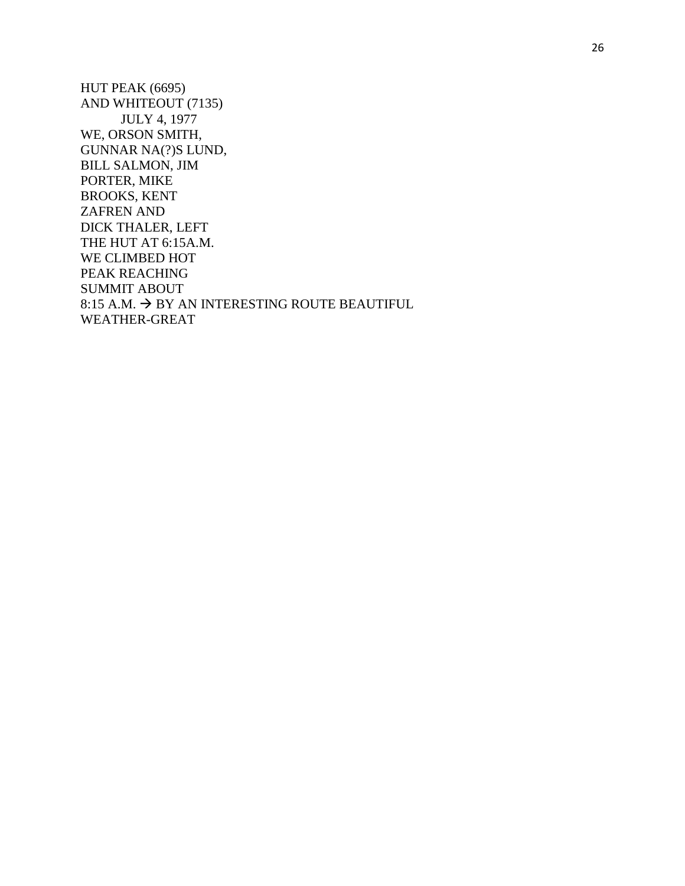HUT PEAK (6695) AND WHITEOUT (7135) JULY 4, 1977 WE, ORSON SMITH, GUNNAR NA(?)S LUND, BILL SALMON, JIM PORTER, MIKE BROOKS, KENT ZAFREN AND DICK THALER, LEFT THE HUT AT 6:15A.M. WE CLIMBED HOT PEAK REACHING SUMMIT ABOUT 8:15 A.M.  $\rightarrow$  BY AN INTERESTING ROUTE BEAUTIFUL WEATHER-GREAT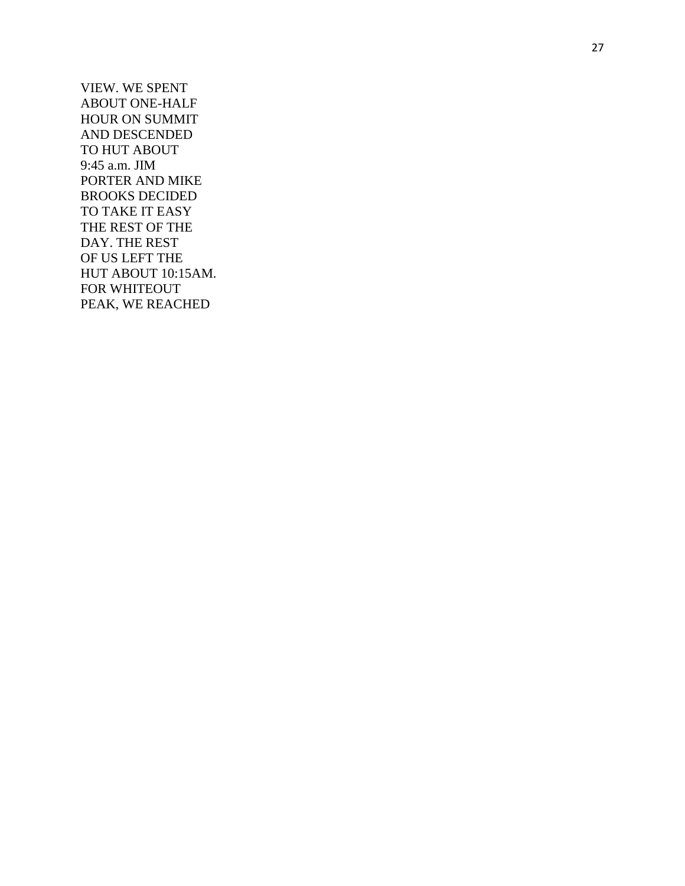VIEW. WE SPENT ABOUT ONE-HALF HOUR ON SUMMIT AND DESCENDED TO HUT ABOUT 9:45 a.m. JIM PORTER AND MIKE BROOKS DECIDED TO TAKE IT EASY THE REST OF THE DAY. THE REST OF US LEFT THE HUT ABOUT 10:15AM. FOR WHITEOUT PEAK, WE REACHED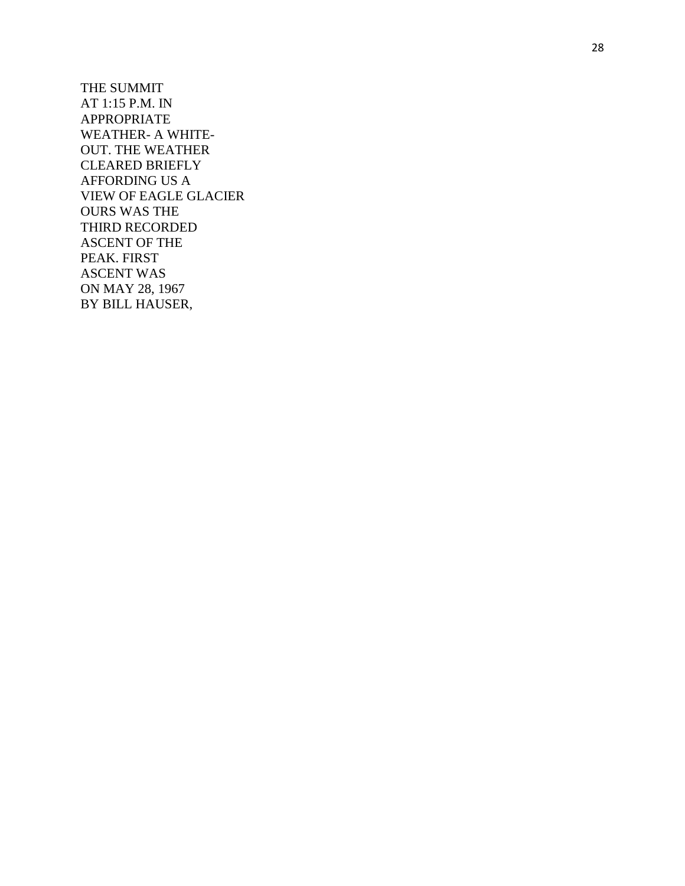THE SUMMIT AT 1:15 P.M. IN APPROPRIATE WEATHER- A WHITE-OUT. THE WEATHER CLEARED BRIEFLY AFFORDING US A VIEW OF EAGLE GLACIER OURS WAS THE THIRD RECORDED ASCENT OF THE PEAK. FIRST ASCENT WAS ON MAY 28, 1967 BY BILL HAUSER,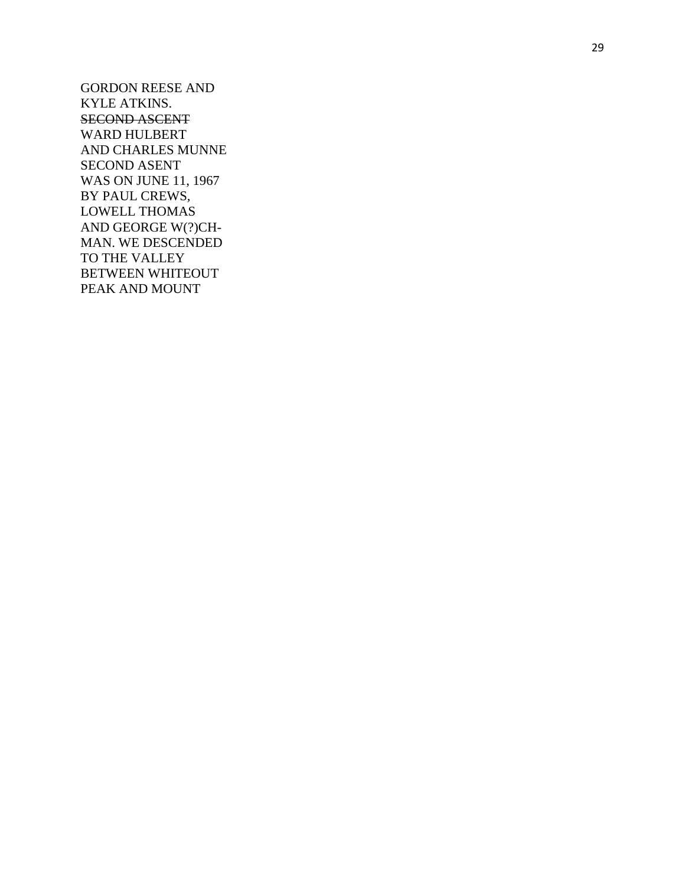GORDON REESE AND KYLE ATKINS. SECOND ASCENT WARD HULBERT AND CHARLES MUNNE SECOND ASENT WAS ON JUNE 11, 1967 BY PAUL CREWS, LOWELL THOMAS AND GEORGE W(?)CH - MAN. WE DESCENDED TO THE VALLEY BETWEEN WHITEOUT PEAK AND MOUNT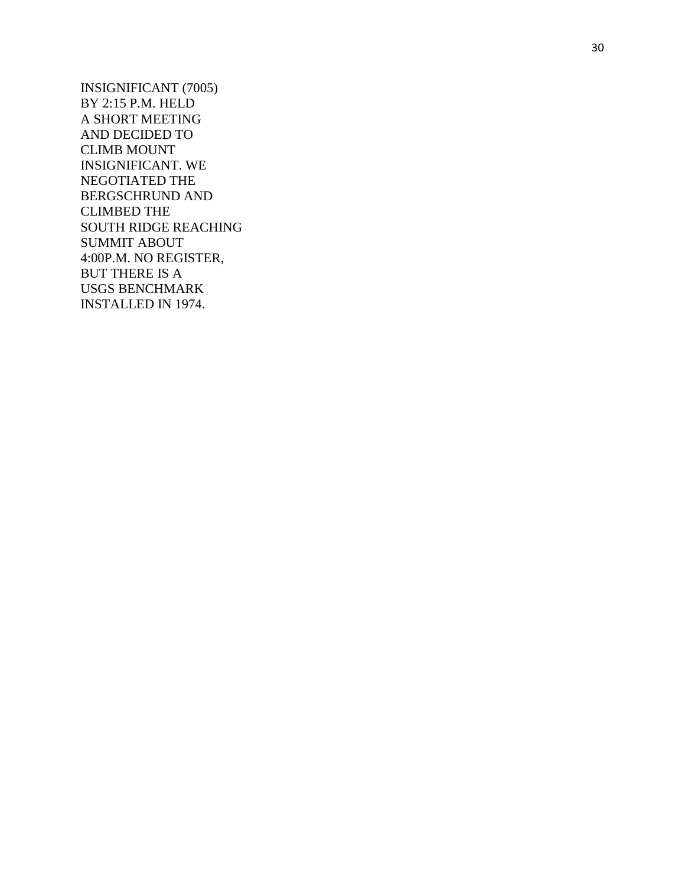INSIGNIFICANT (7005) BY 2:15 P.M. HELD A SHORT MEETING AND DECIDED TO CLIMB MOUNT INSIGNIFICANT. WE NEGOTIATED THE BERGSCHRUND AND CLIMBED THE SOUTH RIDGE REACHING SUMMIT ABOUT 4:00P.M. NO REGISTER, BUT THERE IS A USGS BENCHMARK INSTALLED IN 1974.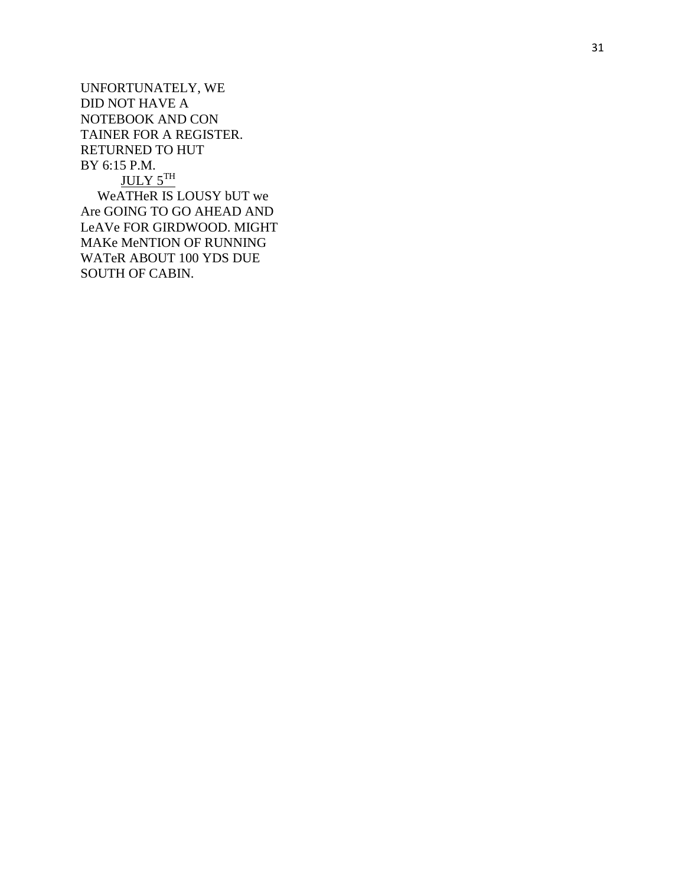UNFORTUNATELY, WE DID NOT HAVE A NOTEBOOK AND CON TAINER FOR A REGISTER. RETURNED TO HU T BY 6:15 P.M. JULY 5TH WeATHeR IS LOUSY bUT we Are GOING TO GO AHEAD AND LeAVe FOR GIRDWOOD. MIGHT MAKe MeNTION OF RUNNING WATeR ABOUT 100 YDS DUE SOUTH OF CABIN.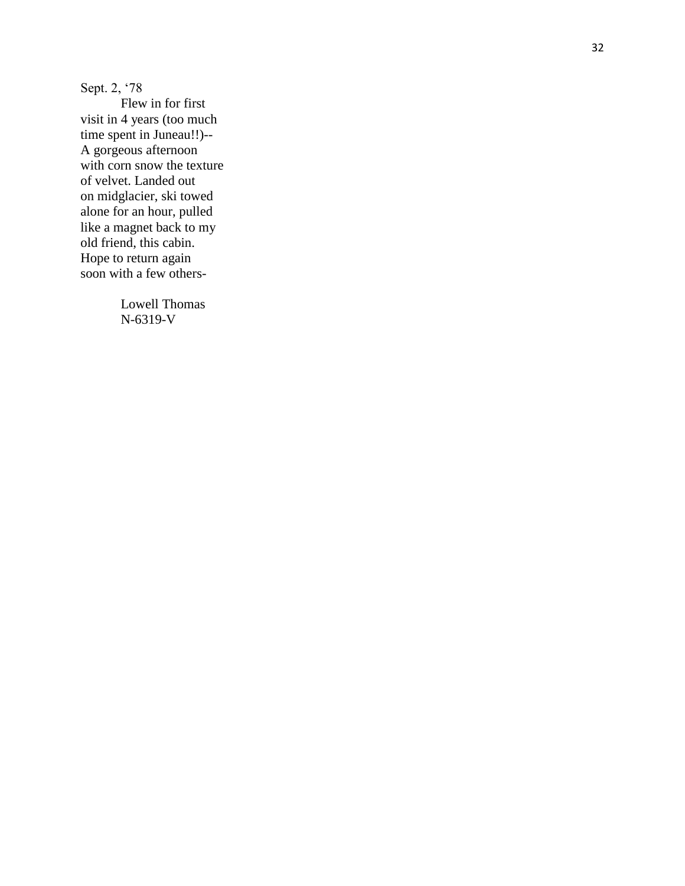Sept. 2, '78

Flew in for first visit in 4 years (too much time spent in Juneau!!)-- A gorgeous afternoon with corn snow the texture of velvet. Landed out on midglacier, ski towed alone for an hour, pulled like a magnet back to my old friend, this cabin. Hope to return again soon with a few others -

> Lowell Thomas N-6319-V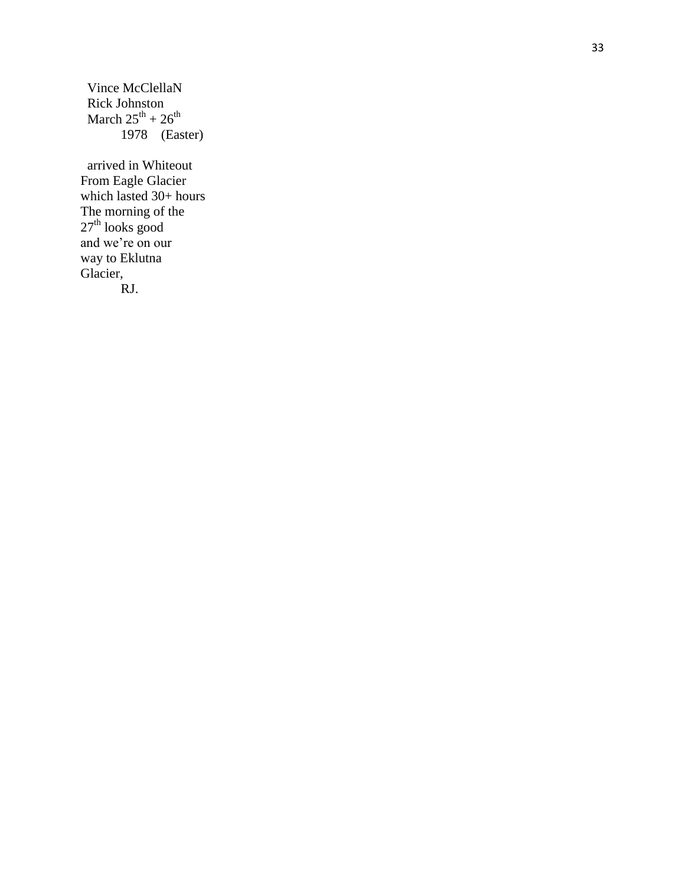Vince McClellaN Rick Johnston March  $25^{th}$  +  $26^{th}$ 1978 (Easter)

 arrived in Whiteout From Eagle Glacier which lasted 30+ hours The morning of the  $27<sup>th</sup>$  looks good and we're on our way to Eklutna Glacier, RJ.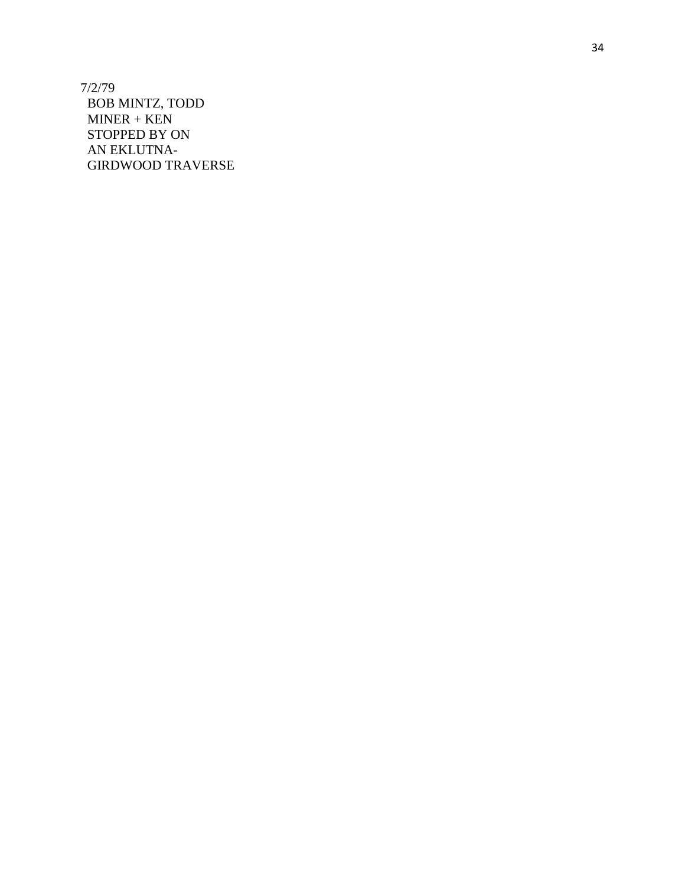7/2/79 BOB MINTZ, TODD MINER + KEN STOPPED BY ON AN EKLUTNA - GIRDWOOD TRAVERSE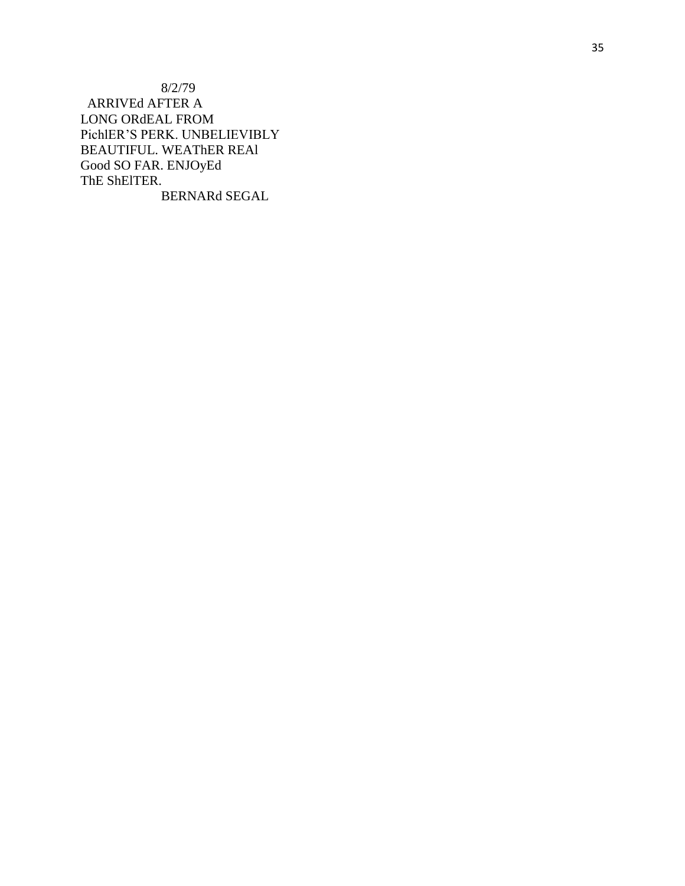$8/2/79$ ARRIVEd AFTER A LONG ORdEAL FROM PichlER'S PERK. UNBELIEVIBLY BEAUTIFUL. WEATHER REAL Good SO FAR. ENJOyEd ThE ShEITER. BERNARd SEGAL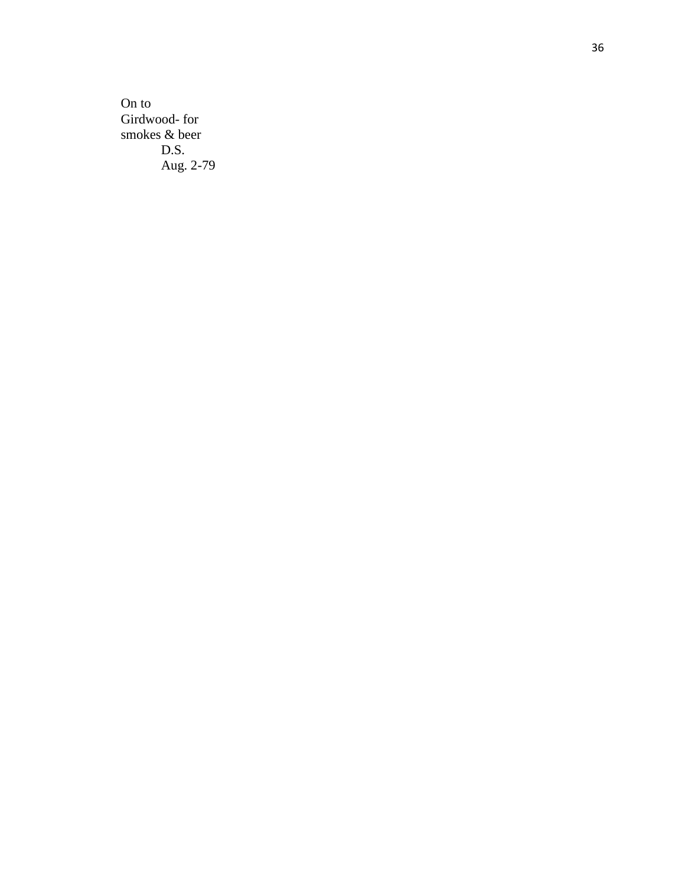On to Girdwood-for smokes & beer D.S. Aug. 2 -79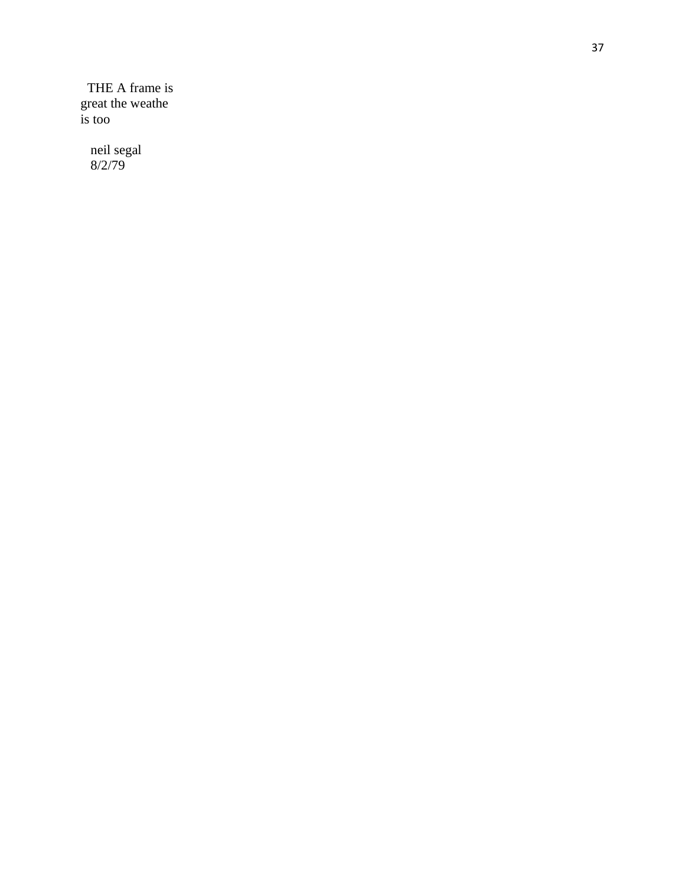THE A frame is great the weather

neil segal<br>8/2/79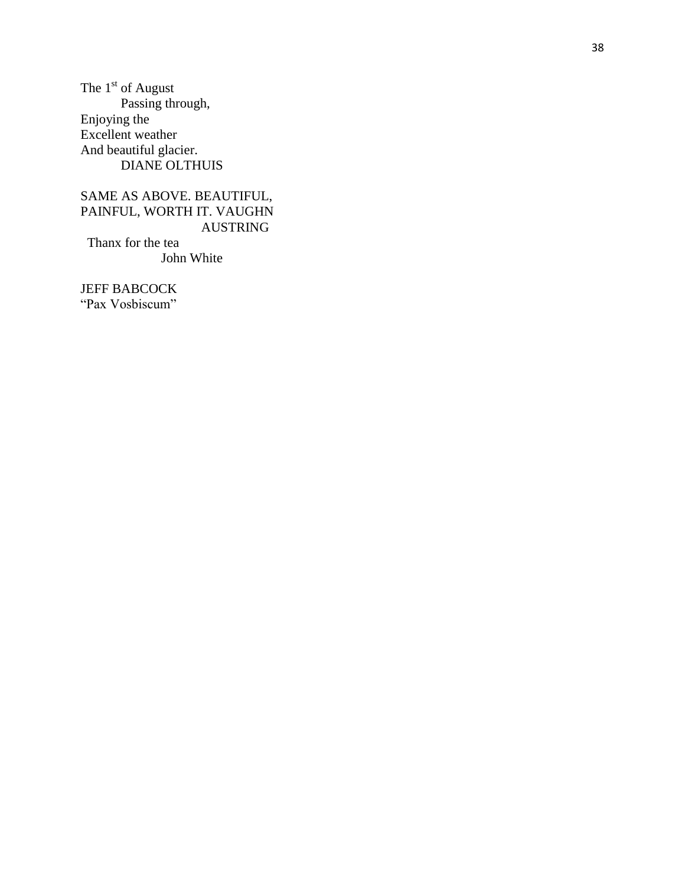The  $1^\mathrm{st}$  of August Passing through, Enjoying the Excellent weather And beautiful glacier. **DIANE OLTHUIS** 

## SAME AS ABOVE. BEAUTIFUL, PAINFUL, WORTH IT. VAUGHN AUSTRING

Thanx for the tea John White

**JEFF BABCOCK** "Pax Vosbiscum"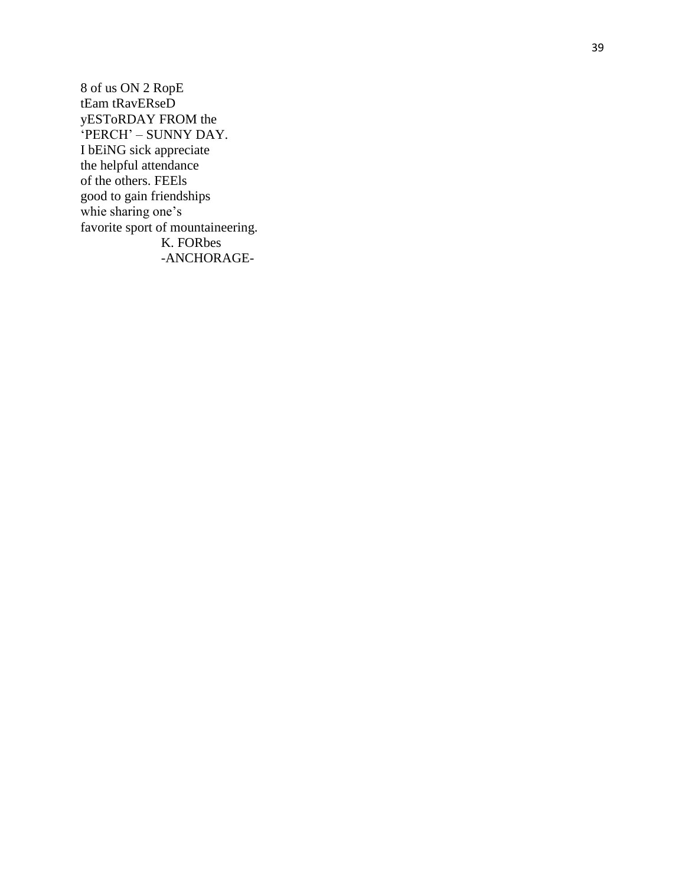8 of us ON 2 RopE tEam tRavERseD yESToRDAY FROM the 'PERCH' - SUNNY DAY. I bEiNG sick appreciate the helpful attendance of the others. FEEls good to gain friendships whie sharing one's favorite sport of mountaineering. K. FORbes -ANCHORAGE-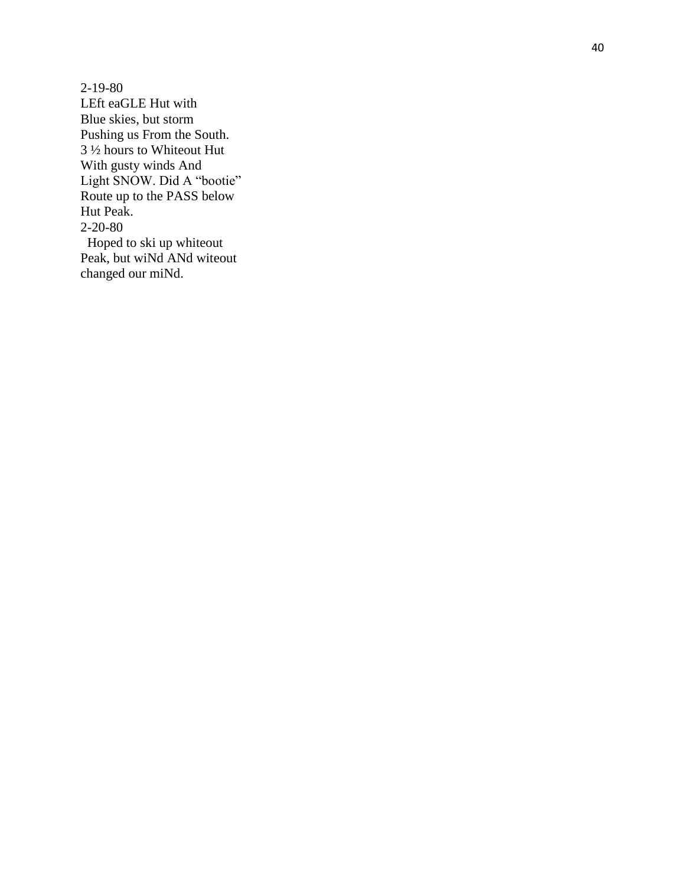2 -19 -80 LEft eaGLE Hut with Blue skies, but storm Pushing us From the South. 3 ½ hours to Whiteout Hut With gusty winds And Light SNOW. Did A "bootie" Route up to the PASS below Hut Peak . 2 -20 -80 Hoped to ski up whiteout

Peak, but wiNd ANd witeout changed our miNd.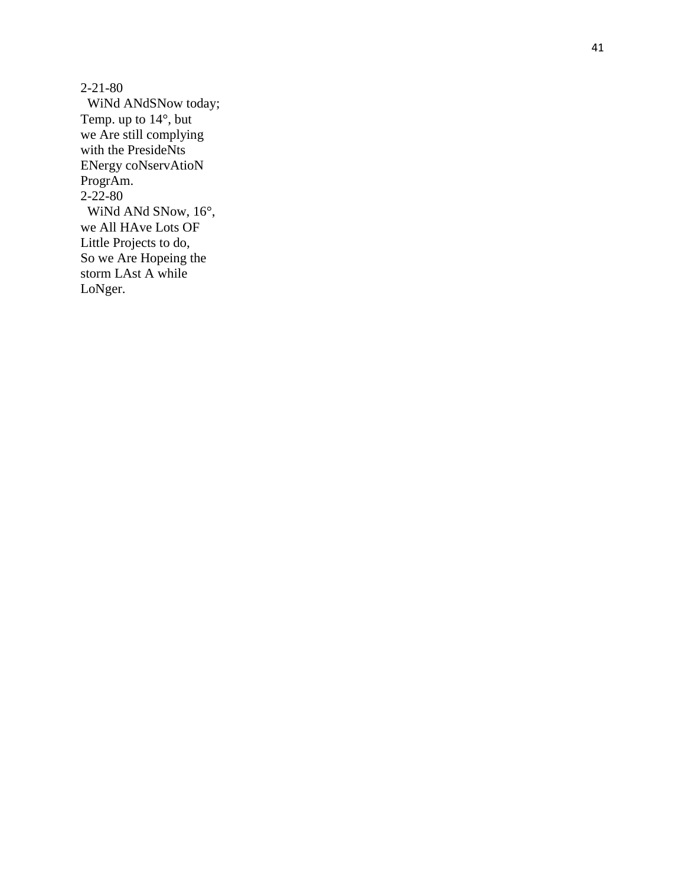2 -21 -80 WiNd ANdSNow today; Temp. up to 14°, but we Are still complying with the PresideNts ENergy coNservAtioN ProgrAm. 2-22-80 WiNd ANd SNow, 16°, we All HAve Lots OF Little Projects to do, So we Are Hopeing the storm LAst A while LoNger.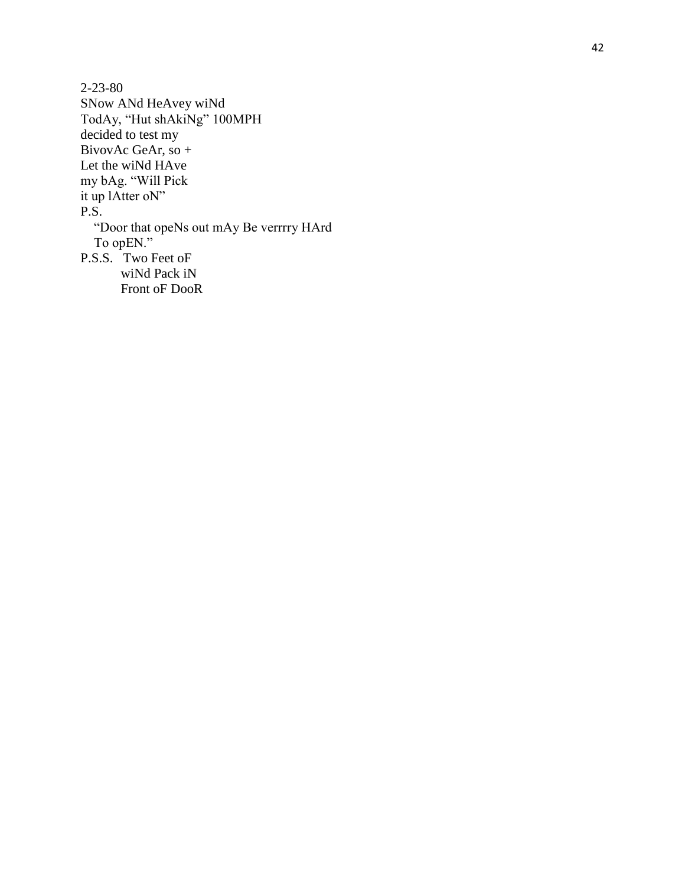$2 - 23 - 80$ SNow ANd HeAvey wiNd TodAy, "Hut shAkiNg" 100MPH decided to test my BivovAc GeAr, so + Let the wiNd HAve my bAg. "Will Pick it up lAtter oN" P.S. "Door that opeNs out mAy Be verrrry HArd To opEN." P.S.S. Two Feet oF wiNd Pack iN Front oF DooR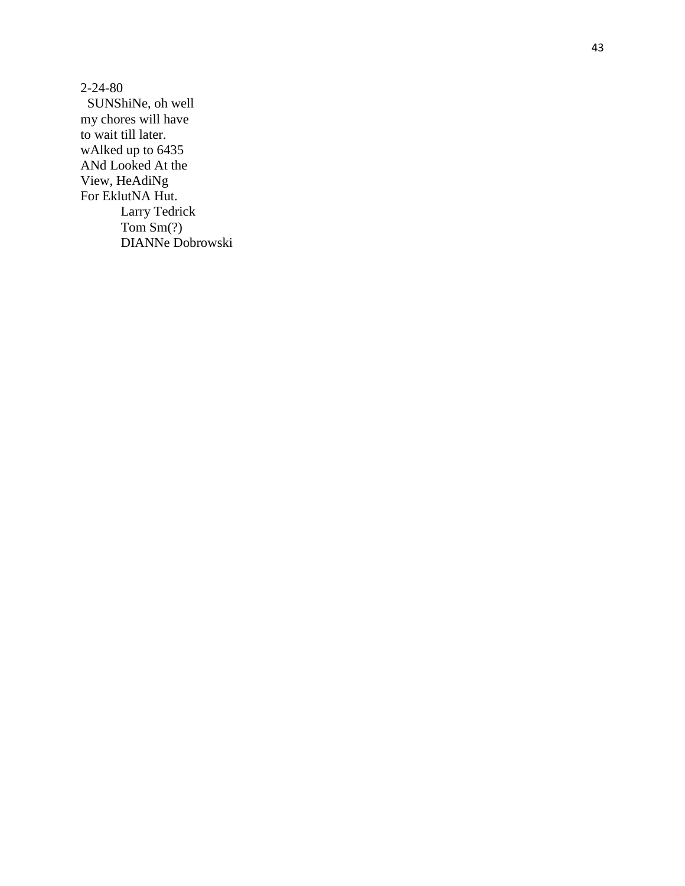2 -24 -80 SUNShiNe, oh well my chores will have to wait till later. wAlked up to 6435 ANd Looked At the View, HeAdiNg For EklutNA Hut. Larry Tedrick Tom Sm(?) DIANNe Dobrowski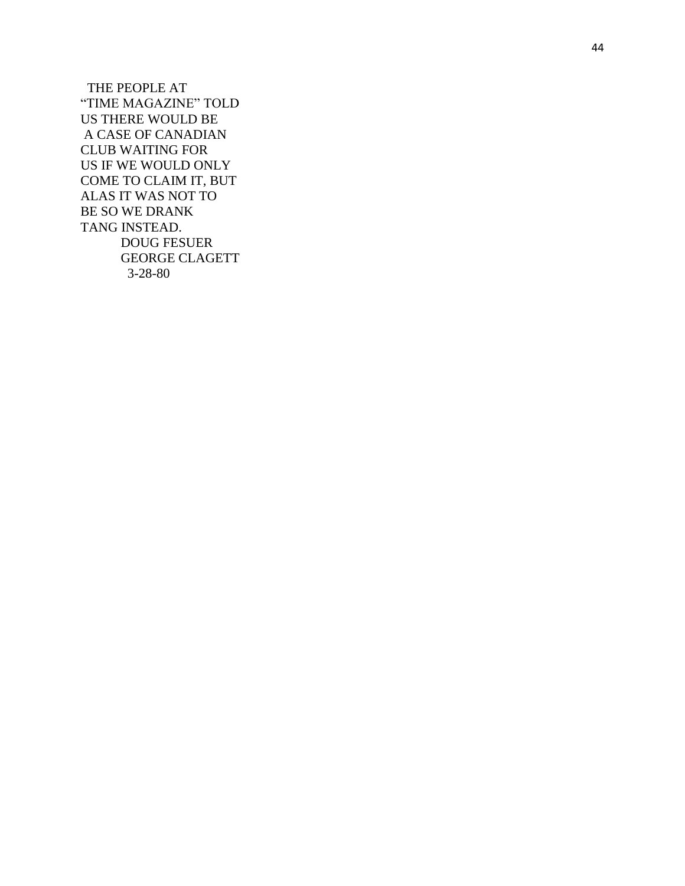THE PEOPLE AT "TIME MAGAZINE" TOLD US THERE WOULD BE A CASE OF CANADIAN CLUB WAITING FOR US IF WE WOULD ONLY COME TO CLAIM IT, BUT ALAS IT WAS NOT TO BE SO WE DRANK TANG INSTEAD. DOUG FESUER GEORGE CLAGETT 3 -28 -80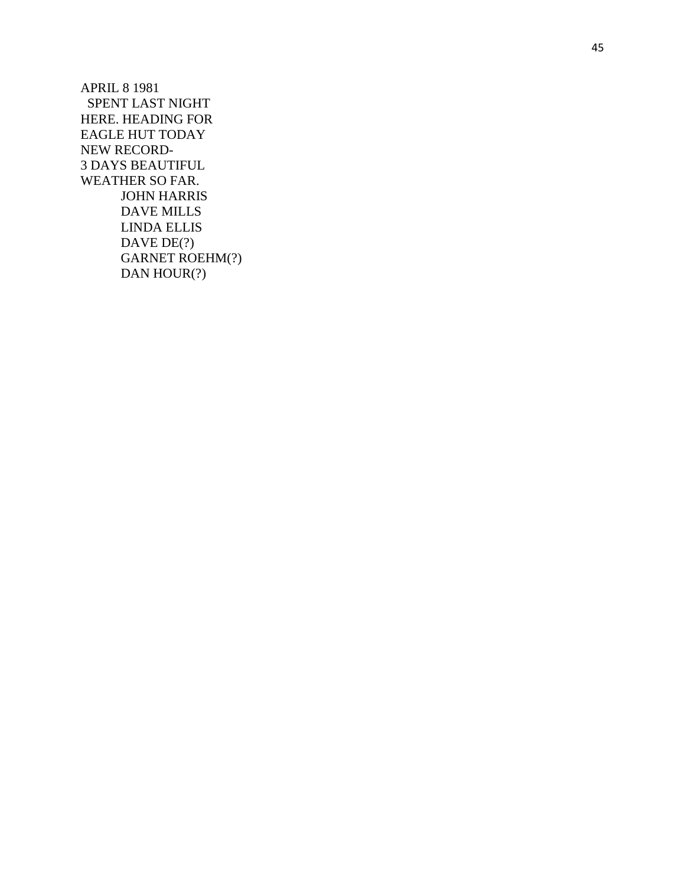APRIL 8 1981 SPENT LAST NIGHT HERE. HEADING FOR EAGLE HUT TODAY NEW RECORD - 3 DAYS BEAUTIFUL WEATHER SO FAR. JOHN HARRIS DAVE MILLS LINDA ELLIS DAVE DE(?) GARNET ROEHM(?) DAN HOUR(?)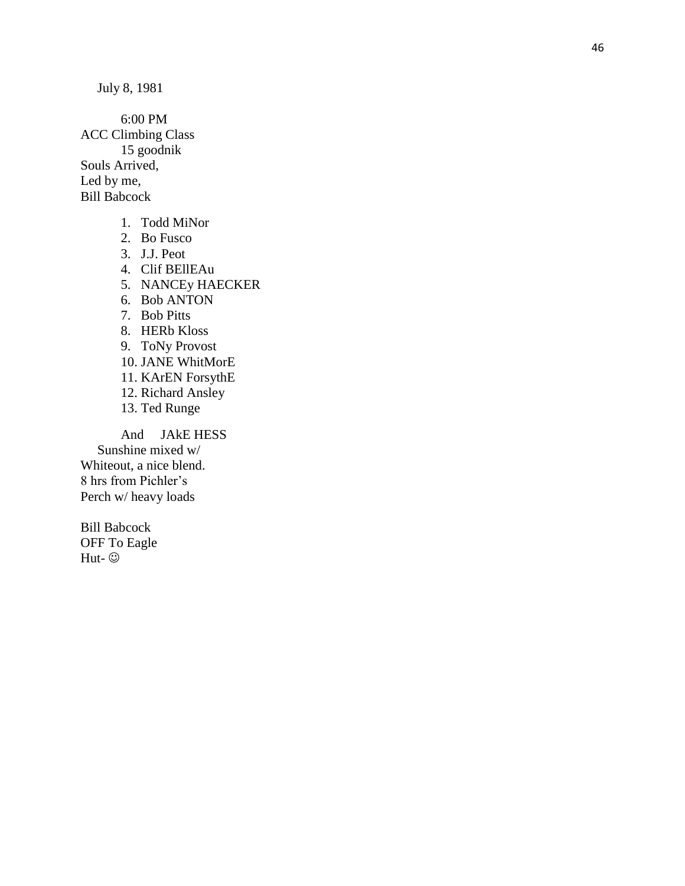6:00 PM ACC Climbing Class 15 goodnik Souls Arrived, Led by me, Bill Babcock

- 1. Todd MiNor
- 2. Bo Fu sco
- 3. J.J. Peot
- 4. Clif BEllEAu
- 5. NANCEy HAECKER
- 6. Bob ANTON
- 7. Bob Pitts
- 8. HERb Kloss
- 9. ToNy Provost
- 10. JANE WhitMorE
- 11. KArEN ForsythE
- 12. Rich ard Ansley
- 13. Ted Runge

And JAkE HESS Sunshine mixed w/ Whiteout, a nice blend. 8 hrs from Pichler's Perch w/ heavy loads

Bill Babcock OFF To Eagle Hut- ©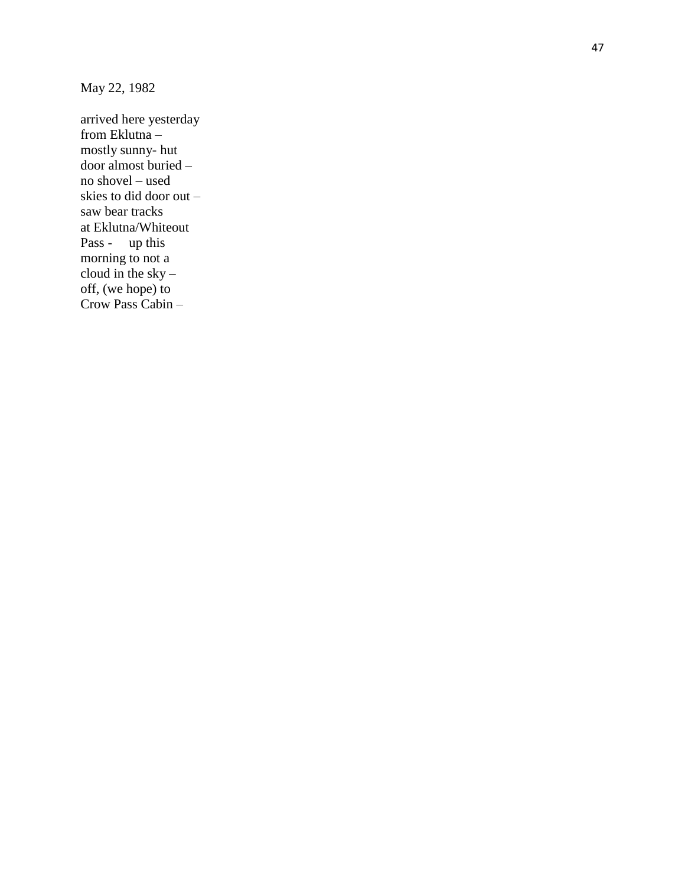May 22, 1982

arrived here yesterday from Eklutna – mostly sunny - hut door almost buried – no shovel – used skies to did door out – saw bear tracks at Eklutna/Whiteout Pass - up this morning to not a cloud in the sky – off, (we hope) to Crow Pass Cabin –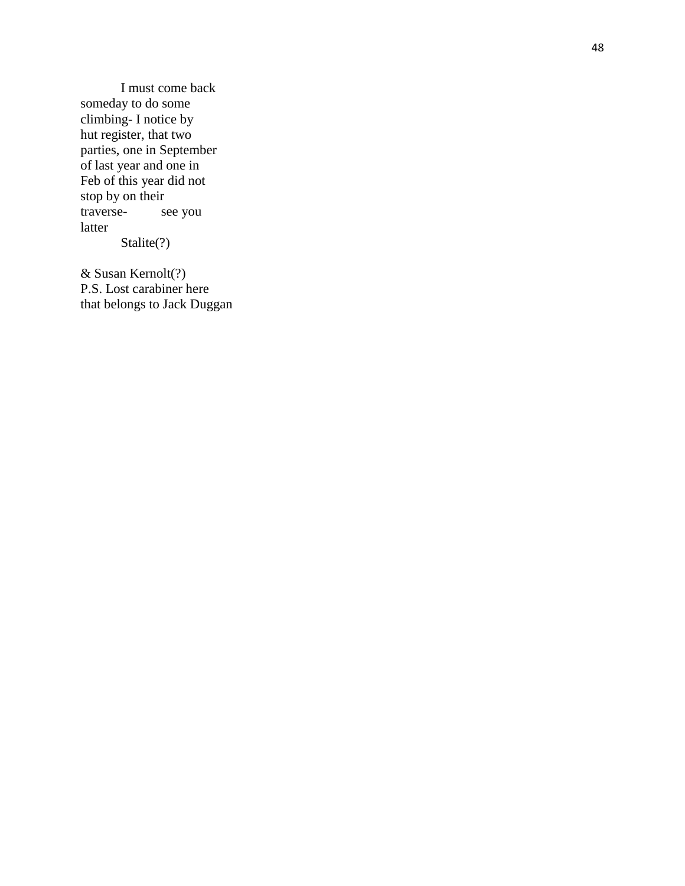I must come back someday to do some climbing - I notice by hut register, that two parties, one in September of last year and one in Feb of this year did not stop by on their traverse see you latter Stalite(?)

& Susan Kernolt(?) P.S. Lost carabiner here that belongs to Jack Duggan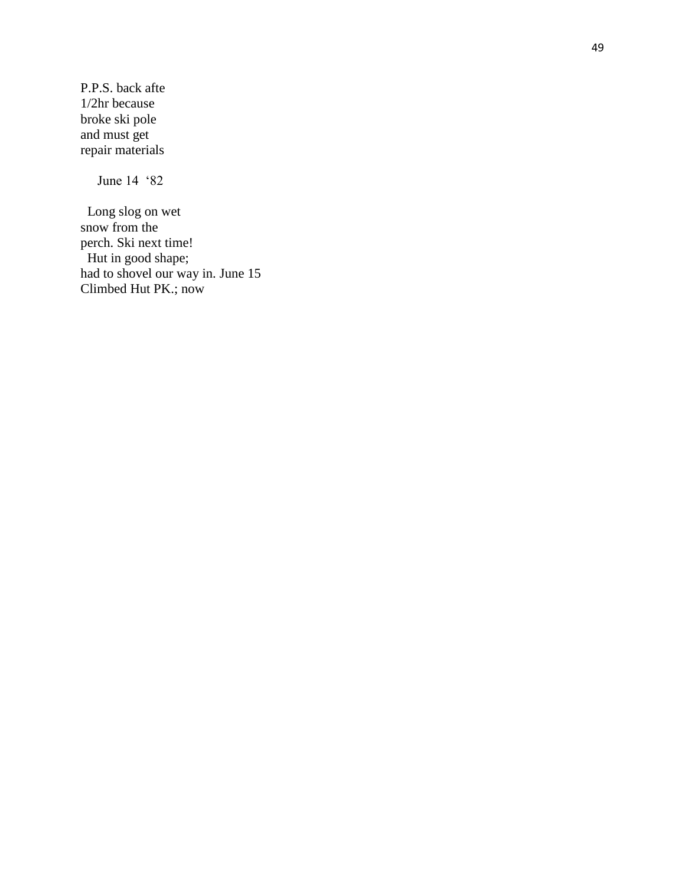P.P.S. back afte 1/2hr because broke ski pole and must get repair materials

June 14 '82

 Long slog on wet snow from the perch. Ski next time! Hut in good shape; had to shovel our way in. June 15 Climbed Hut PK.; now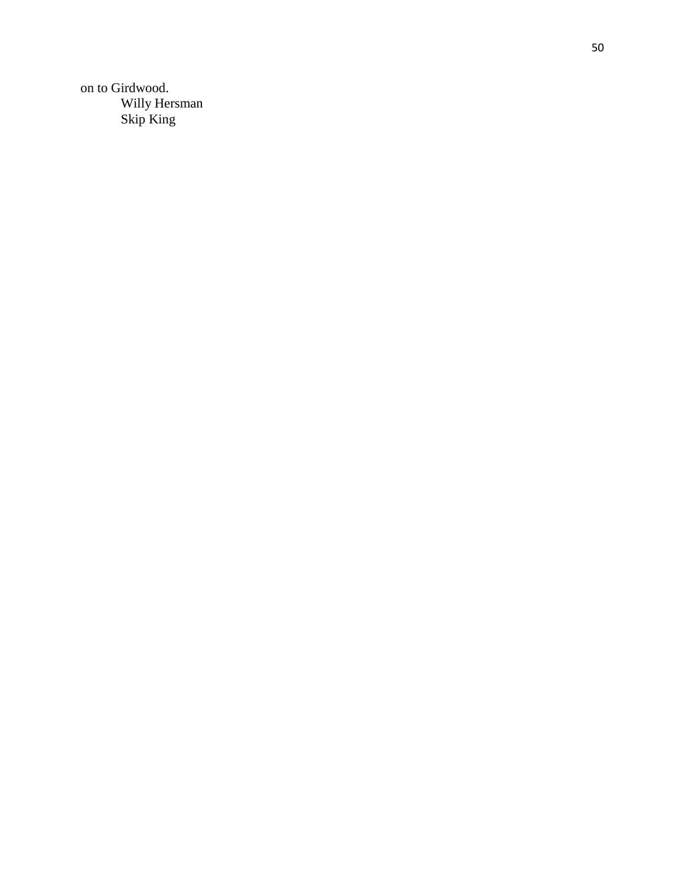on to Girdwood. Willy Hersman<br>Skip King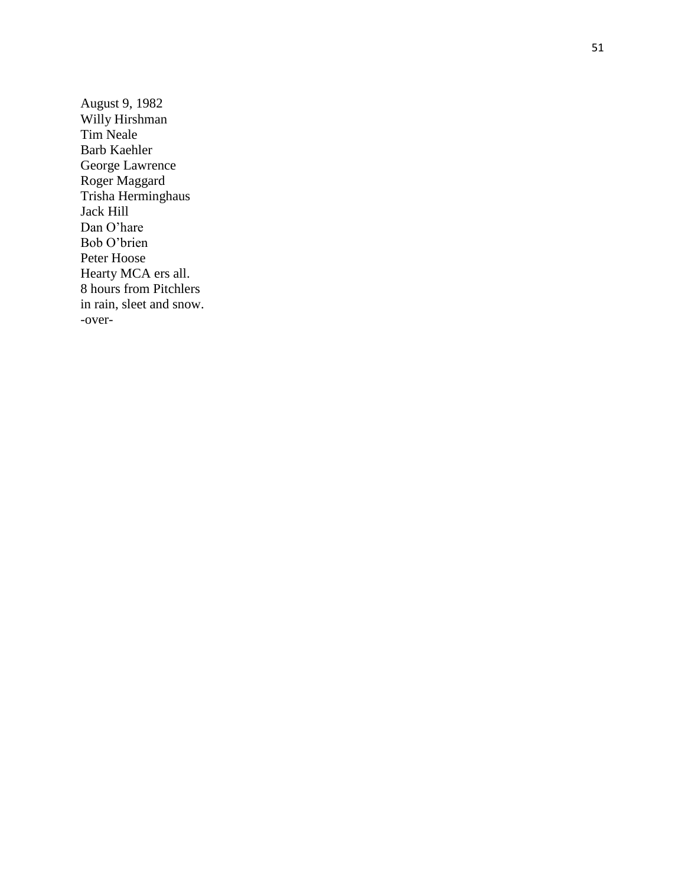August 9, 1982 Willy Hirshman Tim Neale Barb Kaehler George Lawrence Roger Maggard Trisha Herminghaus Jack Hill Dan O'hare Bob O'brien Peter Hoose Hearty MCA ers all. 8 hours from Pitchlers in rain, sleet and snow. -over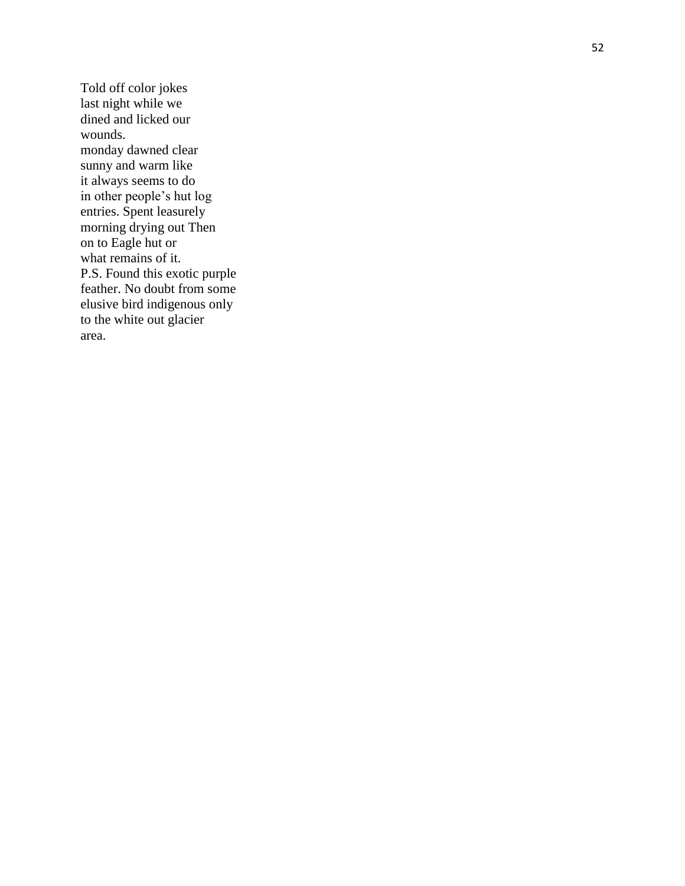Told off color jokes last night while we dined and licked our wounds. monday dawned clear sunny and warm like it always seems to do in other people's hut log entries. Spent leasurely morning drying out Then on to Eagle hut or what remains of it. P.S. Found this exotic purple feather. No doubt from some elusive bird indigenous only to the white out glacier area.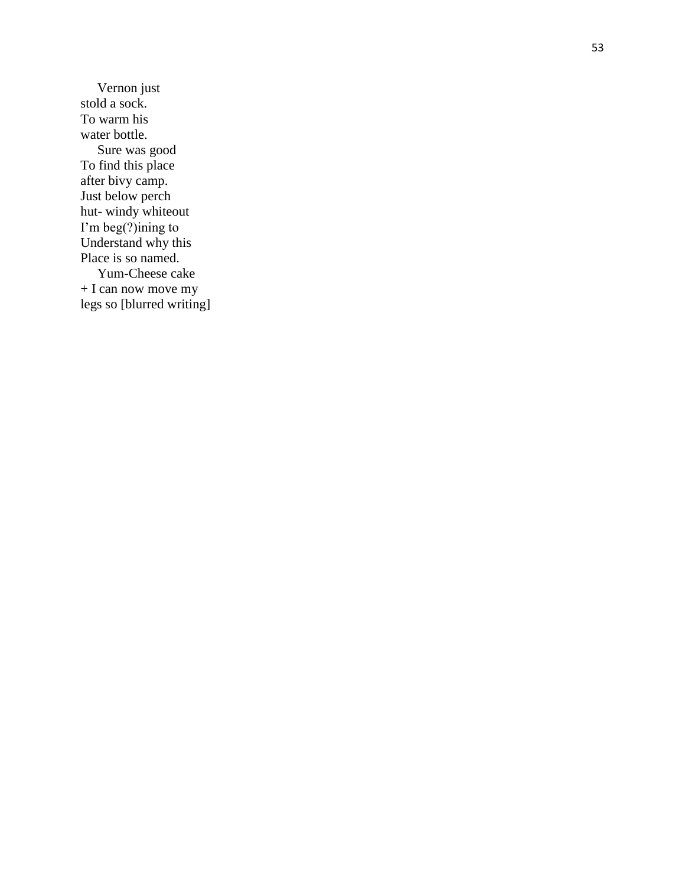Vernon just stold a sock. To warm his water bottle. Sure was good To find this place after bivy camp. Just below perch hut - windy whiteout I'm beg(?)ining to Understand why this Place is so named. Yum -Cheese cake + I can now move my legs so [blurred writing]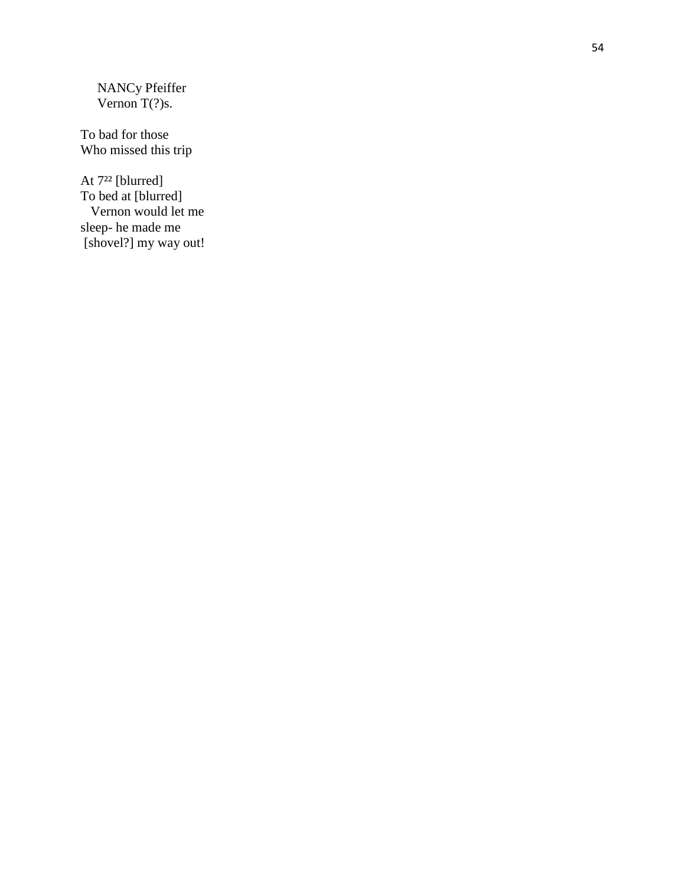NANCy Pfeiffer Vernon  $T(?)s$ .

To bad for those Who missed this trip

At 7<sup>22</sup> [blurred] To bed at [blurred] Vernon would let me sleep - he made me [shovel?] my way out!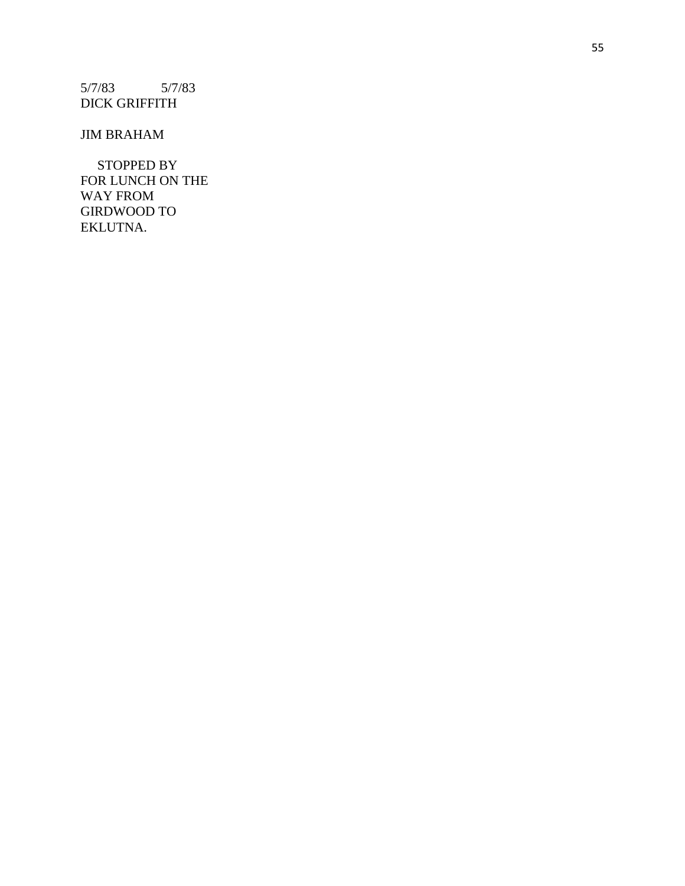5/7/83 5/7/83 DICK GRIFFITH

## JIM BRAHAM

 STOPPED BY FOR LUNCH ON THE WAY FROM GIRDWOOD TO EKLUTNA.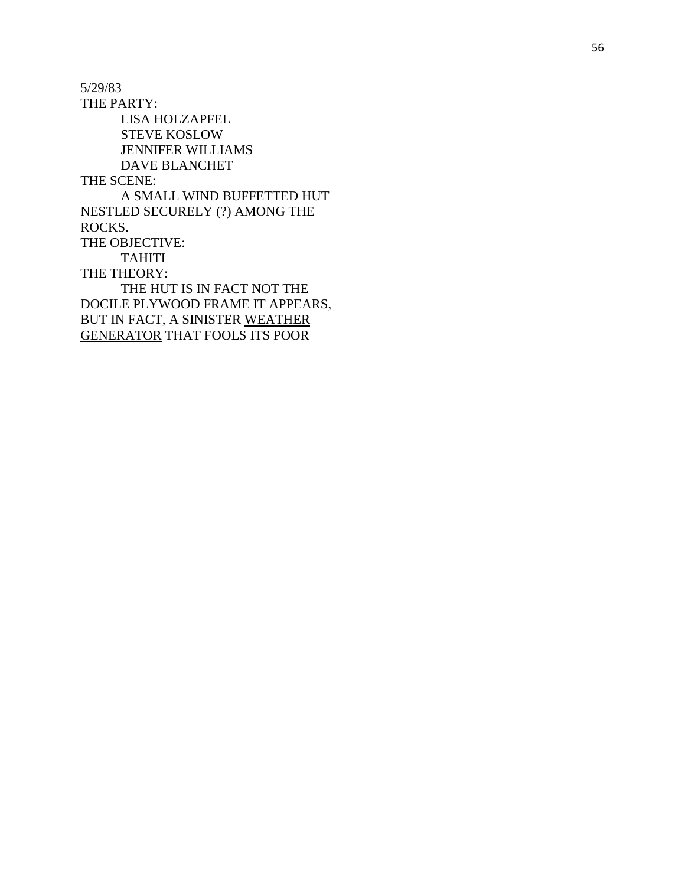5/29/83 THE PARTY: LISA HOLZAPFEL STEVE KOSLOW JENNIFER WILLIAMS DAVE BLANCHET THE SCENE: A SMALL WIND BUFFETTED HUT NESTLED SECURELY (?) AMONG THE ROCKS. THE OBJECTIVE: TAHITI THE THEORY: THE HUT IS IN FACT NOT THE DOCILE PLYWOOD FRAME IT APPEARS, BUT IN FACT, A SINISTER WEATHER GENERATOR THAT FOOLS ITS POOR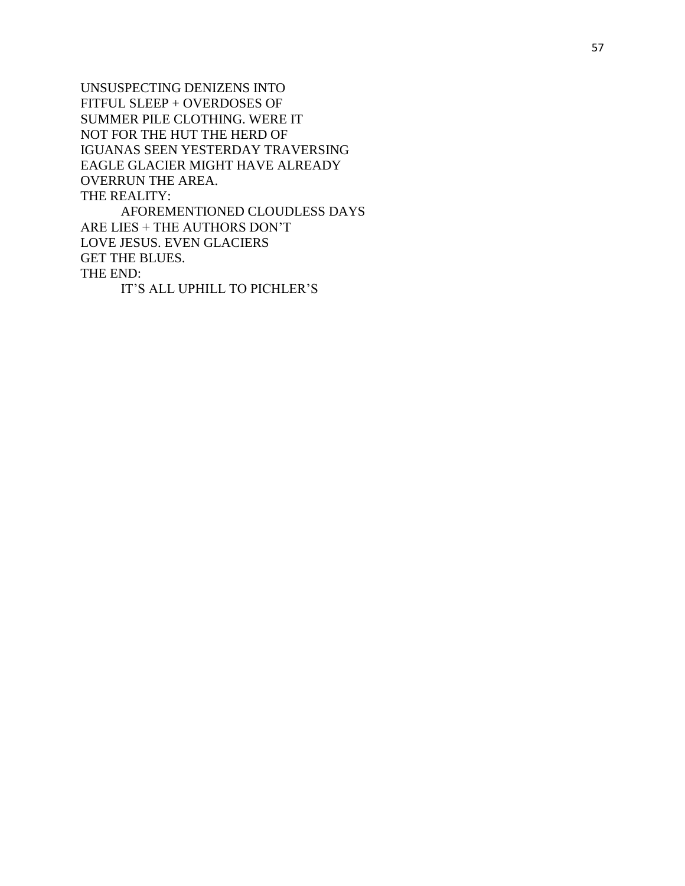UNSUSPECTING DENIZENS INTO FITFUL SLEEP + OVERDOSES OF SUMMER PILE CLOTHING. WERE IT NOT FOR THE HUT THE HERD OF IGUANAS SEEN YESTERDAY TRAVERSING EAGLE GLACIER MIGHT HAVE ALREADY OVERRUN THE AREA. THE REALITY: AFOREMENTIONED CLOUDLESS DAYS

ARE LIES + THE AUTHORS DON'T LOVE JESUS. EVEN GLACIERS GET THE BLUES. THE END: IT'S ALL UPHILL TO PICHLER'S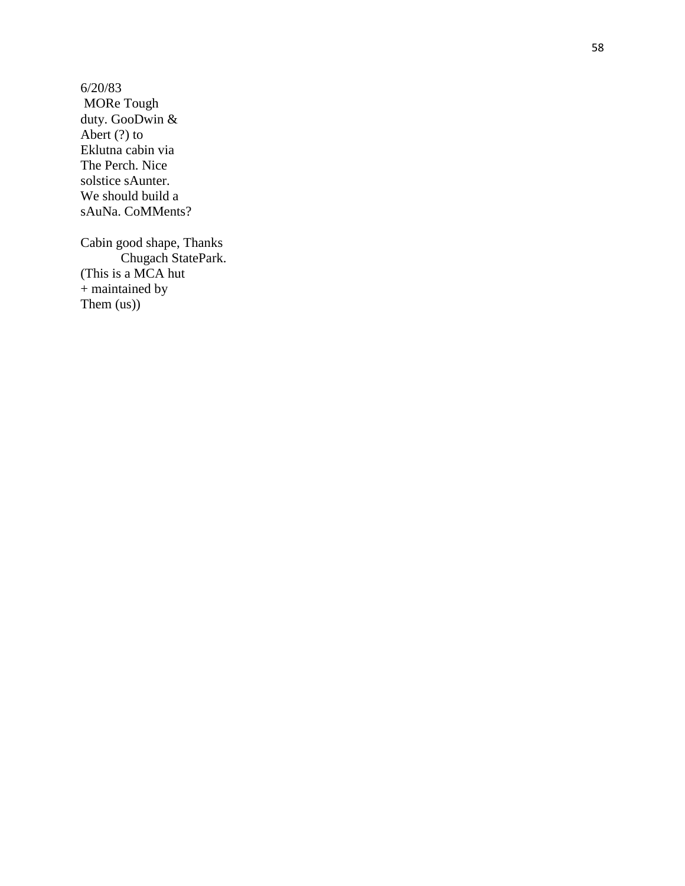6/20/83 MORe Tough duty. GooDwin & Abert (?) to Eklutna cabin via The Perch. Nice solstice sAunter. We should build a sAuNa. CoMMents?

Cabin good shape, Thanks Chugach StatePark. (This is a MCA hut + maintained by Them (us))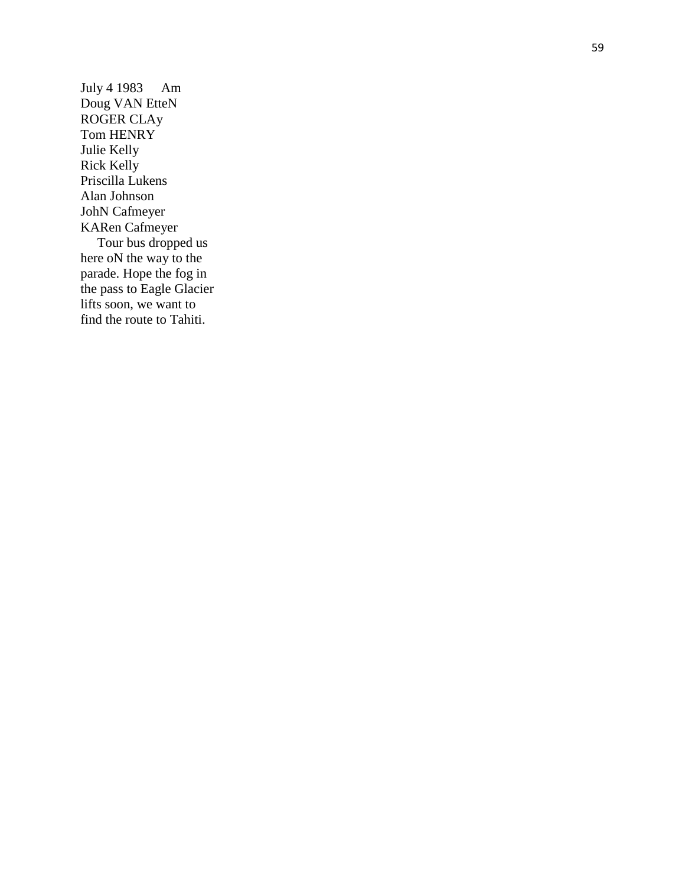July 4 1983 Am Doug VAN EtteN ROGER CLAy Tom HENRY Julie Kelly Rick Kelly Priscilla Lukens Alan Johnson JohN Cafmeyer KARen Cafmeyer Tour bus dropped us here oN the way to the parade. Hope the fog in the pass to Eagle Glacier lifts soon, we want to find the route to Tahiti.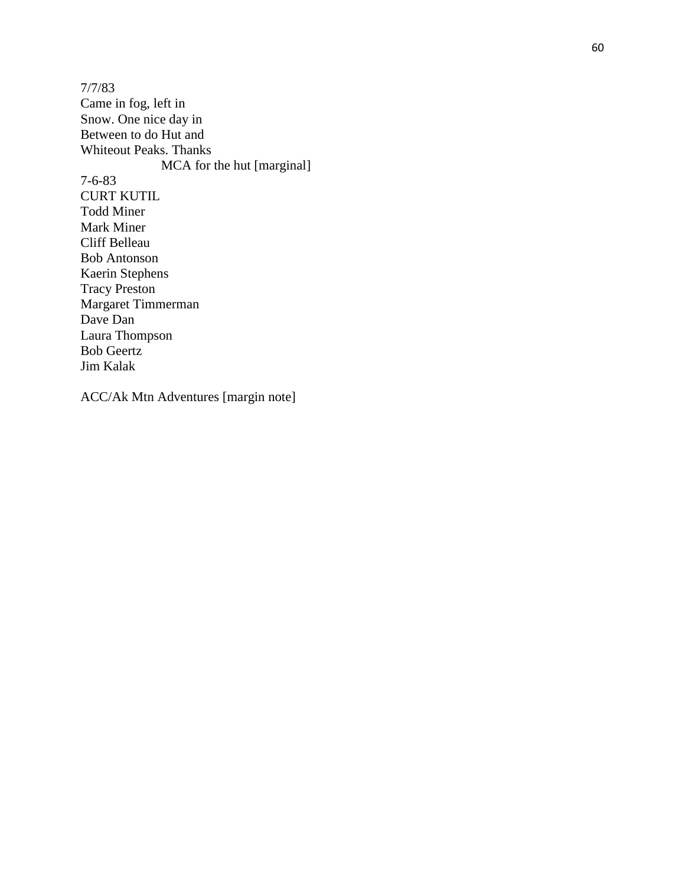7/7/83 Came in fog, left in Snow. One nice day in Between to do Hut and Whiteout Peaks. Thanks MCA for the hut [marginal] 7 - 6 -83 CURT KUTIL Todd Miner Mark Miner Cliff Belleau Bob Antonson Kaerin Stephens Tracy Preston Margaret Timmerman Dave Dan Laura Thompson Bob Geertz Jim Kalak

ACC/Ak Mtn Adventures [margin note]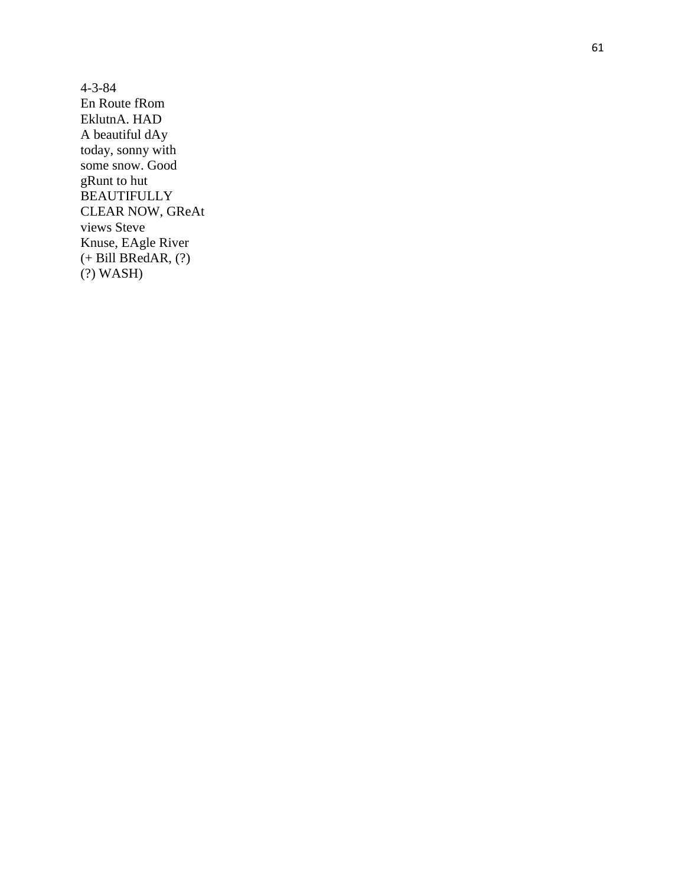$4 - 3 - 84$ En Route fRom EklutnA. HAD A beautiful dAy today, sonny with some snow. Good gRunt to hut **BEAUTIFULLY** CLEAR NOW, GReAt views Steve Knuse, EAgle River  $(+ Bill BRedAR, (?)$  $(?)$  WASH $)$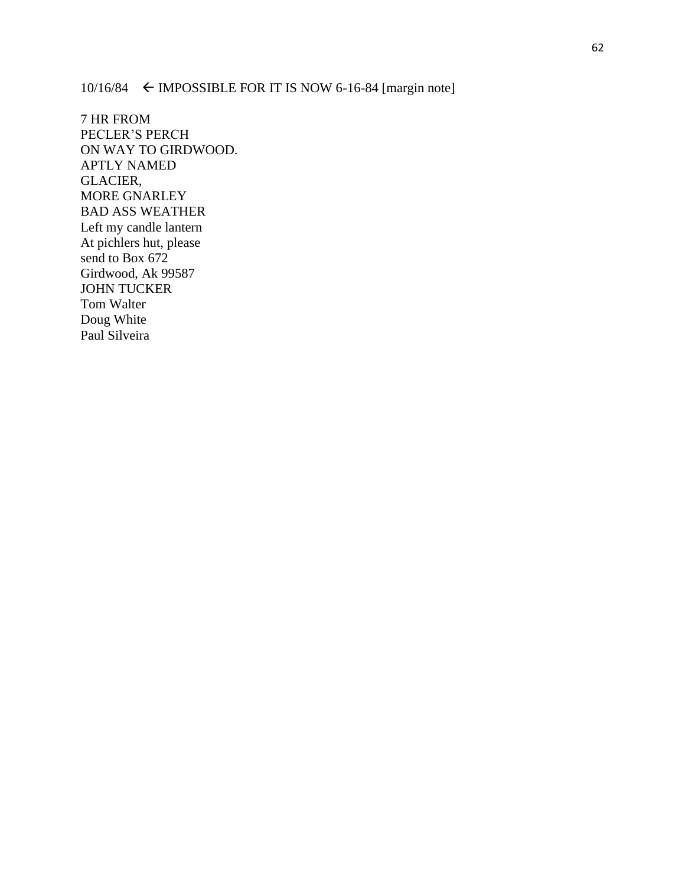10/16/84  $\leftarrow$  IMPOSSIBLE FOR IT IS NOW 6-16-84 [margin note]

7 HR FROM PECLER'S PERCH ON WAY TO GIRDWOOD. APTLY NAMED GLACIER, MORE GNARLEY BAD ASS WEATHER Left my candle lantern At pichlers hut, please send to Box 672 Girdwood, Ak 99587 JOHN TUCKER Tom Walter Doug White Paul Silveira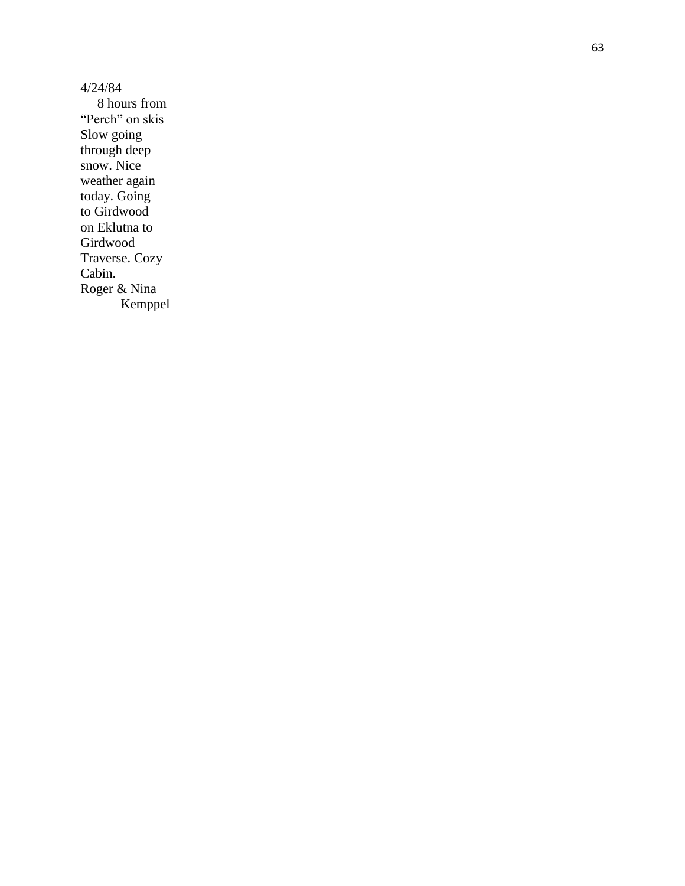4/24/84 8 hours from "Perch" on skis Slow going through deep snow. Nice weather again today. Going to Girdwood on Eklutna to Girdwood Traverse. Cozy Cabin. Roger & Nina Kemppel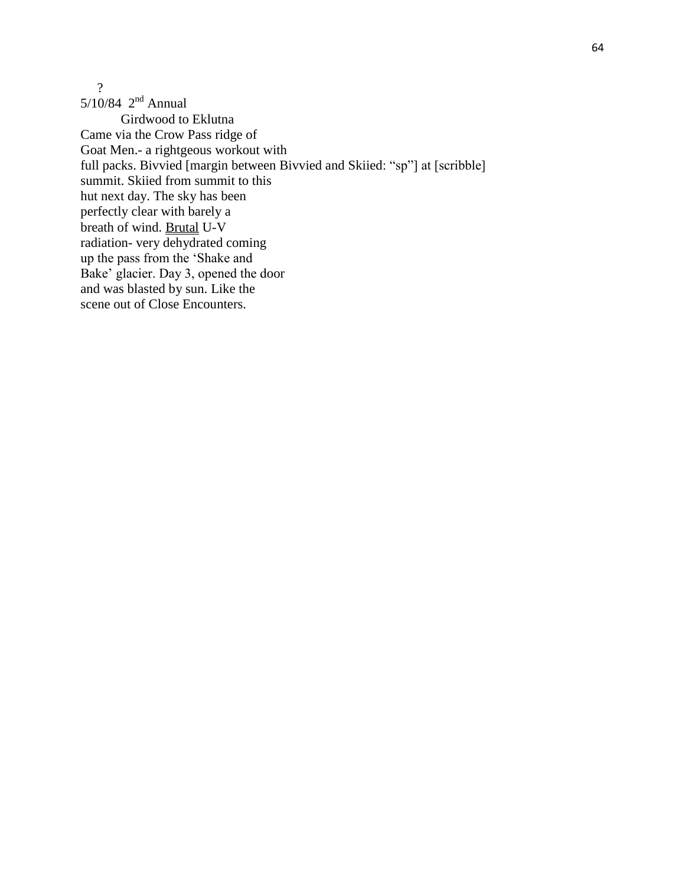?

5/10/84  $2^{nd}$  Annual Girdwood to Eklutna Came via the Crow Pass ridge of Goat Men.- a rightgeous workout with full packs. Bivvied [margin between Bivvied and Skiied: "sp"] at [scribble] summit. Skiied from summit to this hut next day. The sky has been perfectly clear with barely a breath of wind. Brutal U-V radiation- very dehydrated coming up the pass from the 'Shake and Bake' glacier. Day 3, opened the door and was blasted by sun. Like the scene out of Close Encounters.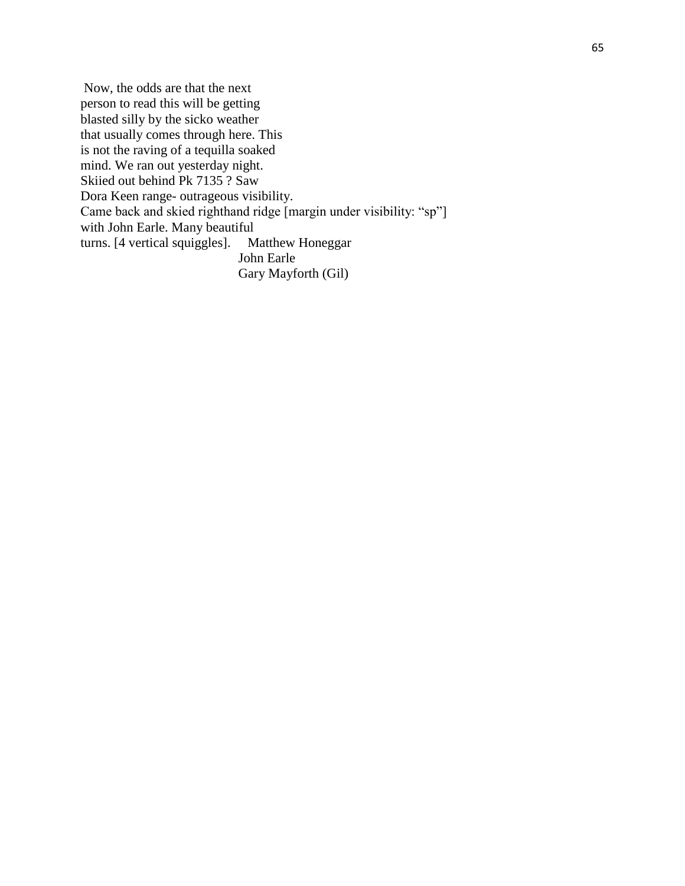Now, the odds are that the next person to read this will be getting blasted silly by the sicko weather that usually comes through here. This is not the raving of a tequilla soaked mind. We ran out yesterday night. Skiied out behind Pk 7135 ? Saw Dora Keen range- outrageous visibility. Came back and skied righthand ridge [margin under visibility: "sp"] with John Earle. Many beautiful<br>turns. [4 vertical squiggles]. Matthew Honeggar turns.  $[4$  vertical squiggles]. John Earle Gary Mayforth (Gil)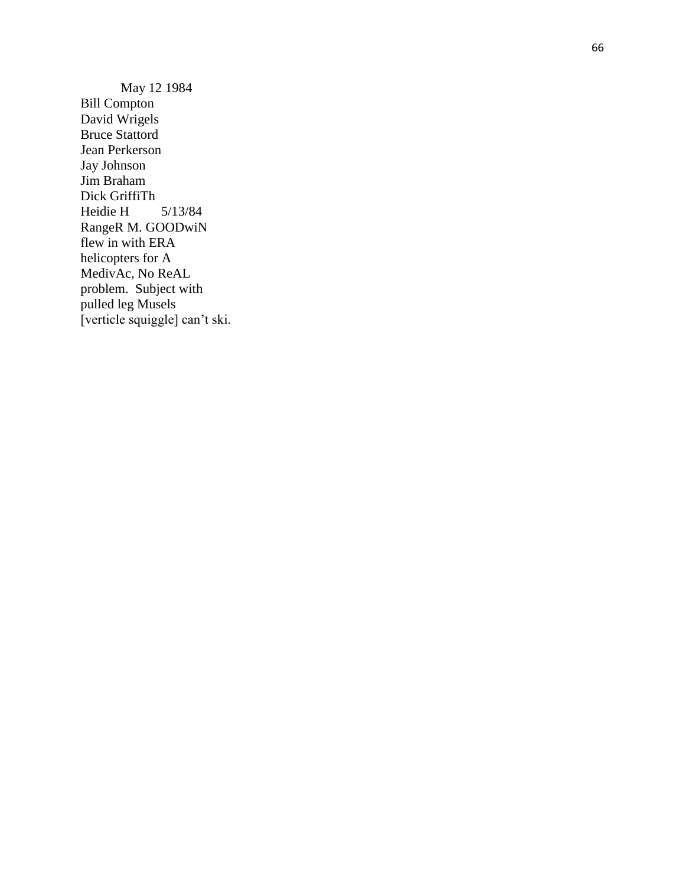May 12 1984 Bill Compton David Wrigels Bruce Stattord Jean Perkerson Jay Johnson Jim Braham Dick GriffiTh Heidie H 5/13/84 RangeR M. GOODwiN flew in with ERA helicop ters for A MedivAc, No ReAL problem. Subject with pulled leg Musels [verticle squiggle] can't ski.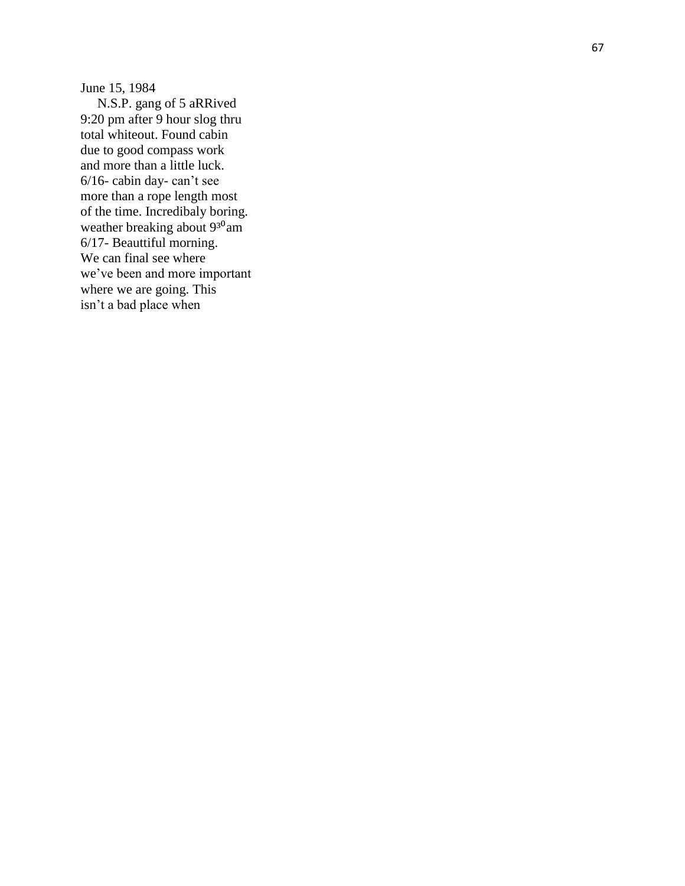June 15, 1984

 N.S.P. gang of 5 aRRived 9:20 pm after 9 hour slog thru total whiteout. Found cabin due to good compass work and more than a little luck. 6/16 - cabin day - can't see more than a rope length most of the time. Incredibaly boring. weather breaking about 9<sup>30</sup>am 6/17 - Beauttiful morning. We can final see where we've been and more important where we are going. This isn't a bad place when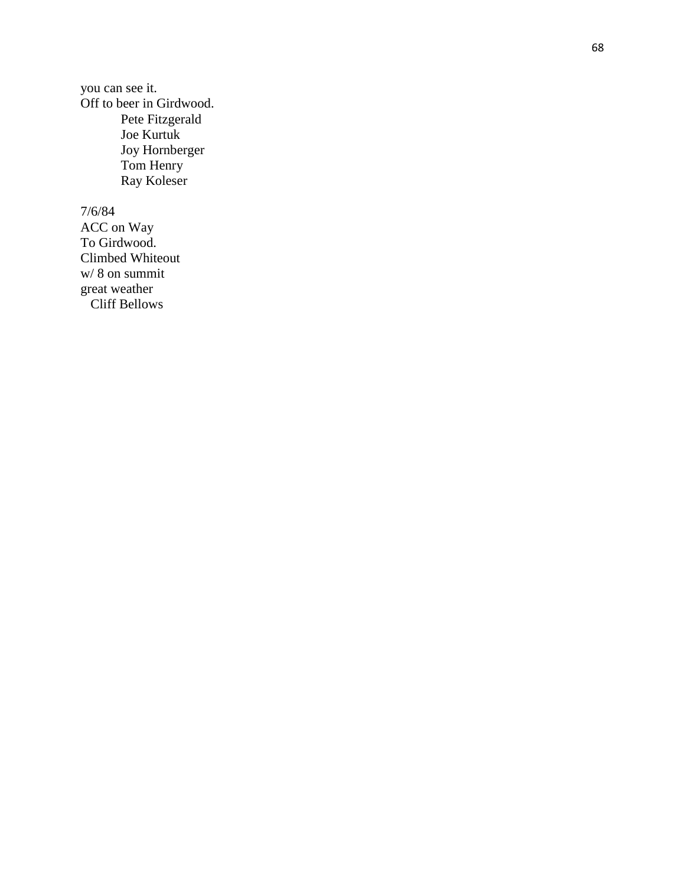you can see it. Off to beer in Girdwood. Pete Fitzgerald Joe Kurtuk Joy Hornberger Tom Henry Ray Kolese r

7/6/84

ACC on Way To Girdwood. Climbed Whiteout w/ 8 on summit great weather Cliff Bellows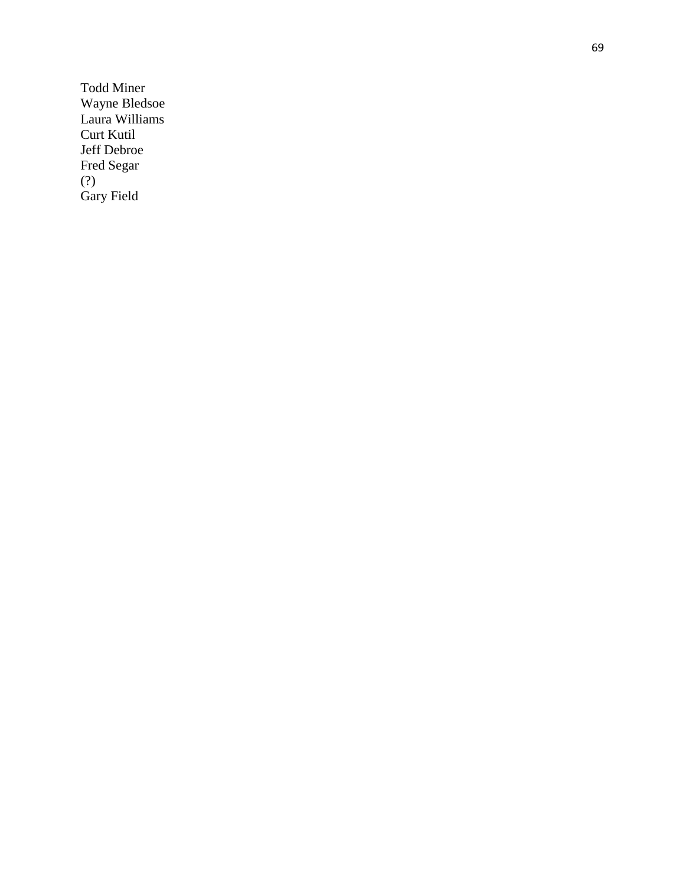Todd Miner Wayne Bledsoe Laura Williams Curt Kutil Jeff Debroe Fred Segar (?) Gary Field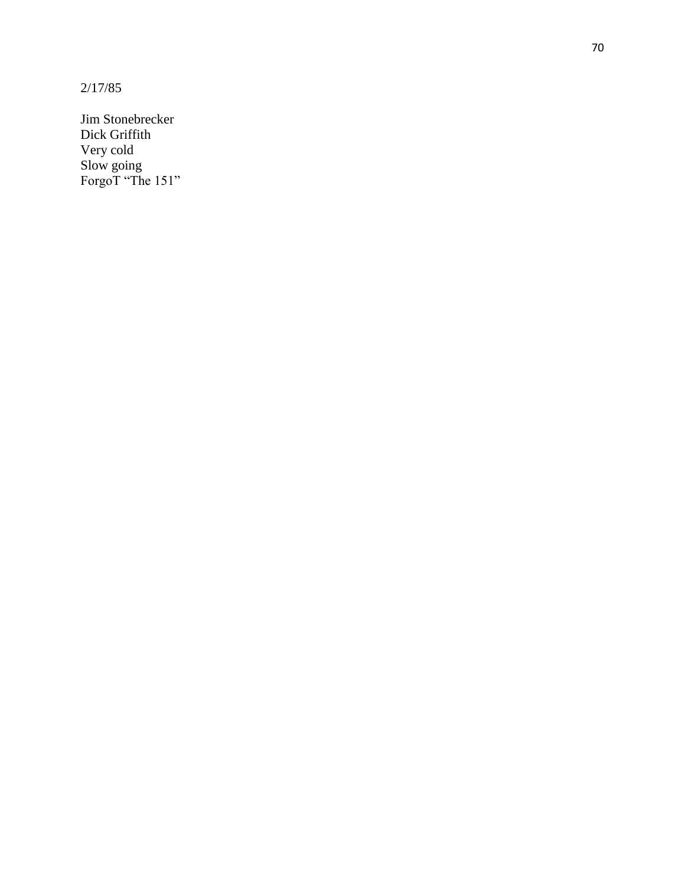2/17/85

Jim Stonebrecker Dick Griffith Very cold Slow going ForgoT "The 151"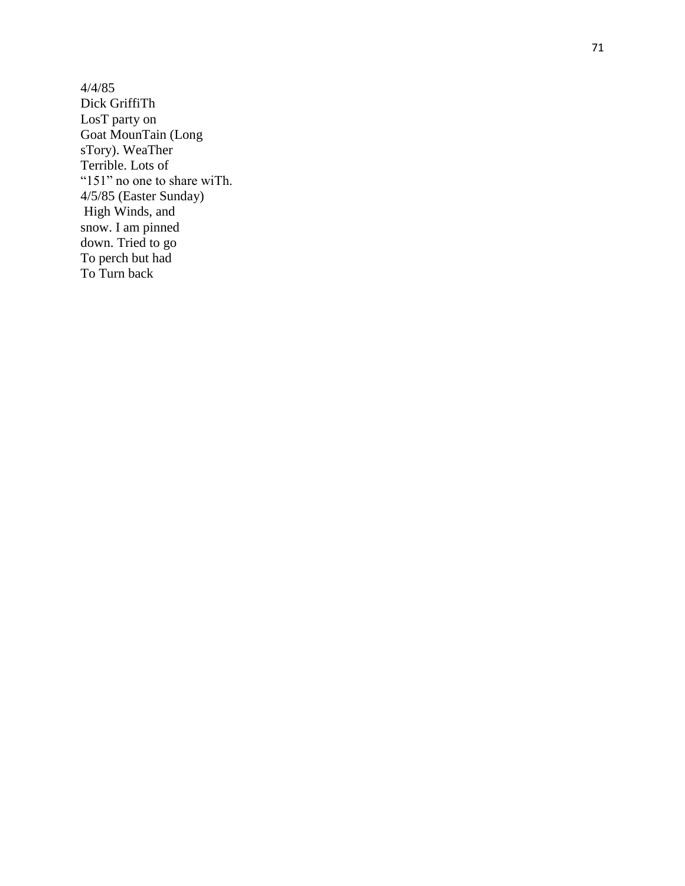4/4/85 Dick GriffiTh LosT party on Goat MounTain (Long sTory). WeaTher Terrible. Lots of "151" no one to share wiTh. 4/5/85 (Easter Sunday) High Winds, and snow. I am pinned down. Tried to go To perch but had To Turn back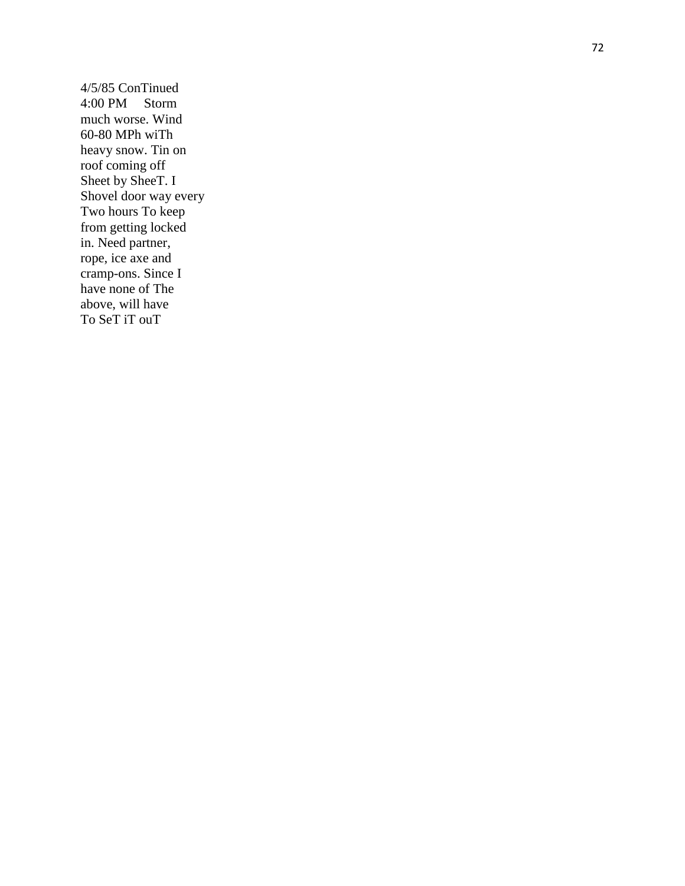4/5/85 ConTinued 4:00 PM Storm much worse. Wind 60 -80 MPh wiTh heavy snow. Tin on roof coming off Sheet by SheeT. I Shovel door way every Two hours To keep from getting locked in. Need partner, rope, ice axe and cramp -ons. Since I have none of The above, will have To SeT iT ouT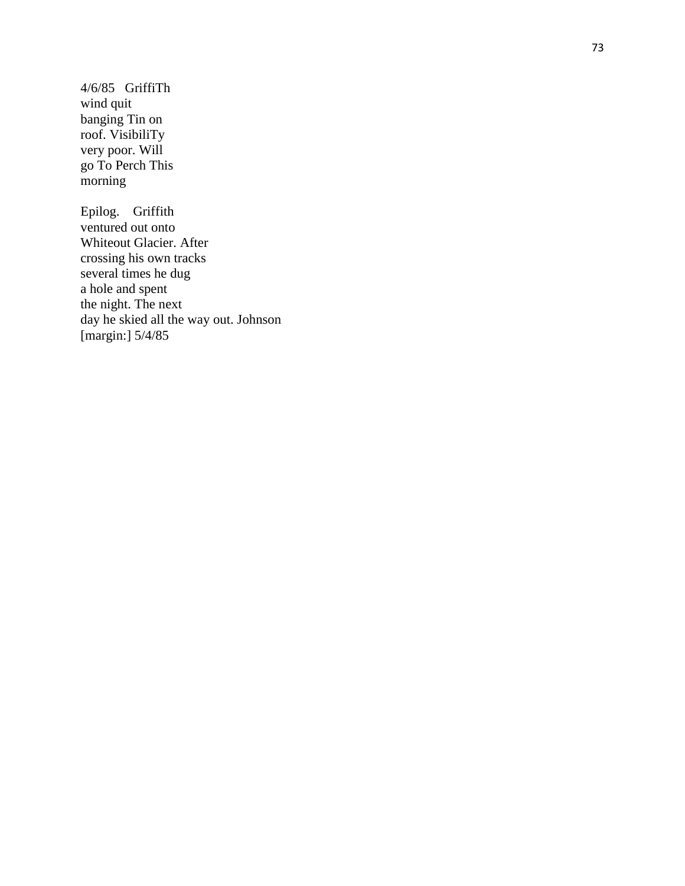4/6/85 GriffiTh wind quit banging Tin on roof. VisibiliTy very poor. Will go To Perch This morning

Epilog. Griffith ventured out onto Whiteout Glacier. After crossing his own tracks several times he dug a hole and spent the night. The next day he skied all the way out. Johnson [margin:] 5/4/85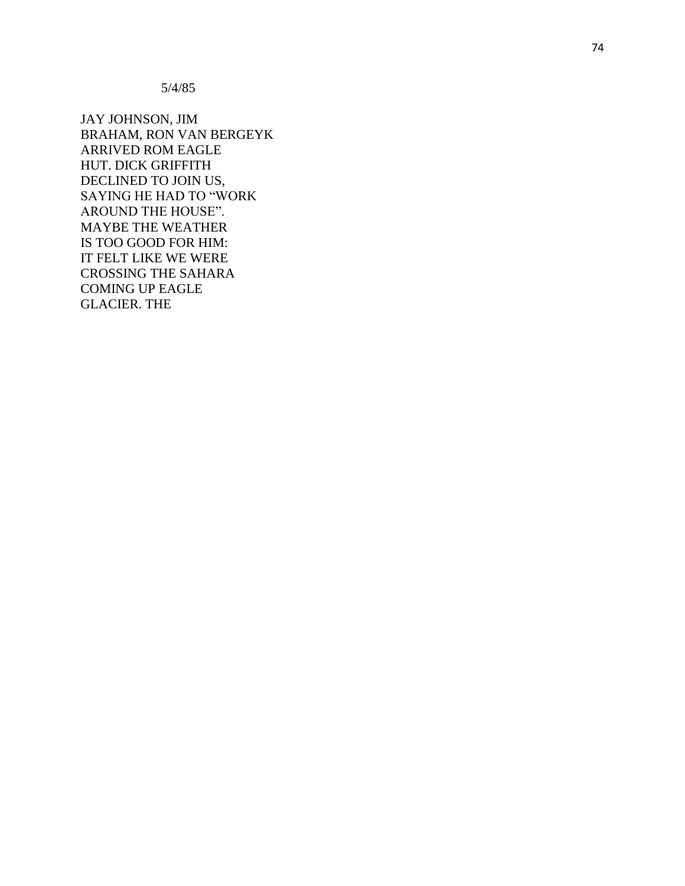5/4/85

JAY JOHNSON, JIM BRAHAM, RON VAN BERGEYK ARRIVED ROM EAGLE HUT. DICK GRIFFITH DECLINED TO JOIN US, SAYING HE HAD TO "WORK AROUND THE HOUSE". MAYBE THE WEATHER IS TOO GOOD FOR HIM: IT FELT LIKE WE WERE CROSSING THE SAHARA COMING UP EAGLE GLACIER. THE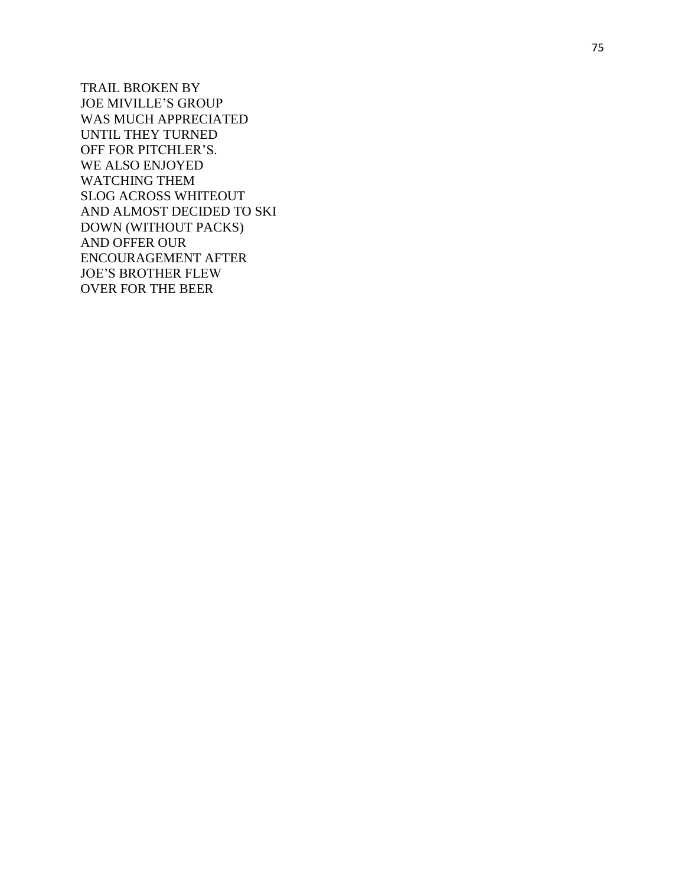TRAIL BROKEN BY JOE MI VILLE'S GROUP WAS MUCH APPRECIATED UNTIL THEY TURNED OFF FOR PITCHLER'S. WE ALSO ENJOYED WATCHING THE M SLOG ACROSS WHITEOUT AND ALMOST DECIDED TO SKI DOWN (WITHOUT PACKS) AND OFFER OUR ENCOURAGEMENT AFTER JOE'S BROTHER FLEW OVER FOR THE BEER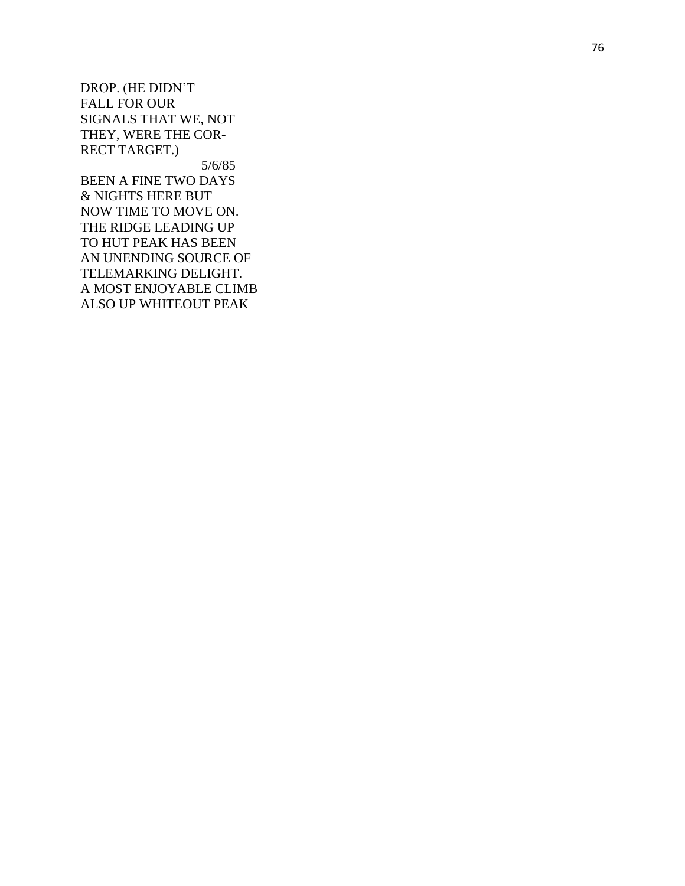DROP. (HE DIDN'T FALL FOR OUR SIGNALS THAT WE, NOT THEY, WERE THE COR - RECT TARGET.) 5/6/85

BEEN A FINE TWO DAYS & NIGHTS HERE BUT NOW TIME TO MOVE ON. THE RIDGE LEADING UP TO HUT PEAK HAS BEEN AN UNENDING SOURCE OF TELEMARKING DELIGHT. A MOST ENJOYABLE CLIMB ALSO UP WHITEOUT PEAK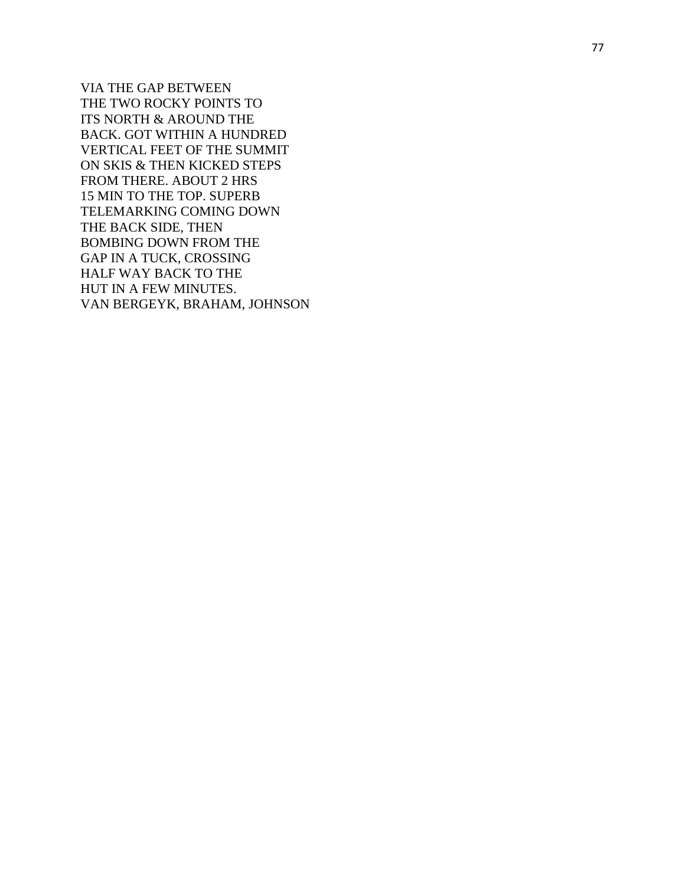VIA THE GAP BETWEEN THE TWO ROCKY POINTS TO ITS NORTH & AROUND THE BACK. GOT WITHIN A HUNDRED VERTICAL FEET OF THE SUMMIT ON SKIS & THEN KICKED STEPS FROM THERE. ABOUT 2 HRS 15 MIN TO THE TOP. SUPERB TELEMARKING COMING DOWN THE BACK SIDE, THEN BOMBING DOWN FROM THE GAP IN A TUCK, CROSSING HALF WAY BACK TO THE HUT IN A FEW MINUTES. VAN BERGEYK, BRAHAM, JOHNSON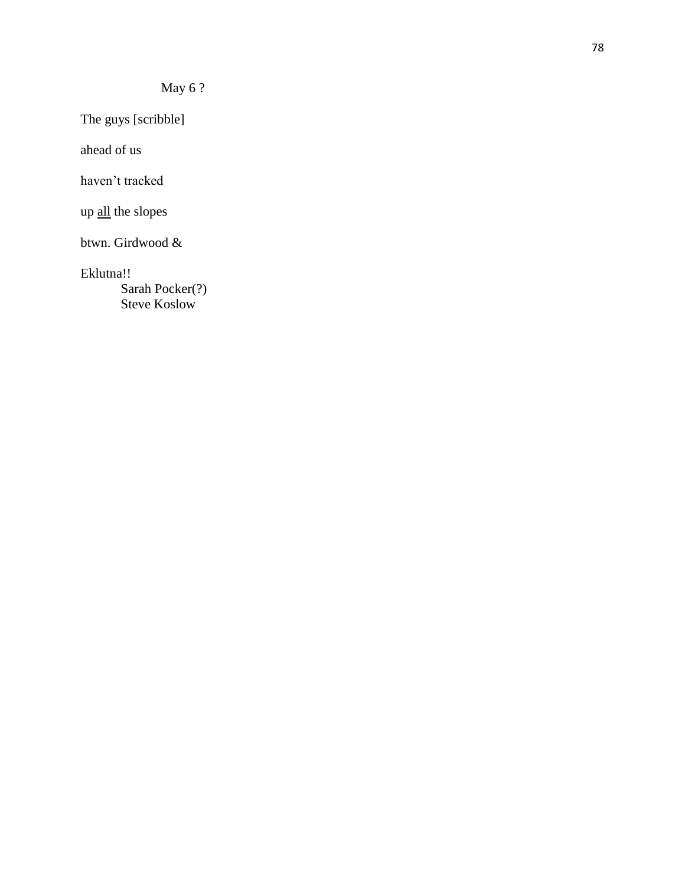The guys [scribble]

ahead of us

haven't tracked

up all the slopes

btwn. Girdwood &

Eklutna!!

Sarah Pocker(?) Steve Koslow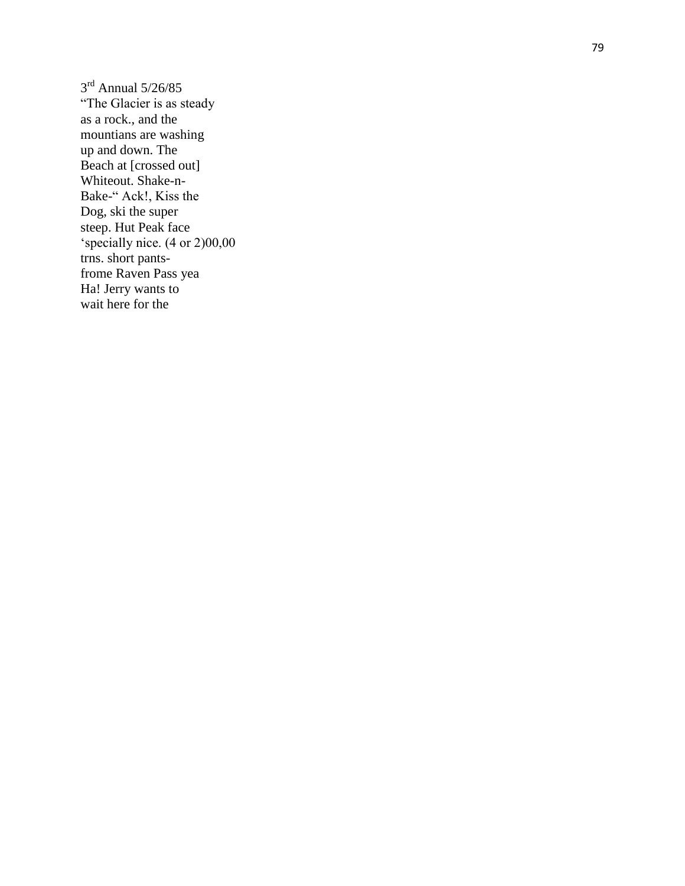$3<sup>rd</sup>$  Annual 5/26/85 "The Glacier is as steady as a rock., and the mountians are washing up and down. The Beach at [crossed out] Whiteout. Shake-n-Bake -" Ack!, Kiss the Dog, ski the super steep. Hut Peak face 'specially nice. (4 or 2)00,00 trns. short pants frome Raven Pass yea Ha! Jerry wants to wait here for the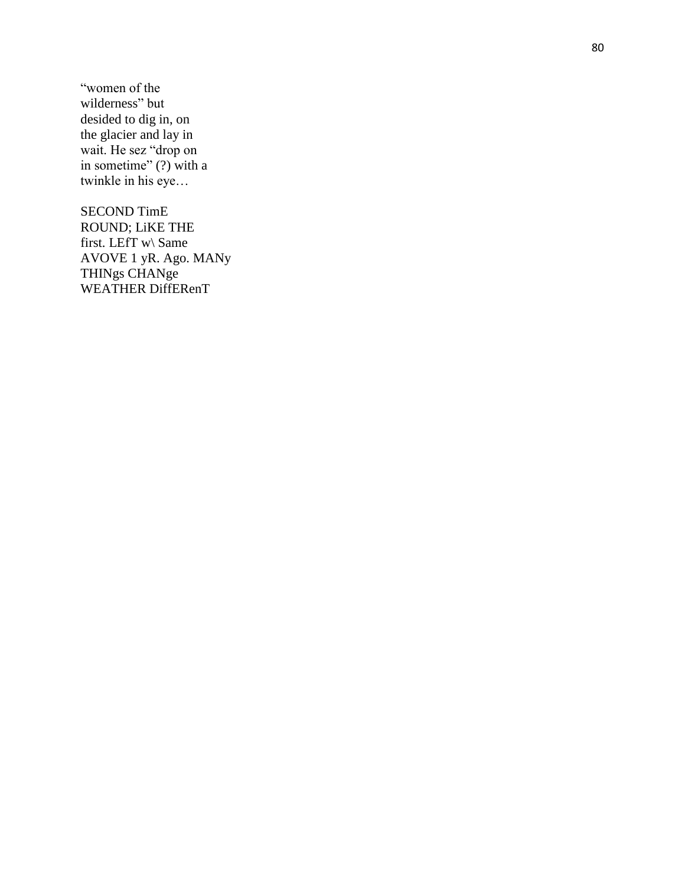"women of the wilderness" but desided to dig in, on the glacier and lay in wait. He sez "drop on in sometime"  $(?)$  with a twinkle in his eye…

SECOND TimE ROUND; LiKE THE first. LEfT w\ Same AVOVE 1 yR. Ago. MANy THINgs CHANge WEATHER DiffERenT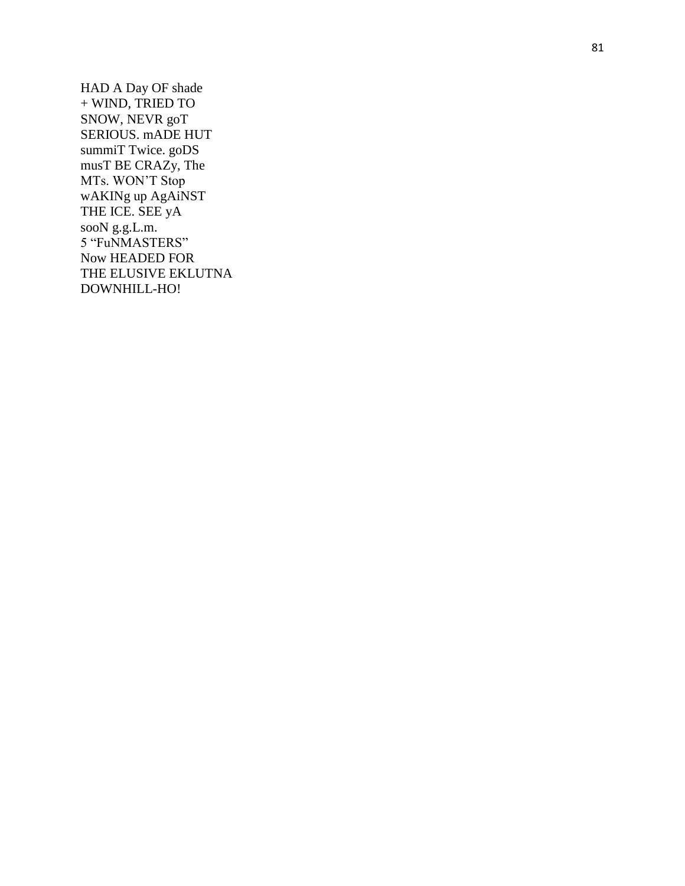HAD A Day OF shade + WIND, TRIED TO SNOW, NEVR goT SERIOUS. mADE HUT summiT Twice. goDS musT BE CRAZy, The MTs. WON'T Stop wAKINg up AgAiNST THE ICE. SEE yA sooN g.g.L.m. 5 "FuNMASTERS" Now HEADED FOR THE ELUSIVE EKLUTNA DOWNHILL-HO!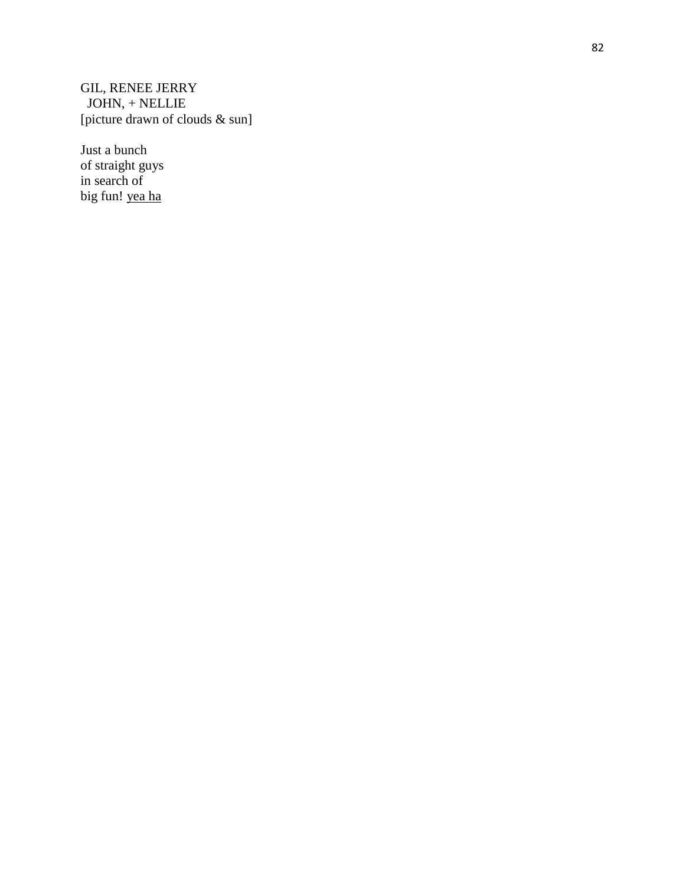GIL, RENEE JERRY JOHN, + NELLIE [picture drawn of clouds & sun]

Just a bunch of straight guys in search of big fun! yea ha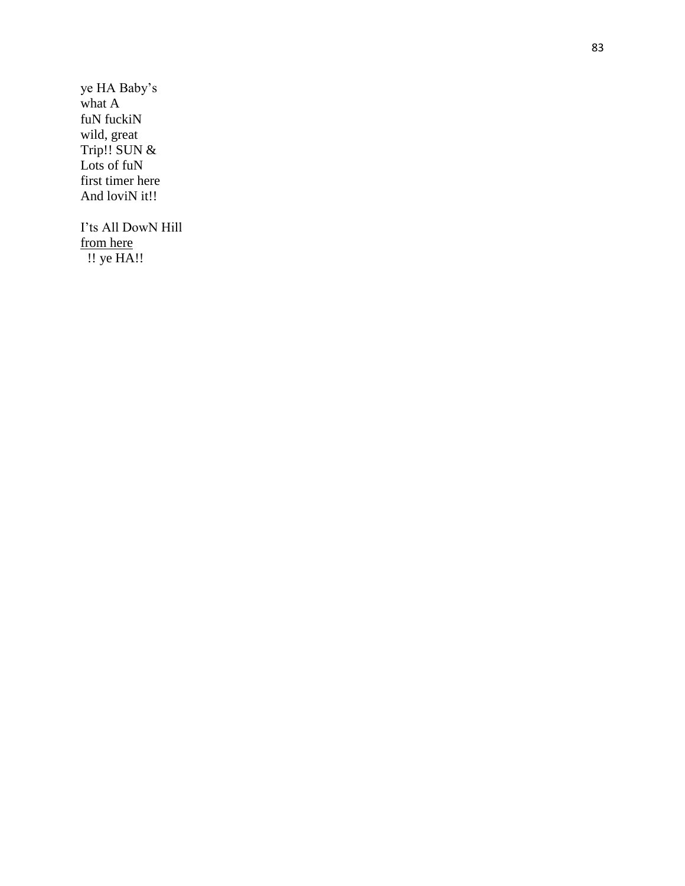ye HA Baby's what A fuN fuckiN wild, great Trip!! SUN & Lots of fuN first timer here And loviN it!!

I'ts All DowN Hill from here !! ye HA!!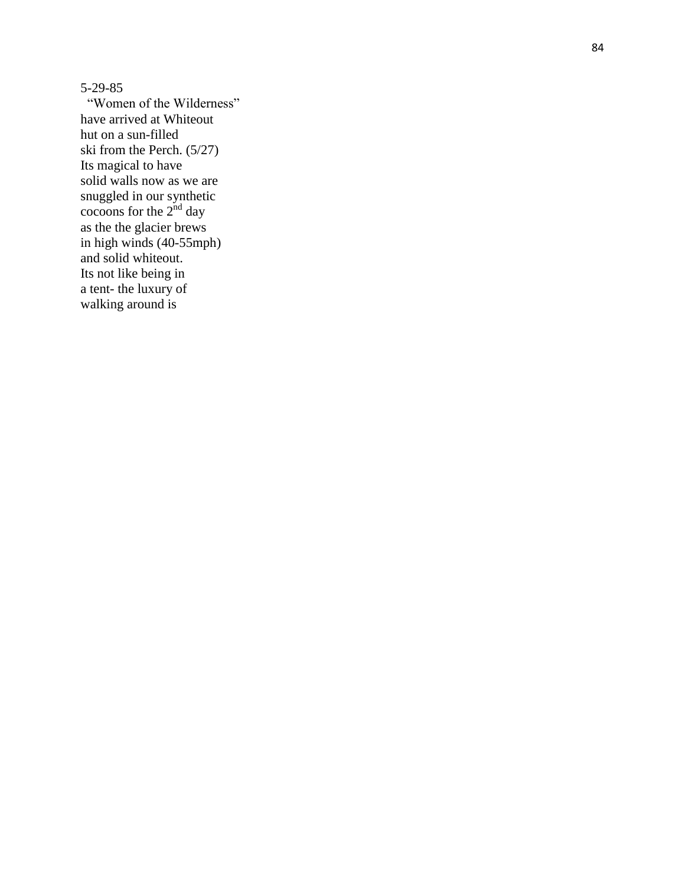5 -29 -85

 "Women of the Wilderness" have arrived at Whiteout hut on a sun -filled ski from the Perch. (5/27) Its magical to have solid walls now as we are snuggled in our synthetic cocoons for the  $2<sup>nd</sup>$  day as the the glacier brews in high winds (40 -55mph) and solid whiteout. Its not like being in a tent - the luxury of walking around is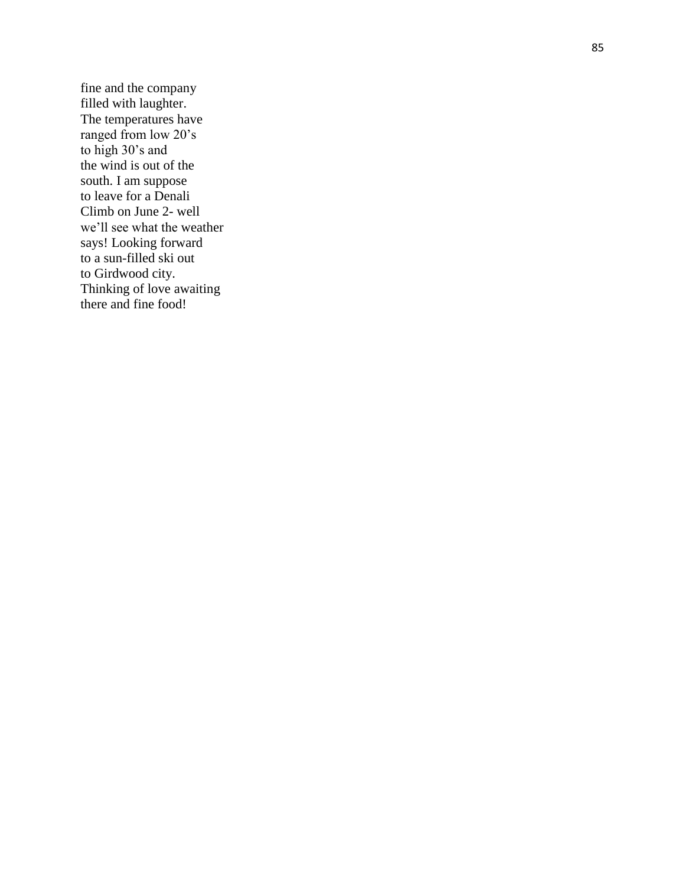fine and the company filled with laughter. The temperatures have ranged from low 20's to high 30's and the wind is out of the south. I am suppose to leave for a Denali Climb on June 2 - well we'll see what the weather says! Looking forward to a sun -filled ski out to Girdwood city. Thinking of love awaiting there and fine food!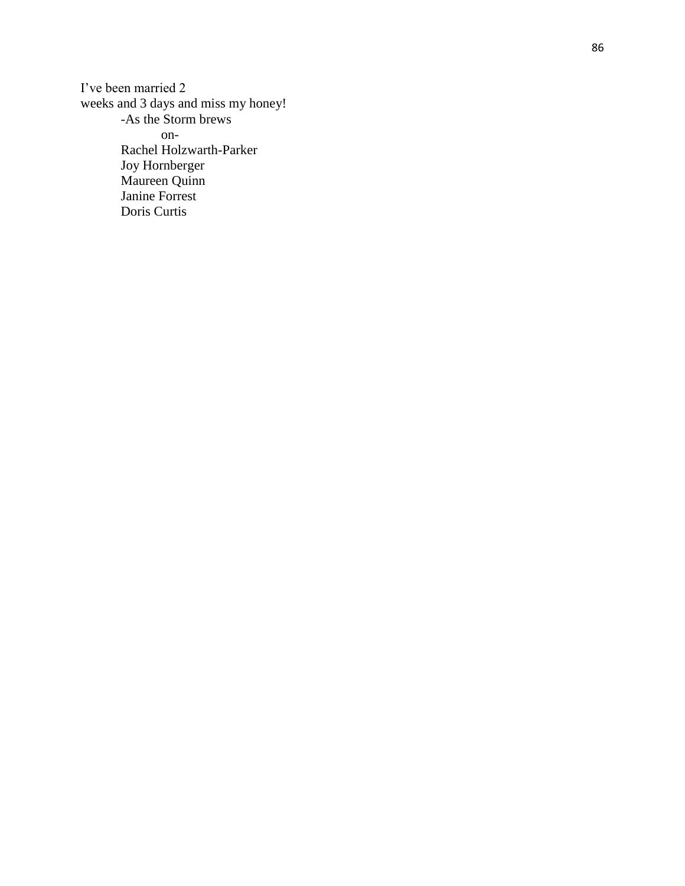I've been married 2 weeks and 3 days and miss my honey! -As the Storm brews on - Rachel Holzwarth -Parker Joy Hornberger Maureen Quinn Janine Forrest Doris Curtis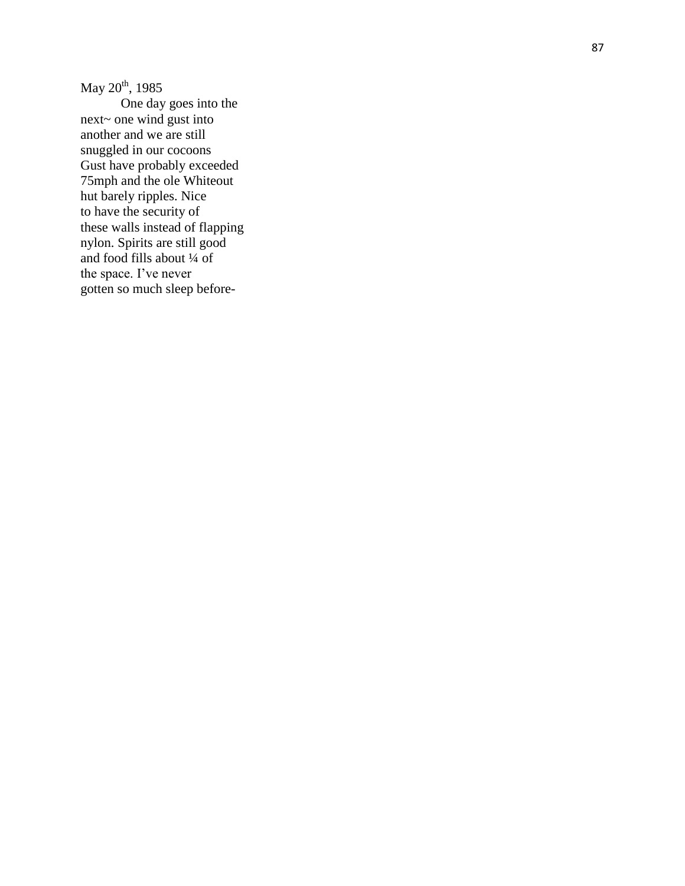May 20<sup>th</sup>, 1985

One day goes into the next~ one wind gust into another and we are still snuggled in our cocoons Gust have probably exceeded 75mph and the ole Whiteout hut barely ripples. Nice to have the security of these walls instead of flapping nylon. Spirits are still good and food fills about ¼ of the space. I've never gotten so much sleep before -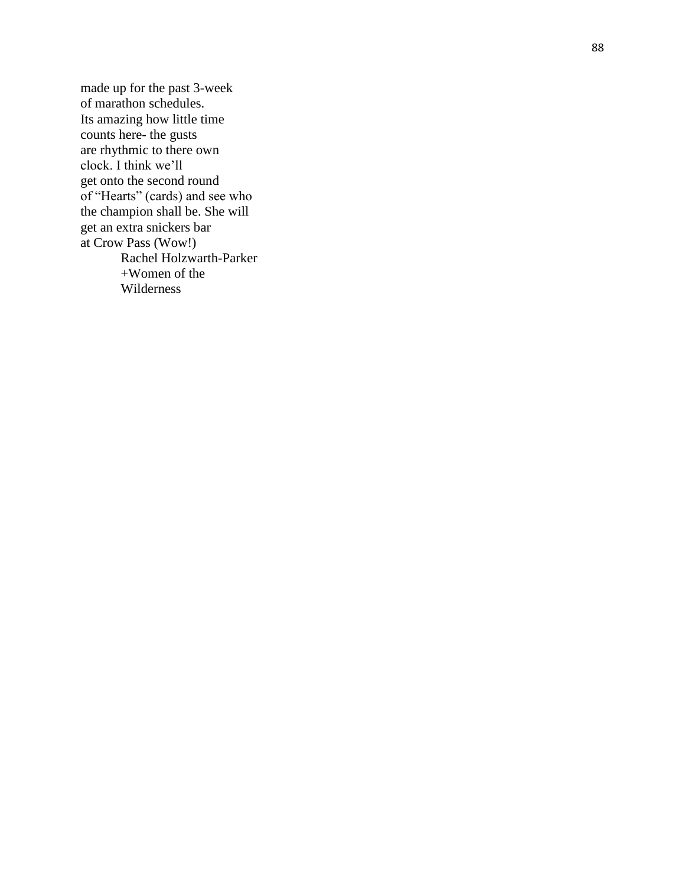made up for the past 3 -week of marathon schedules. Its amazing how little time counts here - the gusts are rhythmic to there own clock. I think we'll get onto the second round of "Hearts" (cards) and see who the champion shall be. She will get an extra snickers bar at Crow Pass (Wow!) Rachel Holzwart h -Parker +Women of the Wilderness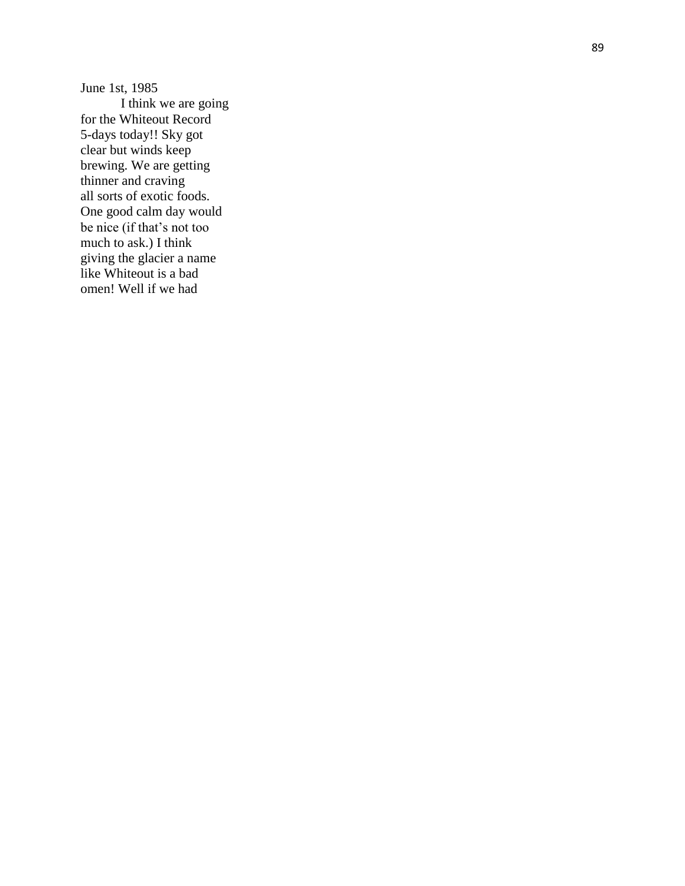June 1st, 1985 I think we are going for the Whiteout Record 5-days today!! Sky got clear but winds keep brewing. We are getting thinner and craving all sorts of exotic foods. One good calm day would be nice (if that's not too much to ask.) I think giving the glacier a name like Whiteout is a bad omen! Well if we had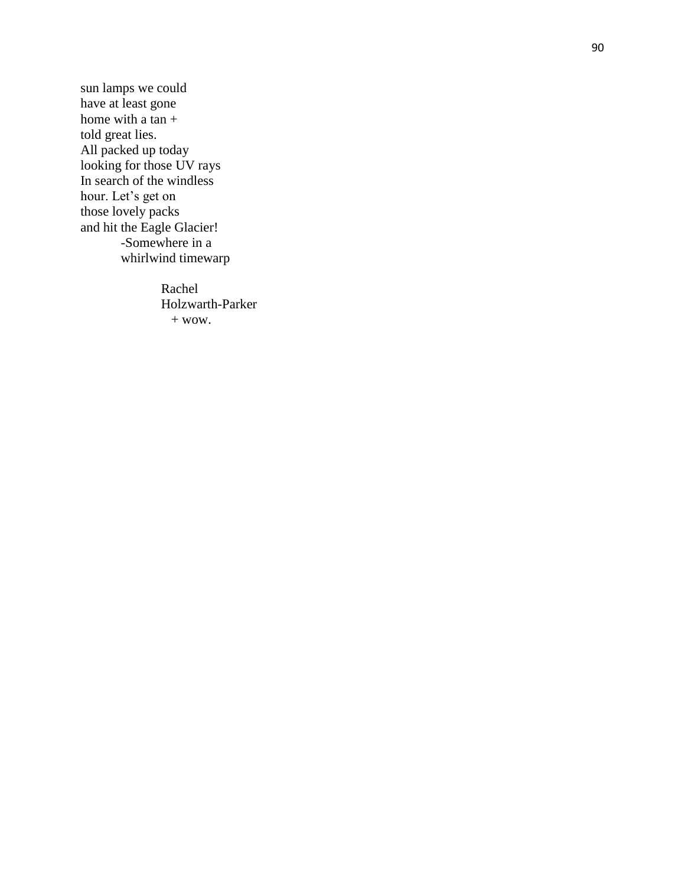sun lamps we could have at least gone home with a tan  $+$ told great lies. All packed up today looking for those UV rays In search of the windless hour. Let's get on those lovely packs and hit the Eagle Glacier! -Somewhere in a whirlwind timewarp

> Rachel Holzwarth -Parker  $+$  wow.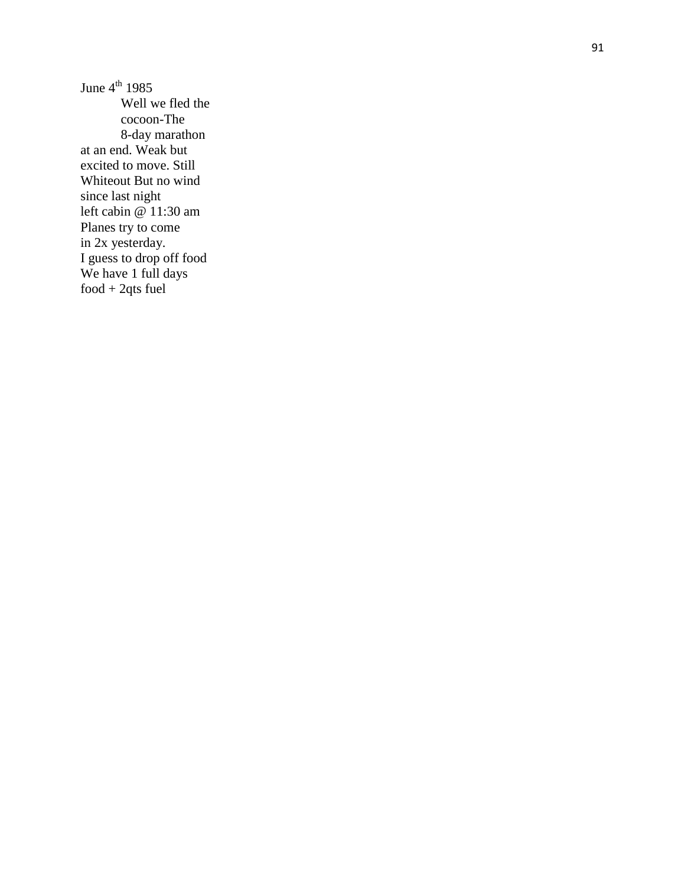June  $4^{\text{th}}$  1985 Well we fled the cocoon -The 8 -day marathon at an end. Weak but excited to move. Still Whiteout But no wind since last night left cabin @ 11:30 am Planes try to come in 2x yesterday. I guess to drop off food We have 1 full days food + 2qts fuel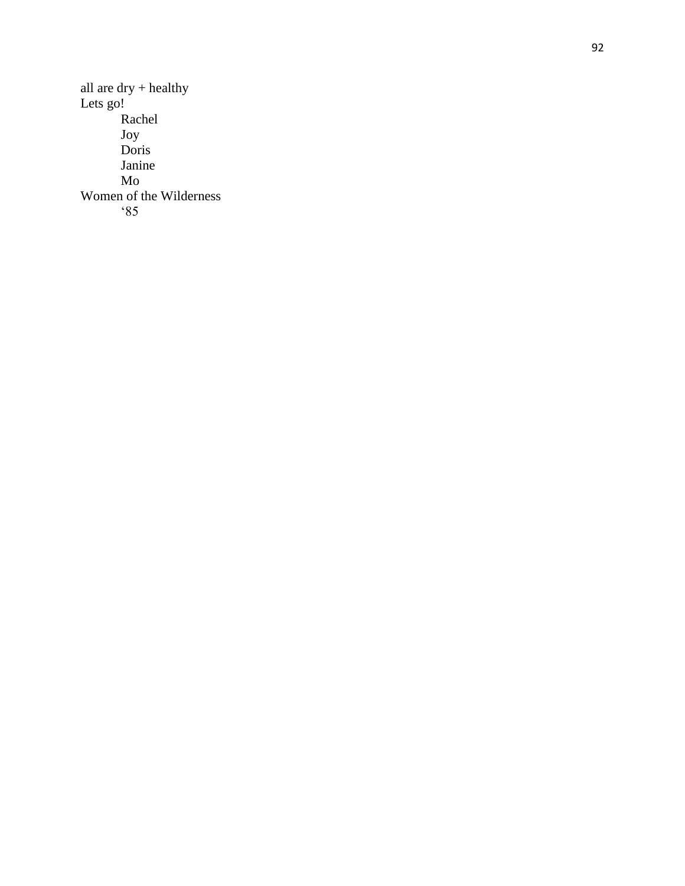all are dry + healthy Lets go! Rachel Joy Doris Janine Mo Women of the Wilderness '85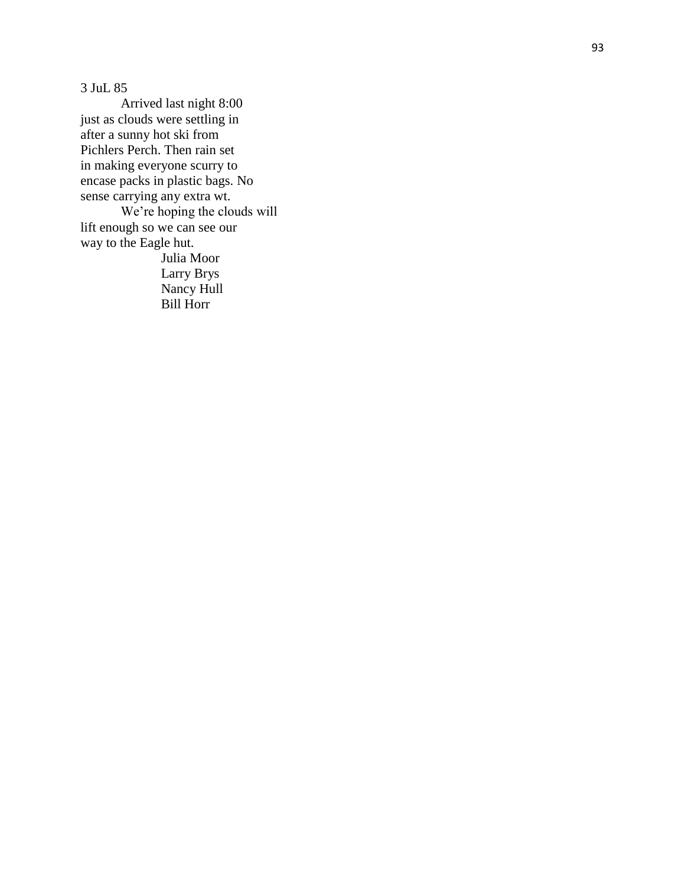3 JuL 85

Arrived last night 8:00 just as clouds were settling in after a sunny hot ski from Pichlers Perch. Then rain set in making everyone scurry to encase packs in plastic bags. No sense carrying any extra wt. We're hoping the clouds will lift enough so we can see our way to the Eagle hut. Julia Moor

Larry Brys Nancy Hull Bill Horr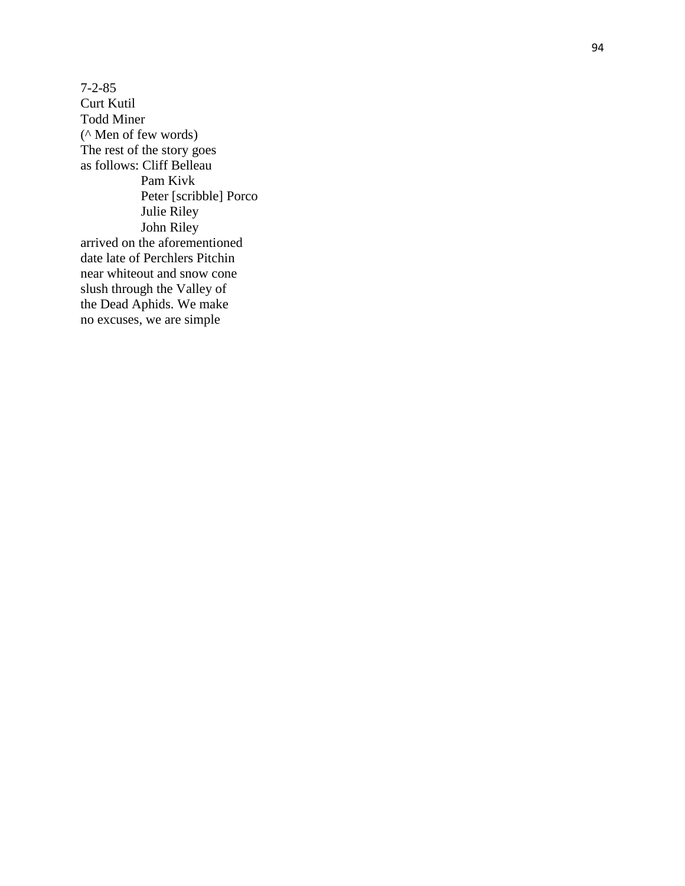7 - 2 -85 Curt Kutil Todd Miner (^ Men of few words) The rest of the story goes as follows: Cliff Belleau Pam Kivk Peter [scribble] Porco Julie Riley John Riley arrived on the aforementioned date late of Perchlers Pitchin near whiteout and snow cone slush through the Valley of the Dead Aphids. We make no excuses, we are simple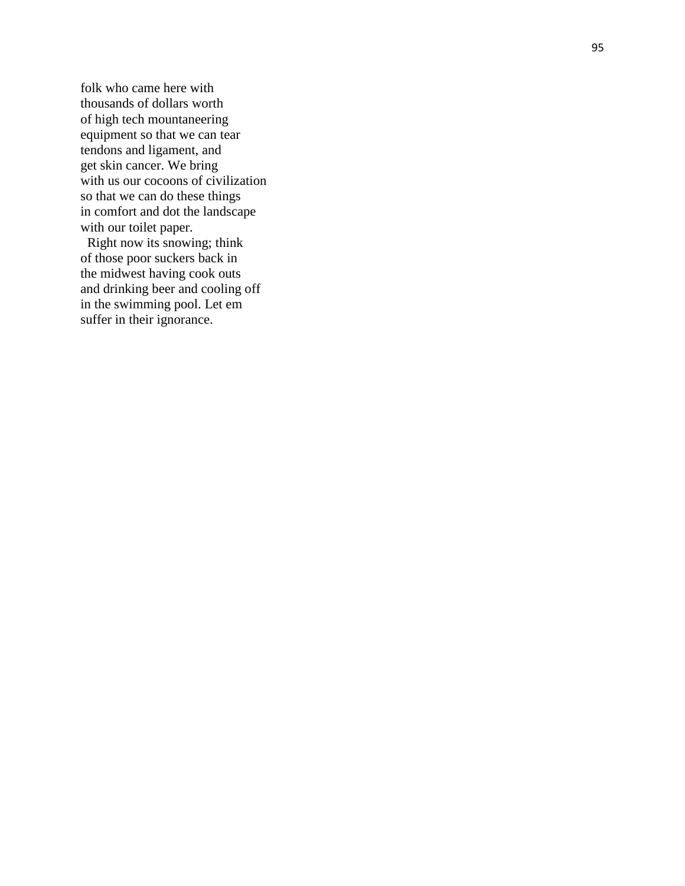folk who came here with thousands of dollars worth of high tech mountaneering equipment so that we can tear tendons and ligament, and get skin cancer. We bring with us our cocoons of civilization so that we can do these things in comfort and dot the landscape with our toilet paper.

 Right now its snowing; think of those poor suckers back in the midwest having cook outs and drinking beer and cooling off in the swimming pool. Let em suffer in their ignorance.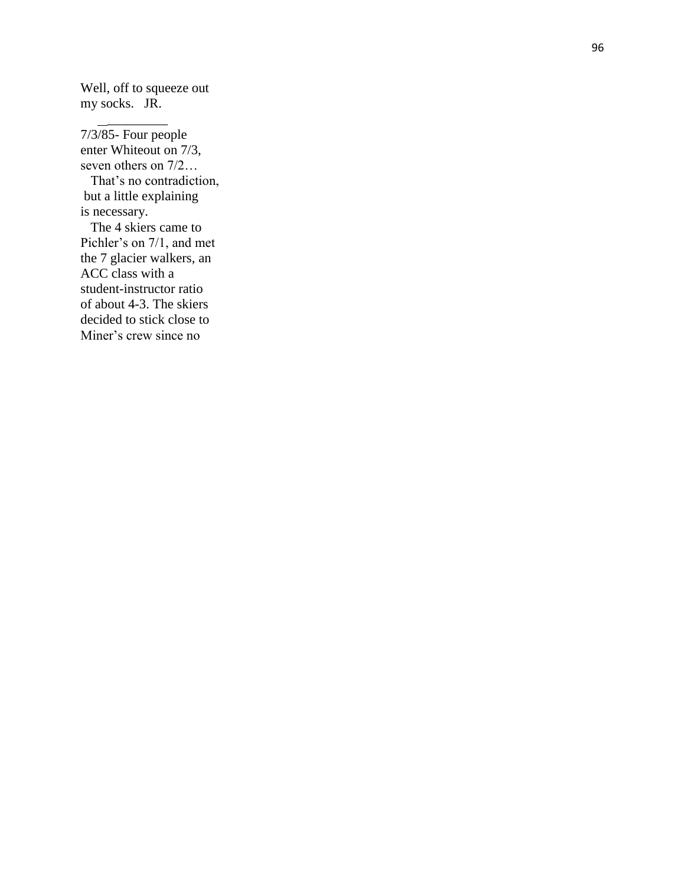Well, off to squeeze out my socks. JR.

 $\frac{1}{2}$  ,  $\frac{1}{2}$  ,  $\frac{1}{2}$  ,  $\frac{1}{2}$  ,  $\frac{1}{2}$  ,  $\frac{1}{2}$  ,  $\frac{1}{2}$  ,  $\frac{1}{2}$ 

7/3/85 - Four people enter Whiteout on 7/3, seven others on 7/2… That's no contradiction, but a little explaining is necessary. The 4 skiers came to Pichler's on 7/1, and met the 7 glacier walkers, an ACC class with a student -instructor ratio of about 4 -3. The skiers decided to stick close to Miner's crew since no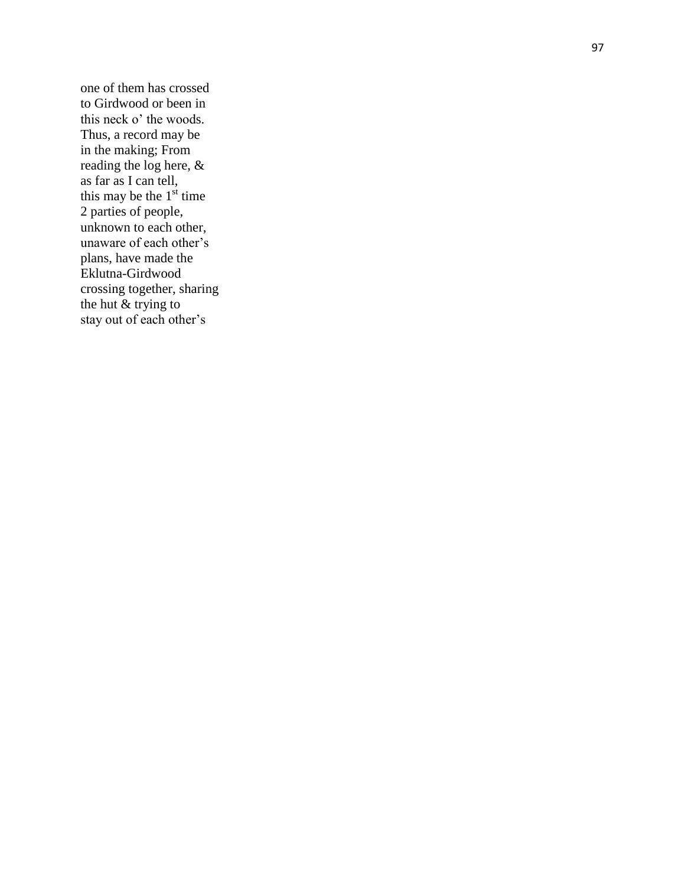one of them has crossed to Girdwood or been in this neck o' the woods. Thus, a record may be in the making; From reading the log here, & as far as I can tell, this may be the  $1<sup>st</sup>$  time 2 parties of people, unknown to each other, unaware of each other's plans, have made the Eklutna -Girdwood crossing together, sharing the hut  $\&$  trying to stay out of each other's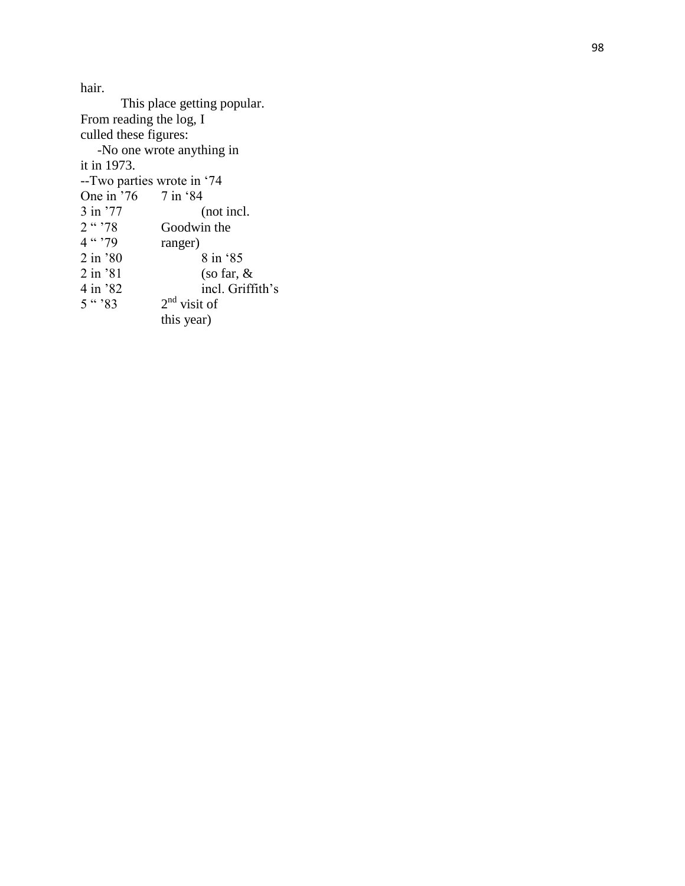hair.

This place getting popular. From reading the log, I culled these figures: -No one wrote anything in it in 1973. --Two parties wrote in '74<br>One in '76 7 in '84 One in  $\frac{1}{3}$  in  $\frac{1}{7}$  $3 \text{ in } '77$  (not incl.<br> $2 \text{`` } '78$  Goodwin the  $2 \cdot \text{``?78}$  Goodwin the <br>4 " '79 ranger) ranger) 2 in '80 8 in '85<br>2 in '81 (so far, 8) 2 in '81 (so far, & 4 in '82 incl. Griff incl. Griffith's  $5$  "  $83$ 2<sup>nd</sup> visit of this year)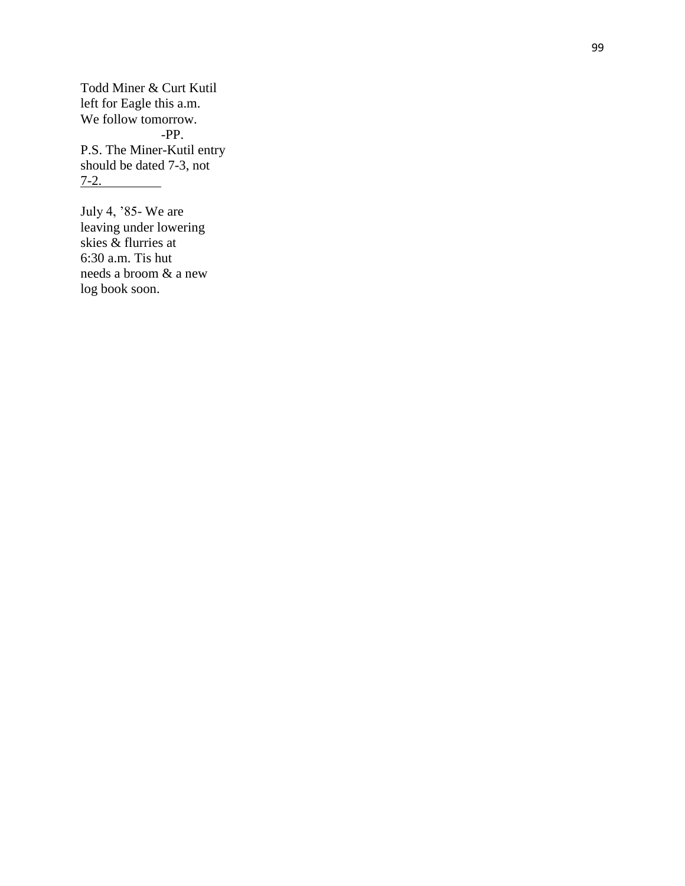Todd Miner & Curt Kutil left for Eagle this a.m. We follow tomorrow. -PP. P.S. The Miner -Kutil entry should be dated 7 -3, not  $7 - 2.$ 

July 4, '85 - We are leaving under lowering skies & flurries at 6:30 a.m. Tis hut needs a broom & a new log book soon.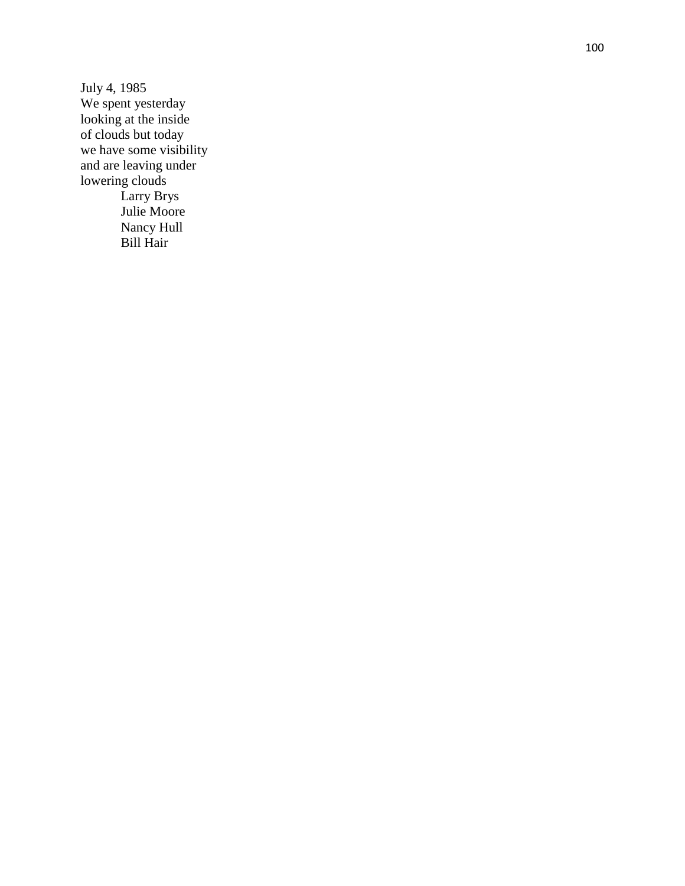July 4, 1985 We spent yesterday looking at the inside of clouds but today we have some visibility and are leaving under lowering clouds Larry Brys Julie Moore Nancy Hull Bill Hair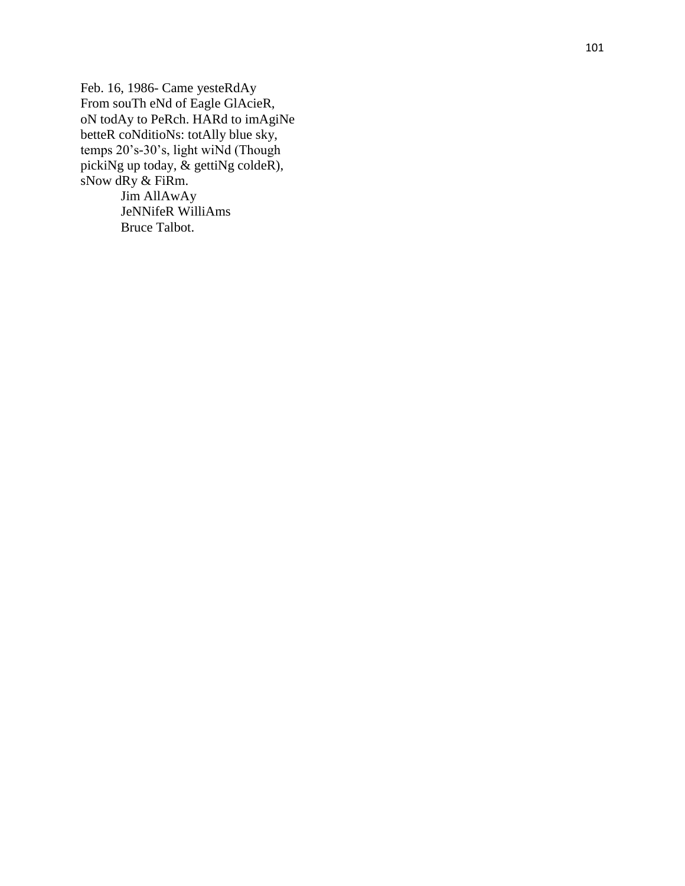Feb. 16, 1986- Came yesteRdAy From souTh eNd of Eagle GlAcieR, oN todAy to PeRch. HARd to imAgiNe betteR coNditioNs: totAlly blue sky, temps 20's -30's, light wiNd (Though pickiNg up today, & gettiNg coldeR), sNow dRy & FiRm. Jim AllAwAy JeNNifeR WilliAms

Bruce Talbot.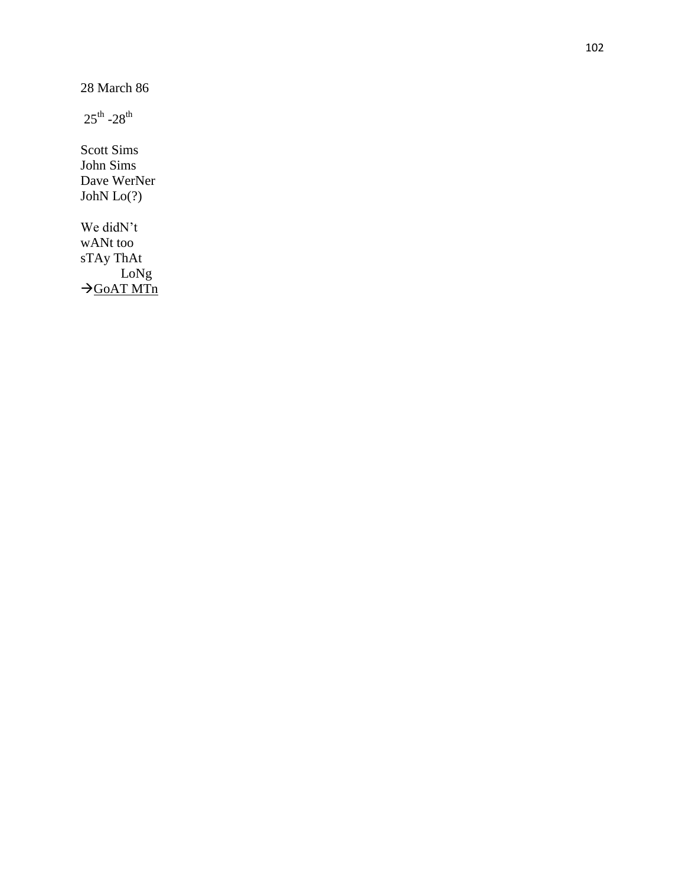28 March 86

 $25^{\text{th}}$  -28<sup>th</sup>

Scott Sims John Sims Dave WerNer JohN Lo(?)

We didN't wANt too sTAy ThAt LoNg  $\rightarrow$ GOAT MTn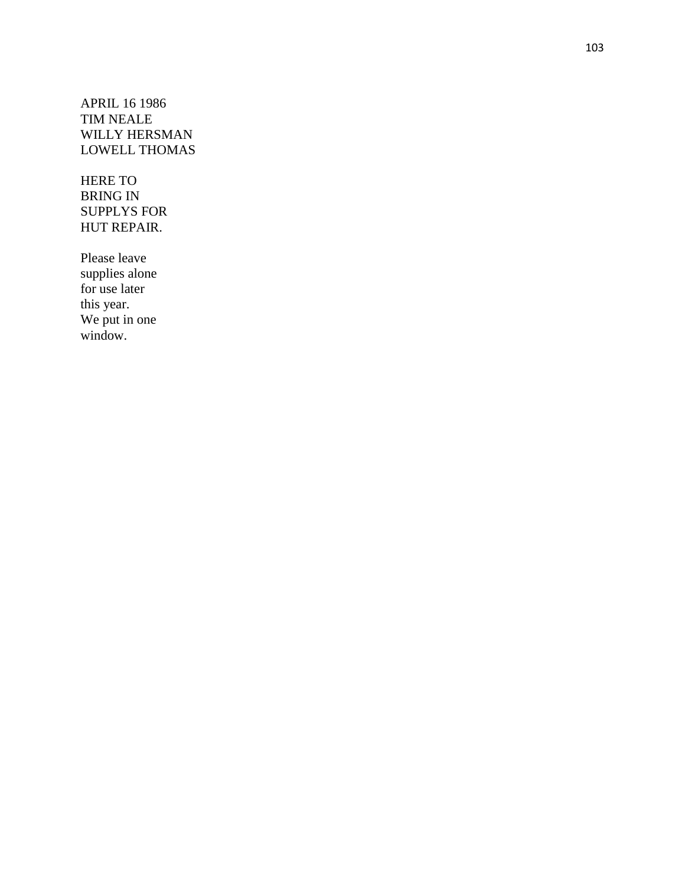APRIL 16 1986 TIM NEALE WILLY HERSMAN LOWELL THOMAS

HERE TO BRING IN SUPPLYS FOR HUT REPAIR.

Please leave supplies alone for use later this year. We put in one window.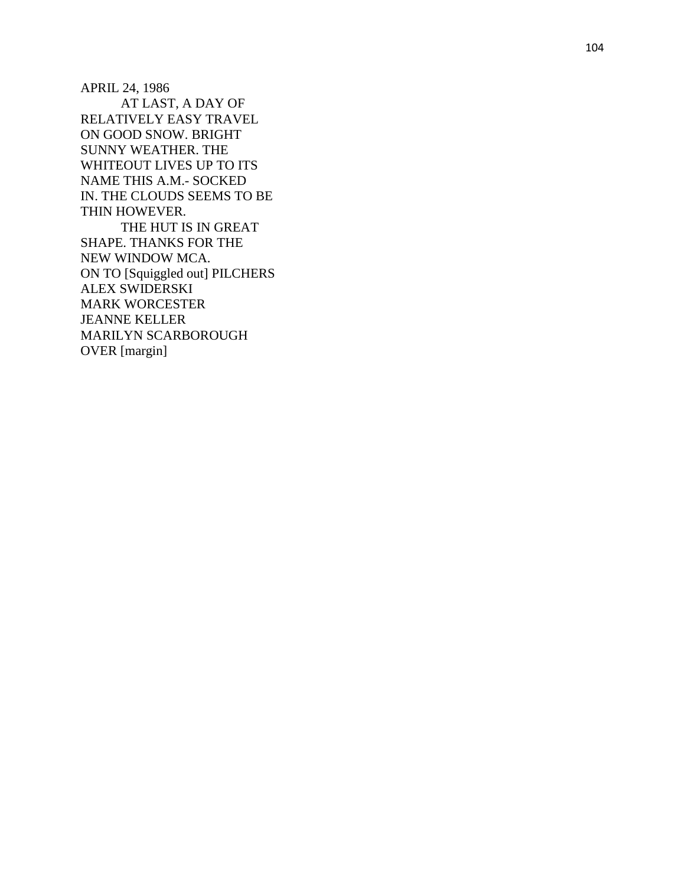APRIL 24, 1986 AT LAST, A DAY OF RELATIVELY EASY TRAVEL ON GOOD SNOW. BRIGHT SUNNY WEATHER. THE WHITEOUT LIVES UP TO ITS NAME THIS A.M. - SOCKED IN. THE CLOUDS SEEMS TO BE THIN HOWEVER. THE HUT IS IN GREAT SHAPE. THANKS FOR THE NEW WINDOW MCA. ON TO [Squiggled out] PILCHERS

ALEX SWIDERSKI MARK WORCESTER JEANNE KEL LER MARILYN SCARBOROUGH OVER [margin]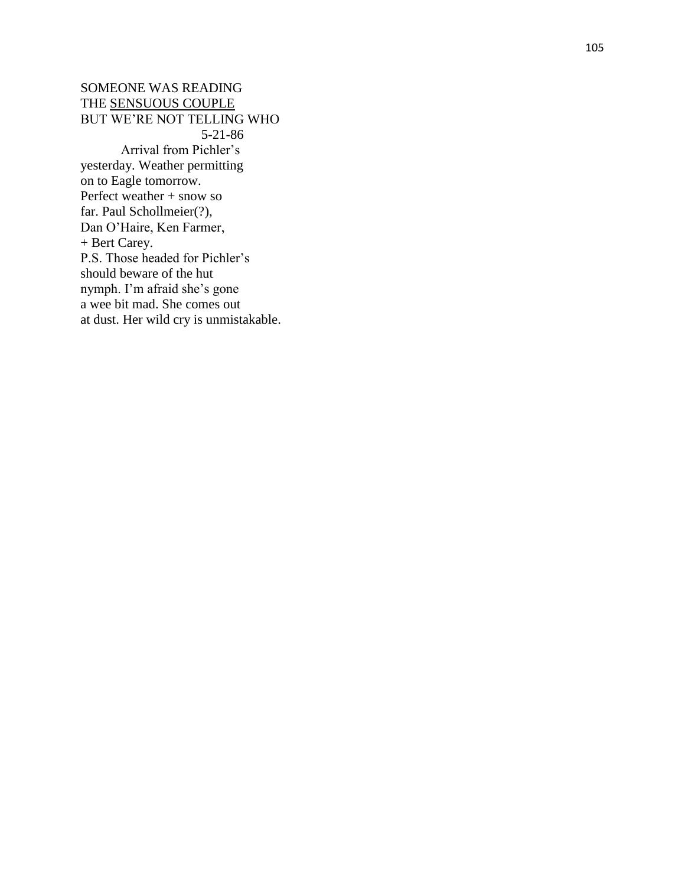SOMEONE WAS READING THE SENSUOUS COUPLE BUT WE'RE NOT TELLING WHO 5-21-86 Arrival from Pichler's yesterday. Weather permitting on to Eagle tomorrow. Perfect weather + snow so far. Paul Schollmeier(?), Dan O'Haire, Ken Farmer, + Bert Carey. P.S. Those headed for Pichler's should beware of the hut nymph. I'm afraid she's gone a wee bit mad. She comes out at dust. Her wild cry is unmistakable.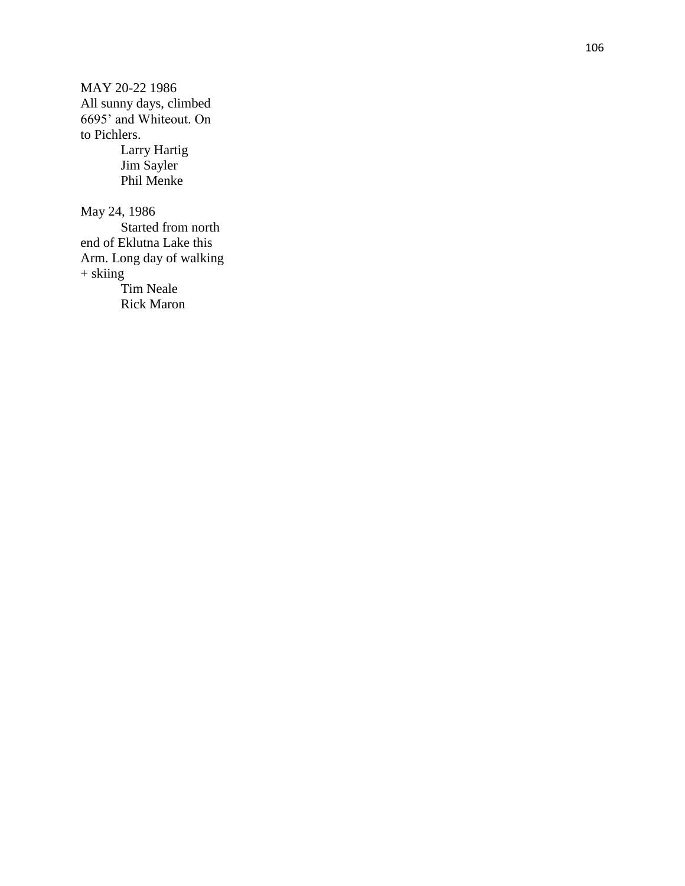MAY 20 -22 1986 All sunny days, climbed 6695' and Whiteout. On to Pichlers. Larry Hartig Jim Sayler Phil Menke May 24, 1986 Started from north end of Eklutna Lake this Arm. Long day of walking + skiing

> Tim Neale Rick Maron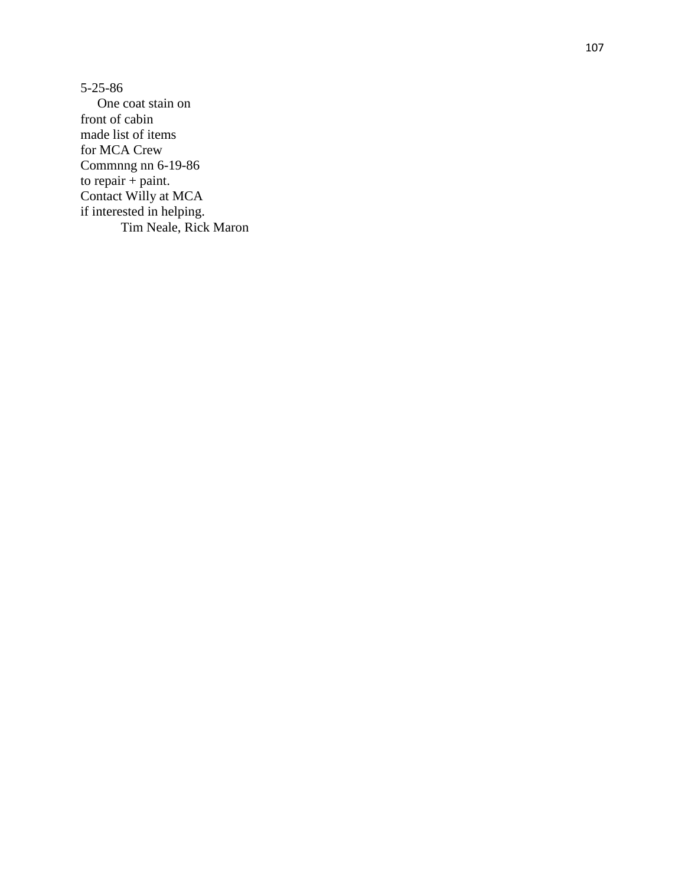5 -25 -86 One coat stain on front of cabin made list of items for MCA Crew Commnng nn 6-19-86 to repair  $+$  paint. Contact Willy at MCA if interested in helping. Tim Neale, Rick Maron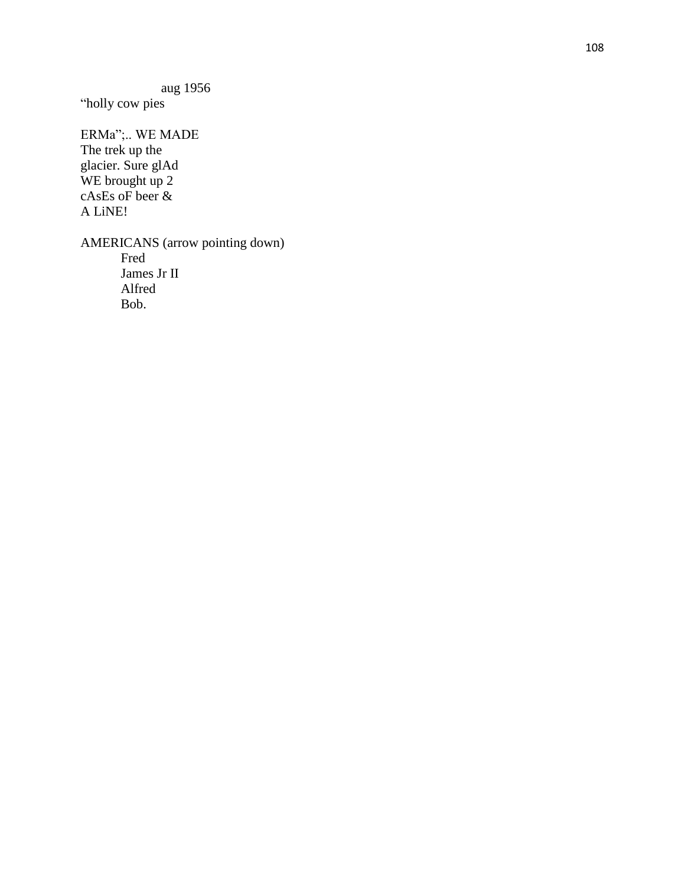aug 1956

"holly cow pies

ERMa";.. WE MADE The trek up the glacier. Sure glAd WE brought up 2 cAsEs oF beer & A LiNE!

AMERICANS (arrow pointing down) Fred James Jr II Alfred Bob.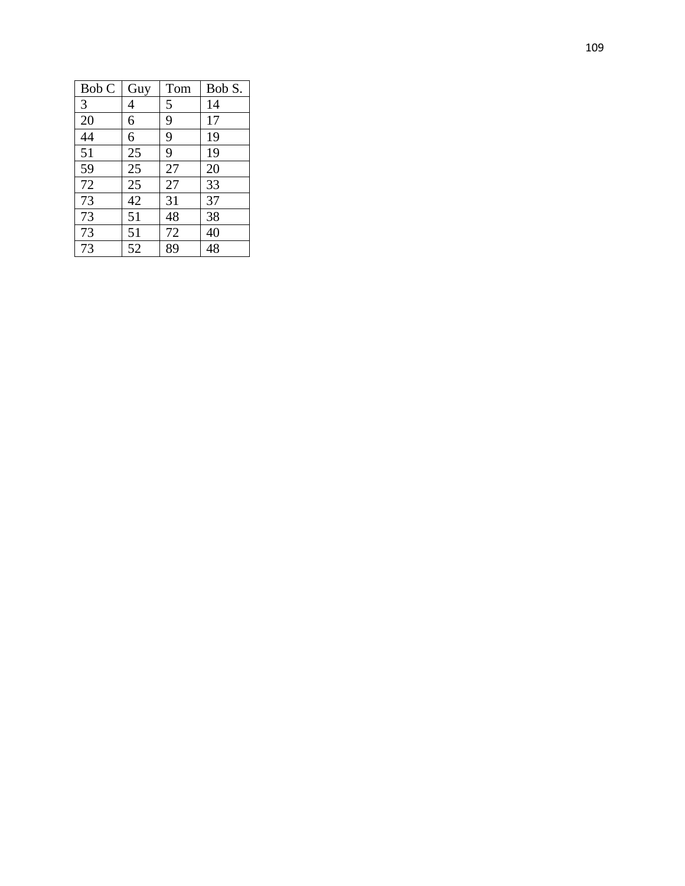| Bob C | Guy | Tom | Bob S. |
|-------|-----|-----|--------|
| 3     | 4   | 5   | 14     |
| 20    | 6   | 9   | 17     |
| 44    | 6   | 9   | 19     |
| 51    | 25  | 9   | 19     |
| 59    | 25  | 27  | 20     |
| 72    | 25  | 27  | 33     |
| 73    | 42  | 31  | 37     |
| 73    | 51  | 48  | 38     |
| 73    | 51  | 72  | 40     |
| 73    | 52  | 89  | 48     |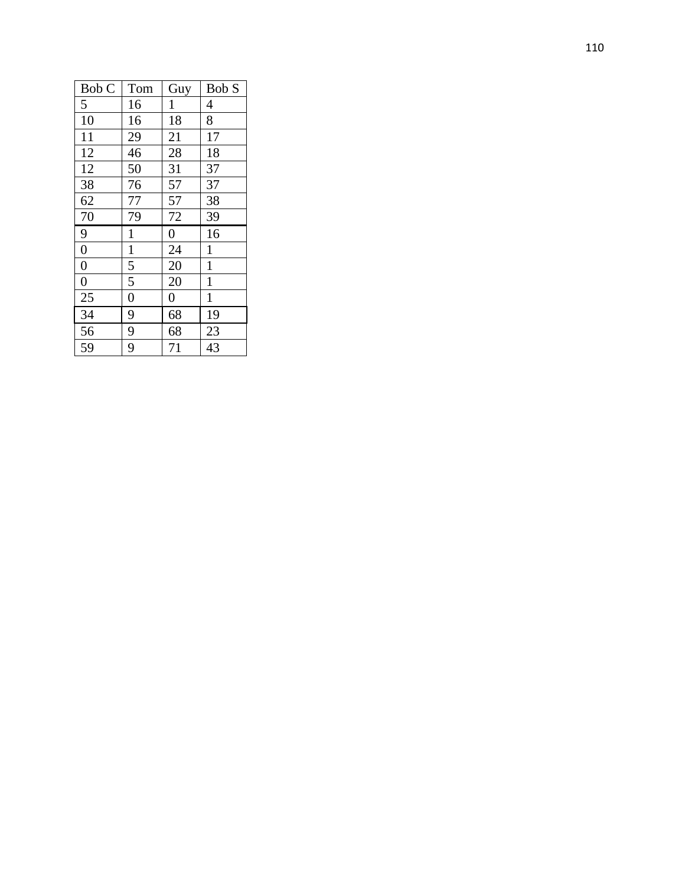| Bob C            | Tom            | Guy            | Bob S          |
|------------------|----------------|----------------|----------------|
| 5                | 16             | $\mathbf{1}$   | $\overline{4}$ |
| 10               | 16             | 18             | 8              |
| 11               | 29             | 21             | 17             |
| 12               | 46             | 28             | 18             |
| 12               | 50             | 31             | 37             |
| 38               | 76             | 57             | 37             |
| 62               | 77             | 57             | 38             |
| 70               | 79             | 72             | 39             |
| $\overline{9}$   | $\mathbf{1}$   | $\overline{0}$ | 16             |
| $\boldsymbol{0}$ | $\mathbf{1}$   | 24             | $\mathbf{1}$   |
| $\overline{0}$   | $\frac{5}{5}$  | 20             | $\mathbf{1}$   |
| $\overline{0}$   |                | 20             | $\mathbf{1}$   |
| 25               | $\overline{0}$ | $\overline{0}$ | $\mathbf{1}$   |
| 34               | $\overline{9}$ | 68             | 19             |
| 56               | $\overline{9}$ | 68             | 23             |
| 59               | $\overline{9}$ | 71             | 43             |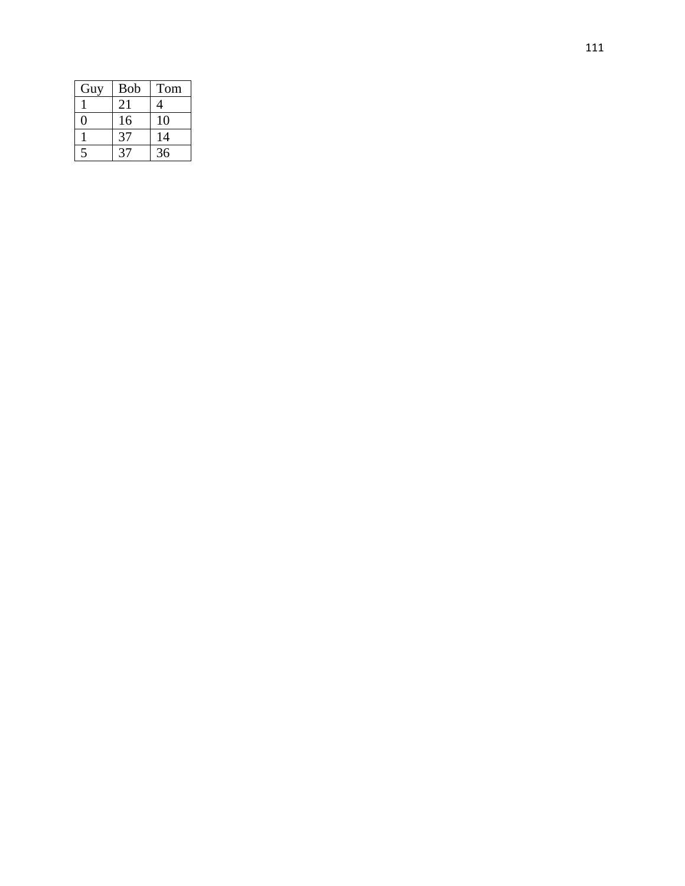| Guy                      | Bob         | Tom |
|--------------------------|-------------|-----|
|                          | 21          |     |
|                          | 16          | 10  |
|                          | $3^{\circ}$ | 14  |
| $\overline{\phantom{a}}$ |             | 36  |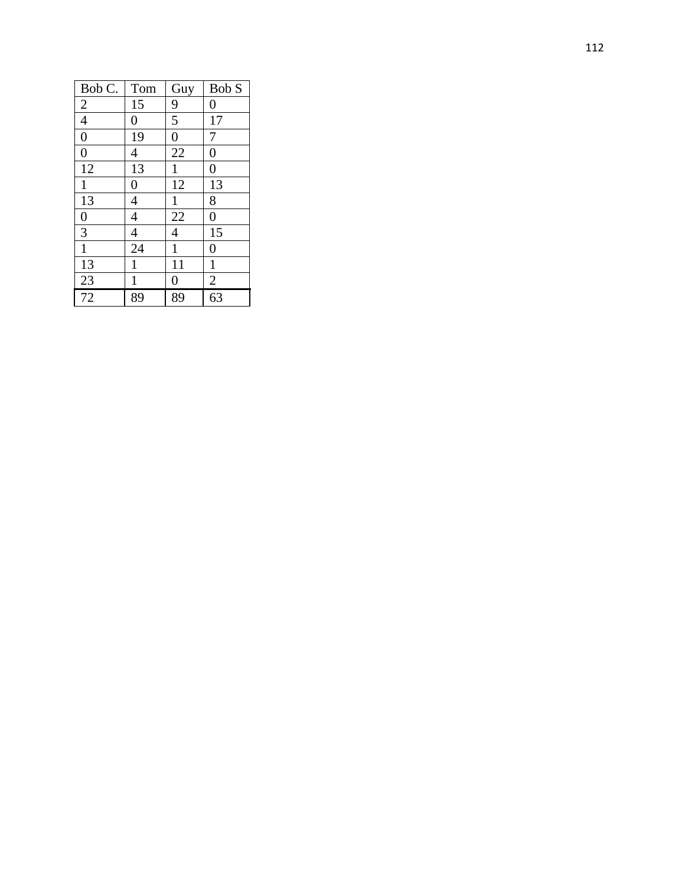| Bob C.           | Tom              | Guy              | Bob S            |
|------------------|------------------|------------------|------------------|
| $\overline{c}$   | 15               | 9                | $\overline{0}$   |
| $\overline{4}$   | $\overline{0}$   | $\overline{5}$   | 17               |
| $\boldsymbol{0}$ | 19               | $\boldsymbol{0}$ | $\overline{7}$   |
| $\overline{0}$   | $\overline{4}$   | 22               | $\overline{0}$   |
| 12               | 13               | $\mathbf{1}$     | $\boldsymbol{0}$ |
| $\mathbf 1$      | $\boldsymbol{0}$ | 12               | 13               |
| 13               | $\overline{4}$   | $\mathbf{1}$     | 8                |
| $\overline{0}$   | 4                | 22               | $\boldsymbol{0}$ |
| $\overline{3}$   | $\overline{4}$   | $\overline{4}$   | 15               |
| $\overline{1}$   | 24               | $\mathbf{1}$     | $\overline{0}$   |
| 13               | $\mathbf{1}$     | 11               | $\mathbf{1}$     |
| 23               | $\mathbf{1}$     | $\overline{0}$   | $\overline{c}$   |
| $\overline{72}$  | 89               | 89               | 63               |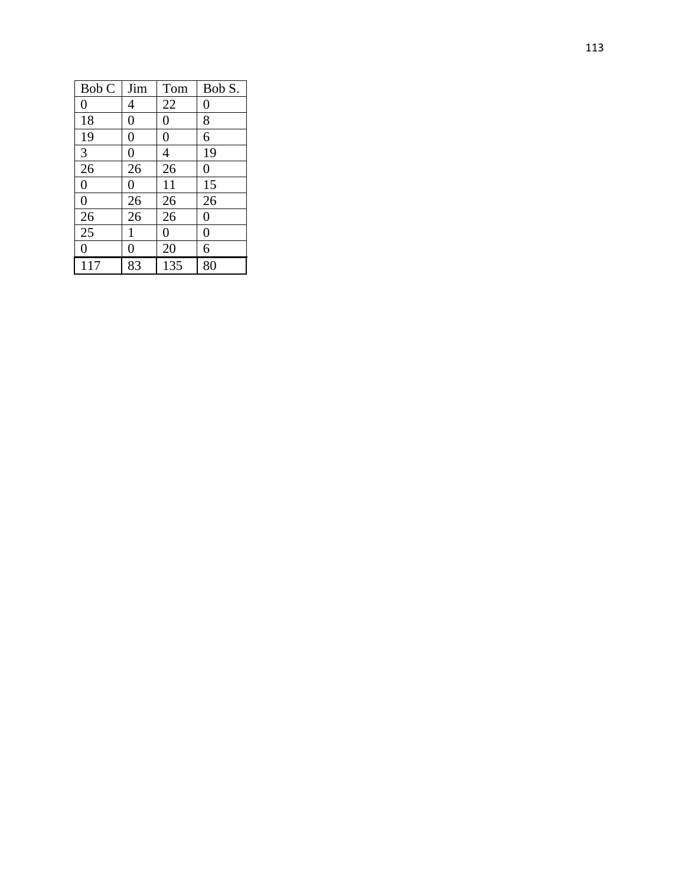| Bob C            | Jim             | Tom      | Bob S.         |
|------------------|-----------------|----------|----------------|
| $\overline{0}$   | 4               | 22       | $\overline{0}$ |
| 18               | $\overline{0}$  | 0        | 8              |
| 19               | $\overline{0}$  | 0        | 6              |
| 3                | 0               | 4        | 19             |
| 26               | 26              | 26       | $\overline{0}$ |
| $\overline{0}$   | $\overline{0}$  | 11       | 15             |
| $\boldsymbol{0}$ | 26              | 26       | 26             |
| $\overline{26}$  | $\overline{26}$ | 26       | $\overline{0}$ |
| $\overline{25}$  | $\mathbf{1}$    | $\theta$ | $\overline{0}$ |
| $\overline{0}$   | $\overline{0}$  | 20       | 6              |
| 117              | 83              | 135      | 80             |